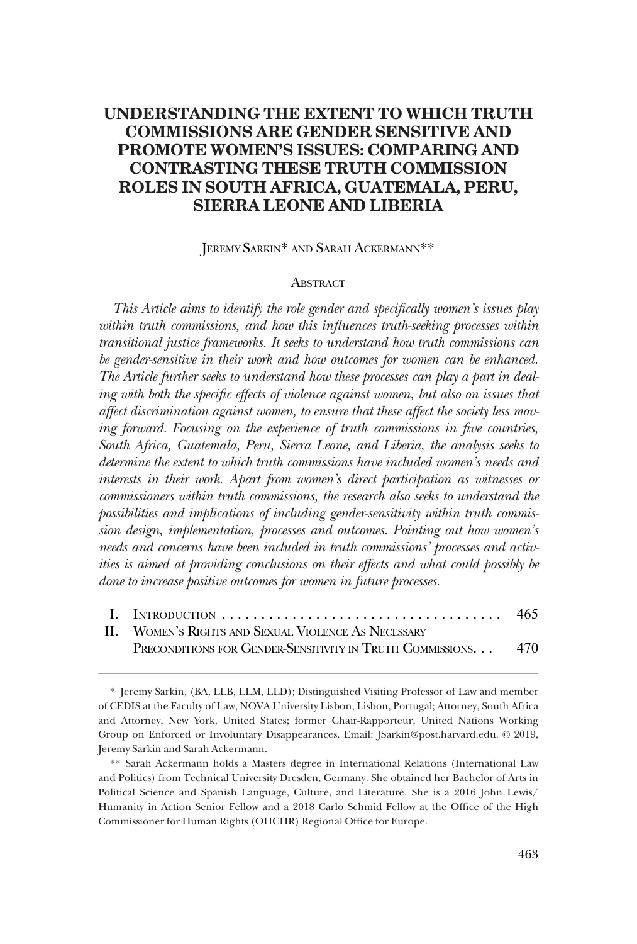# **UNDERSTANDING THE EXTENT TO WHICH TRUTH COMMISSIONS ARE GENDER SENSITIVE AND PROMOTE WOMEN'S ISSUES: COMPARING AND CONTRASTING THESE TRUTH COMMISSION ROLES IN SOUTH AFRICA, GUATEMALA, PERU, SIERRA LEONE AND LIBERIA**

JEREMY SARKIN\* AND SARAH ACKERMANN\*\*

#### ABSTRACT

*This Article aims to identify the role gender and specifically women's issues play within truth commissions, and how this influences truth-seeking processes within transitional justice frameworks. It seeks to understand how truth commissions can be gender-sensitive in their work and how outcomes for women can be enhanced. The Article further seeks to understand how these processes can play a part in deal*ing with both the specific effects of violence against women, but also on issues that *affect discrimination against women, to ensure that these affect the society less moving forward. Focusing on the experience of truth commissions in five countries, South Africa, Guatemala, Peru, Sierra Leone, and Liberia, the analysis seeks to determine the extent to which truth commissions have included women's needs and interests in their work. Apart from women's direct participation as witnesses or commissioners within truth commissions, the research also seeks to understand the possibilities and implications of including gender-sensitivity within truth commission design, implementation, processes and outcomes. Pointing out how women's needs and concerns have been included in truth commissions' processes and activities is aimed at providing conclusions on their effects and what could possibly be done to increase positive outcomes for women in future processes.* 

| II. WOMEN'S RIGHTS AND SEXUAL VIOLENCE AS NECESSARY           |  |
|---------------------------------------------------------------|--|
| PRECONDITIONS FOR GENDER-SENSITIVITY IN TRUTH COMMISSIONS 470 |  |

<sup>\*</sup> Jeremy Sarkin, (BA, LLB, LLM, LLD); Distinguished Visiting Professor of Law and member of CEDIS at the Faculty of Law, NOVA University Lisbon, Lisbon, Portugal; Attorney, South Africa and Attorney, New York, United States; former Chair-Rapporteur, United Nations Working Group on Enforced or Involuntary Disappearances. Email: JSarkin@post.harvard.edu. © 2019, Jeremy Sarkin and Sarah Ackermann.

<sup>\*\*</sup> Sarah Ackermann holds a Masters degree in International Relations (International Law and Politics) from Technical University Dresden, Germany. She obtained her Bachelor of Arts in Political Science and Spanish Language, Culture, and Literature. She is a 2016 John Lewis/ Humanity in Action Senior Fellow and a 2018 Carlo Schmid Fellow at the Office of the High Commissioner for Human Rights (OHCHR) Regional Office for Europe.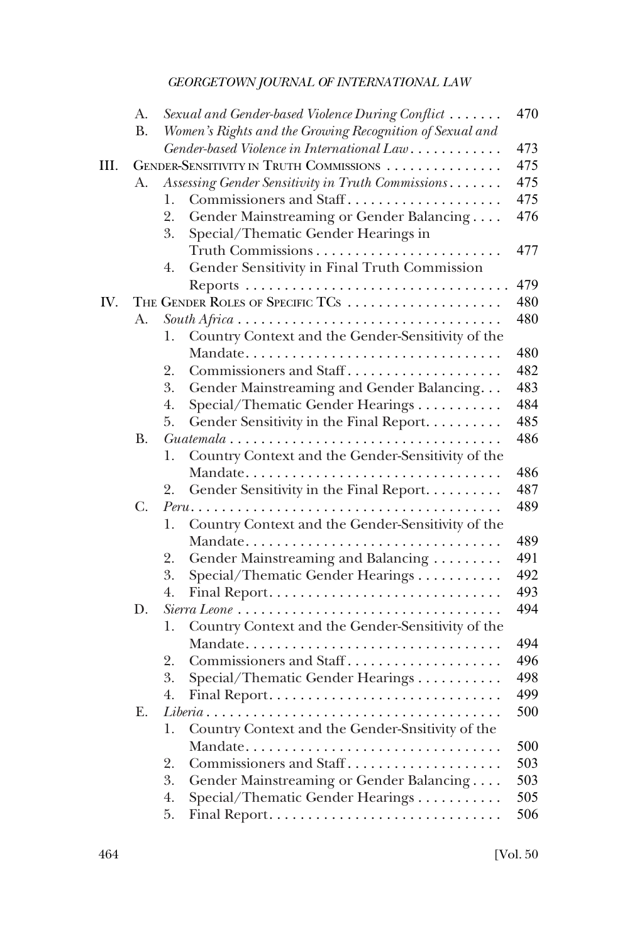|      | A.        | Sexual and Gender-based Violence During Conflict                                    | 470 |  |  |  |
|------|-----------|-------------------------------------------------------------------------------------|-----|--|--|--|
|      | <b>B.</b> | Women's Rights and the Growing Recognition of Sexual and                            |     |  |  |  |
|      |           | Gender-based Violence in International Law                                          | 473 |  |  |  |
| III. |           | GENDER-SENSITIVITY IN TRUTH COMMISSIONS<br>475                                      |     |  |  |  |
|      | А.        | Assessing Gender Sensitivity in Truth Commissions                                   | 475 |  |  |  |
|      |           | Commissioners and Staff<br>1.                                                       | 475 |  |  |  |
|      |           | Gender Mainstreaming or Gender Balancing<br>2.                                      | 476 |  |  |  |
|      |           | 3.<br>Special/Thematic Gender Hearings in                                           |     |  |  |  |
|      |           |                                                                                     | 477 |  |  |  |
|      |           | Gender Sensitivity in Final Truth Commission<br>4.                                  |     |  |  |  |
|      |           |                                                                                     | 479 |  |  |  |
| IV.  |           | THE GENDER ROLES OF SPECIFIC TCS                                                    | 480 |  |  |  |
|      | A.        | South Africa                                                                        | 480 |  |  |  |
|      |           | Country Context and the Gender-Sensitivity of the<br>1.                             |     |  |  |  |
|      |           | Mandate                                                                             | 480 |  |  |  |
|      |           | Commissioners and Staff<br>2.                                                       | 482 |  |  |  |
|      |           | Gender Mainstreaming and Gender Balancing<br>3.                                     | 483 |  |  |  |
|      |           | Special/Thematic Gender Hearings<br>4.                                              | 484 |  |  |  |
|      |           | Gender Sensitivity in the Final Report.<br>5.                                       | 485 |  |  |  |
|      | <b>B.</b> | $Guatemala \dots \dots \dots \dots \dots \dots \dots \dots \dots \dots \dots \dots$ | 486 |  |  |  |
|      |           | Country Context and the Gender-Sensitivity of the<br>1.                             |     |  |  |  |
|      |           | Mandate                                                                             | 486 |  |  |  |
|      |           | Gender Sensitivity in the Final Report.<br>2.                                       | 487 |  |  |  |
|      | C.        |                                                                                     | 489 |  |  |  |
|      |           | Country Context and the Gender-Sensitivity of the<br>1.                             |     |  |  |  |
|      |           | Mandate                                                                             | 489 |  |  |  |
|      |           | Gender Mainstreaming and Balancing<br>2.                                            | 491 |  |  |  |
|      |           | Special/Thematic Gender Hearings<br>3.                                              | 492 |  |  |  |
|      |           | 4.                                                                                  | 493 |  |  |  |
|      | D.        |                                                                                     | 494 |  |  |  |
|      |           | Country Context and the Gender-Sensitivity of the<br>1.                             |     |  |  |  |
|      |           | Mandate                                                                             | 494 |  |  |  |
|      |           | Commissioners and Staff<br>2.                                                       | 496 |  |  |  |
|      |           | Special/Thematic Gender Hearings<br>3.                                              | 498 |  |  |  |
|      |           |                                                                                     | 499 |  |  |  |
|      | Ε.        |                                                                                     | 500 |  |  |  |
|      |           | Country Context and the Gender-Snsitivity of the<br>1.                              |     |  |  |  |
|      |           | Mandate                                                                             | 500 |  |  |  |
|      |           | Commissioners and Staff<br>2.                                                       | 503 |  |  |  |
|      |           | 3.<br>Gender Mainstreaming or Gender Balancing                                      | 503 |  |  |  |
|      |           | 4.<br>Special/Thematic Gender Hearings                                              | 505 |  |  |  |
|      |           | 5.                                                                                  | 506 |  |  |  |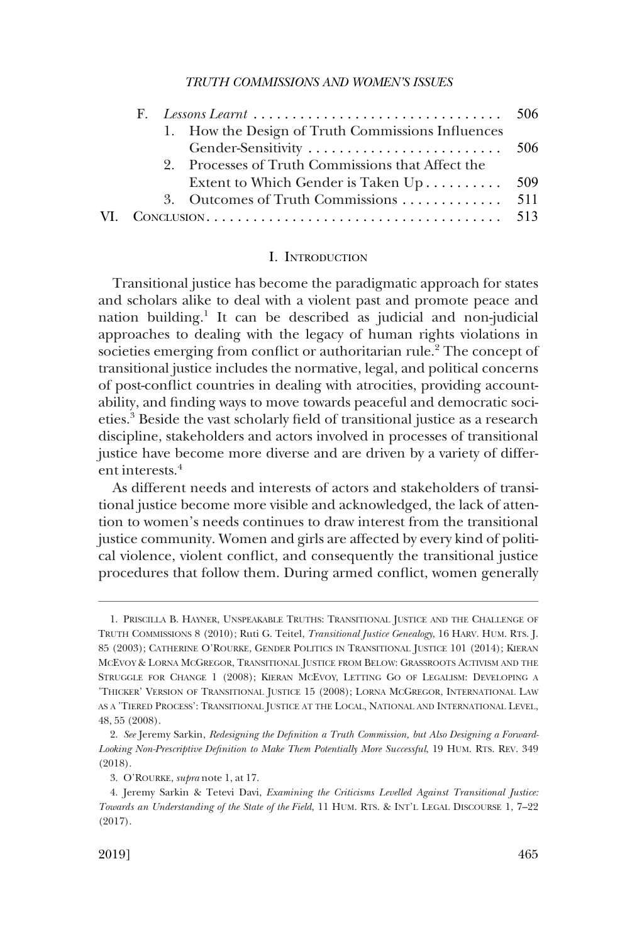<span id="page-2-0"></span>

|  |  | 1. How the Design of Truth Commissions Influences |  |
|--|--|---------------------------------------------------|--|
|  |  |                                                   |  |
|  |  | 2. Processes of Truth Commissions that Affect the |  |
|  |  | Extent to Which Gender is Taken Up 509            |  |
|  |  |                                                   |  |
|  |  |                                                   |  |

#### I. INTRODUCTION

Transitional justice has become the paradigmatic approach for states and scholars alike to deal with a violent past and promote peace and nation building.1 It can be described as judicial and non-judicial approaches to dealing with the legacy of human rights violations in societies emerging from conflict or authoritarian rule.<sup>2</sup> The concept of transitional justice includes the normative, legal, and political concerns of post-conflict countries in dealing with atrocities, providing accountability, and finding ways to move towards peaceful and democratic societies.3 Beside the vast scholarly field of transitional justice as a research discipline, stakeholders and actors involved in processes of transitional justice have become more diverse and are driven by a variety of different interests.4

As different needs and interests of actors and stakeholders of transitional justice become more visible and acknowledged, the lack of attention to women's needs continues to draw interest from the transitional justice community. Women and girls are affected by every kind of political violence, violent conflict, and consequently the transitional justice procedures that follow them. During armed conflict, women generally

<sup>1.</sup> PRISCILLA B. HAYNER, UNSPEAKABLE TRUTHS: TRANSITIONAL JUSTICE AND THE CHALLENGE OF TRUTH COMMISSIONS 8 (2010); Ruti G. Teitel, *Transitional Justice Genealogy*, 16 HARV. HUM. RTS. J. 85 (2003); CATHERINE O'ROURKE, GENDER POLITICS IN TRANSITIONAL JUSTICE 101 (2014); KIERAN MCEVOY & LORNA MCGREGOR, TRANSITIONAL JUSTICE FROM BELOW: GRASSROOTS ACTIVISM AND THE STRUGGLE FOR CHANGE 1 (2008); KIERAN MCEVOY, LETTING GO OF LEGALISM: DEVELOPING A 'THICKER' VERSION OF TRANSITIONAL JUSTICE 15 (2008); LORNA MCGREGOR, INTERNATIONAL LAW AS A 'TIERED PROCESS': TRANSITIONAL JUSTICE AT THE LOCAL, NATIONAL AND INTERNATIONAL LEVEL, 48, 55 (2008).

<sup>2.</sup> *See* Jeremy Sarkin, *Redesigning the Definition a Truth Commission, but Also Designing a Forward-Looking Non-Prescriptive Definition to Make Them Potentially More Successful*, 19 HUM. RTS. REV. 349 (2018).

<sup>3.</sup> O'ROURKE, *supra* note 1, at 17.

<sup>4.</sup> Jeremy Sarkin & Tetevi Davi, *Examining the Criticisms Levelled Against Transitional Justice: Towards an Understanding of the State of the Field*, 11 HUM. RTS. & INT'L LEGAL DISCOURSE 1, 7–22 (2017).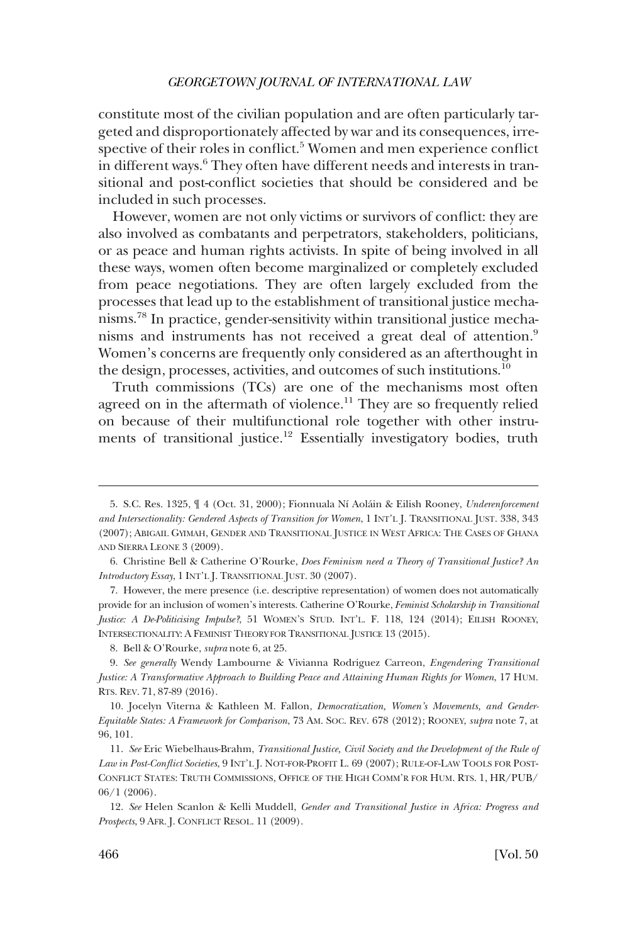constitute most of the civilian population and are often particularly targeted and disproportionately affected by war and its consequences, irrespective of their roles in conflict.<sup>5</sup> Women and men experience conflict in different ways.<sup>6</sup> They often have different needs and interests in transitional and post-conflict societies that should be considered and be included in such processes.

However, women are not only victims or survivors of conflict: they are also involved as combatants and perpetrators, stakeholders, politicians, or as peace and human rights activists. In spite of being involved in all these ways, women often become marginalized or completely excluded from peace negotiations. They are often largely excluded from the processes that lead up to the establishment of transitional justice mechanisms.78 In practice, gender-sensitivity within transitional justice mechanisms and instruments has not received a great deal of attention.9 Women's concerns are frequently only considered as an afterthought in the design, processes, activities, and outcomes of such institutions.<sup>10</sup>

Truth commissions (TCs) are one of the mechanisms most often agreed on in the aftermath of violence.<sup>11</sup> They are so frequently relied on because of their multifunctional role together with other instruments of transitional justice.<sup>12</sup> Essentially investigatory bodies, truth

<sup>5.</sup> S.C. Res. 1325, ¶ 4 (Oct. 31, 2000); Fionnuala Nı´ Aola´in & Eilish Rooney, *Underenforcement and Intersectionality: Gendered Aspects of Transition for Women*, 1 INT'L J. TRANSITIONAL JUST. 338, 343 (2007); ABIGAIL GYIMAH, GENDER AND TRANSITIONAL JUSTICE IN WEST AFRICA: THE CASES OF GHANA AND SIERRA LEONE 3 (2009).

<sup>6.</sup> Christine Bell & Catherine O'Rourke, *Does Feminism need a Theory of Transitional Justice? An Introductory Essay*, 1 INT'L J. TRANSITIONAL JUST. 30 (2007).

<sup>7.</sup> However, the mere presence (i.e. descriptive representation) of women does not automatically provide for an inclusion of women's interests. Catherine O'Rourke, *Feminist Scholarship in Transitional Justice: A De-Politicising Impulse?*, 51 WOMEN'S STUD. INT'L. F. 118, 124 (2014); EILISH ROONEY, INTERSECTIONALITY: A FEMINIST THEORY FOR TRANSITIONAL JUSTICE 13 (2015).

<sup>8.</sup> Bell & O'Rourke, *supra* note 6, at 25.

<sup>9.</sup> *See generally* Wendy Lambourne & Vivianna Rodriguez Carreon, *Engendering Transitional Justice: A Transformative Approach to Building Peace and Attaining Human Rights for Women*, 17 HUM. RTS. REV. 71, 87-89 (2016).

<sup>10.</sup> Jocelyn Viterna & Kathleen M. Fallon, *Democratization, Women's Movements, and Gender-Equitable States: A Framework for Comparison*, 73 AM. SOC. REV. 678 (2012); ROONEY, *supra* note 7, at 96, 101.

<sup>11.</sup> *See* Eric Wiebelhaus-Brahm, *Transitional Justice, Civil Society and the Development of the Rule of Law in Post-Conflict Societies*, 9 INT'L J. NOT-FOR-PROFIT L. 69 (2007); RULE-OF-LAW TOOLS FOR POST-CONFLICT STATES: TRUTH COMMISSIONS, OFFICE OF THE HIGH COMM'R FOR HUM. RTS. 1, HR/PUB/ 06/1 (2006).

<sup>12.</sup> *See* Helen Scanlon & Kelli Muddell, *Gender and Transitional Justice in Africa: Progress and Prospects*, 9 AFR. J. CONFLICT RESOL. 11 (2009).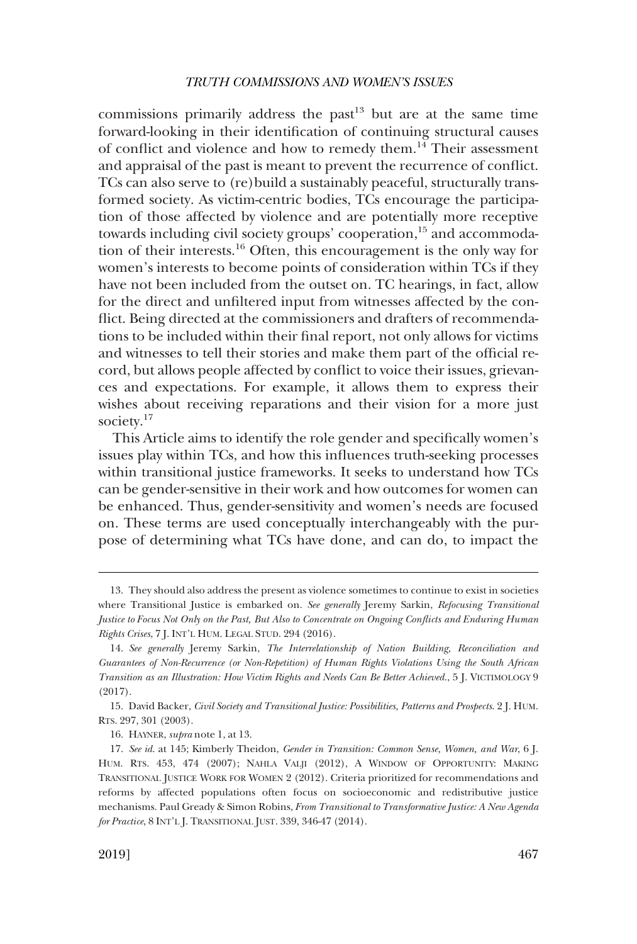commissions primarily address the past $13$  but are at the same time forward-looking in their identification of continuing structural causes of conflict and violence and how to remedy them.14 Their assessment and appraisal of the past is meant to prevent the recurrence of conflict. TCs can also serve to (re)build a sustainably peaceful, structurally transformed society. As victim-centric bodies, TCs encourage the participation of those affected by violence and are potentially more receptive towards including civil society groups' cooperation,<sup>15</sup> and accommodation of their interests.16 Often, this encouragement is the only way for women's interests to become points of consideration within TCs if they have not been included from the outset on. TC hearings, in fact, allow for the direct and unfiltered input from witnesses affected by the conflict. Being directed at the commissioners and drafters of recommendations to be included within their final report, not only allows for victims and witnesses to tell their stories and make them part of the official record, but allows people affected by conflict to voice their issues, grievances and expectations. For example, it allows them to express their wishes about receiving reparations and their vision for a more just society.<sup>17</sup>

This Article aims to identify the role gender and specifically women's issues play within TCs, and how this influences truth-seeking processes within transitional justice frameworks. It seeks to understand how TCs can be gender-sensitive in their work and how outcomes for women can be enhanced. Thus, gender-sensitivity and women's needs are focused on. These terms are used conceptually interchangeably with the purpose of determining what TCs have done, and can do, to impact the

<sup>13.</sup> They should also address the present as violence sometimes to continue to exist in societies where Transitional Justice is embarked on. *See generally* Jeremy Sarkin, *Refocusing Transitional Justice to Focus Not Only on the Past, But Also to Concentrate on Ongoing Conflicts and Enduring Human Rights Crises*, 7 J. INT'L HUM. LEGAL STUD. 294 (2016).

<sup>14.</sup> *See generally* Jeremy Sarkin, *The Interrelationship of Nation Building, Reconciliation and Guarantees of Non-Recurrence (or Non-Repetition) of Human Rights Violations Using the South African Transition as an Illustration: How Victim Rights and Needs Can Be Better Achieved*., 5 J. VICTIMOLOGY 9 (2017).

<sup>15.</sup> David Backer, *Civil Society and Transitional Justice: Possibilities, Patterns and Prospects*. 2 J. HUM. RTS. 297, 301 (2003).

<sup>16.</sup> HAYNER, *supra* note 1, at 13.

<sup>17.</sup> *See id*. at 145; Kimberly Theidon, *Gender in Transition: Common Sense, Women, and War*, 6 J. HUM. RTS. 453, 474 (2007); NAHLA VALJI (2012), A WINDOW OF OPPORTUNITY: MAKING TRANSITIONAL JUSTICE WORK FOR WOMEN 2 (2012). Criteria prioritized for recommendations and reforms by affected populations often focus on socioeconomic and redistributive justice mechanisms. Paul Gready & Simon Robins, *From Transitional to Transformative Justice: A New Agenda for Practice*, 8 INT'L J. TRANSITIONAL JUST. 339, 346-47 (2014).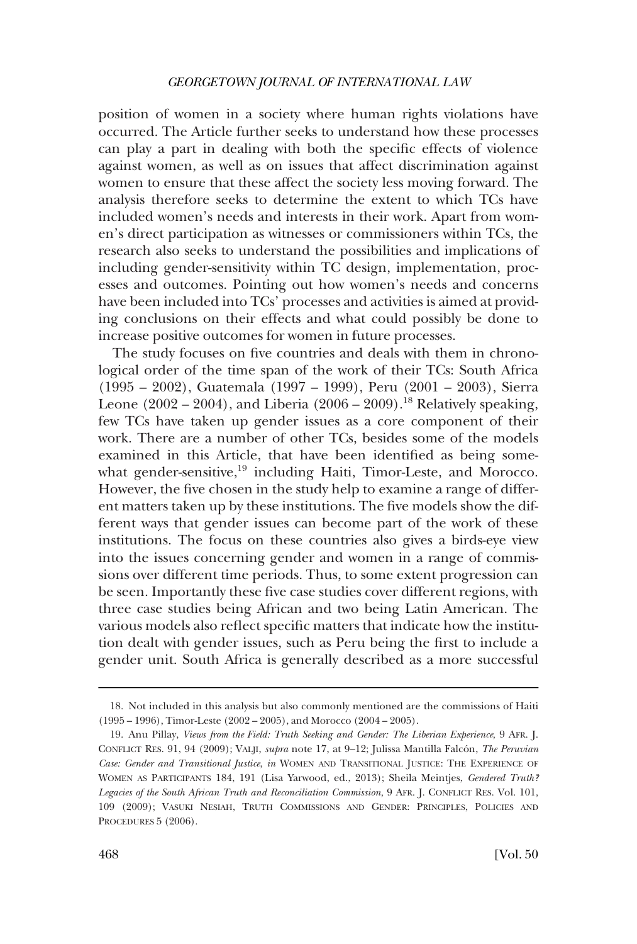position of women in a society where human rights violations have occurred. The Article further seeks to understand how these processes can play a part in dealing with both the specific effects of violence against women, as well as on issues that affect discrimination against women to ensure that these affect the society less moving forward. The analysis therefore seeks to determine the extent to which TCs have included women's needs and interests in their work. Apart from women's direct participation as witnesses or commissioners within TCs, the research also seeks to understand the possibilities and implications of including gender-sensitivity within TC design, implementation, processes and outcomes. Pointing out how women's needs and concerns have been included into TCs' processes and activities is aimed at providing conclusions on their effects and what could possibly be done to increase positive outcomes for women in future processes.

The study focuses on five countries and deals with them in chronological order of the time span of the work of their TCs: South Africa (1995 – 2002), Guatemala (1997 – 1999), Peru (2001 – 2003), Sierra Leone (2002 – 2004), and Liberia (2006 – 2009).<sup>18</sup> Relatively speaking, few TCs have taken up gender issues as a core component of their work. There are a number of other TCs, besides some of the models examined in this Article, that have been identified as being somewhat gender-sensitive,<sup>19</sup> including Haiti, Timor-Leste, and Morocco. However, the five chosen in the study help to examine a range of different matters taken up by these institutions. The five models show the different ways that gender issues can become part of the work of these institutions. The focus on these countries also gives a birds-eye view into the issues concerning gender and women in a range of commissions over different time periods. Thus, to some extent progression can be seen. Importantly these five case studies cover different regions, with three case studies being African and two being Latin American. The various models also reflect specific matters that indicate how the institution dealt with gender issues, such as Peru being the first to include a gender unit. South Africa is generally described as a more successful

<sup>18.</sup> Not included in this analysis but also commonly mentioned are the commissions of Haiti (1995 – 1996), Timor-Leste (2002 – 2005), and Morocco (2004 – 2005).

<sup>19.</sup> Anu Pillay, *Views from the Field: Truth Seeking and Gender: The Liberian Experience*, 9 AFR. J. CONFLICT RES. 91, 94 (2009); VALJI, *supra* note 17, at 9–12; Julissa Mantilla Falco´n, *The Peruvian Case: Gender and Transitional Justice*, *in* WOMEN AND TRANSITIONAL JUSTICE: THE EXPERIENCE OF WOMEN AS PARTICIPANTS 184, 191 (Lisa Yarwood, ed., 2013); Sheila Meintjes, *Gendered Truth? Legacies of the South African Truth and Reconciliation Commission*, 9 AFR. J. CONFLICT RES. Vol. 101, 109 (2009); VASUKI NESIAH, TRUTH COMMISSIONS AND GENDER: PRINCIPLES, POLICIES AND PROCEDURES 5 (2006).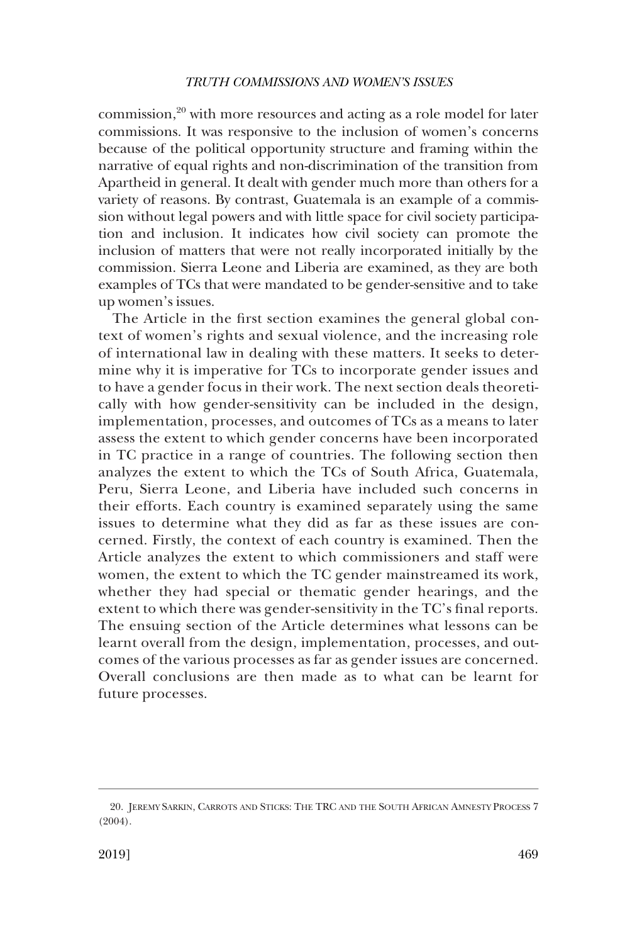commission,20 with more resources and acting as a role model for later commissions. It was responsive to the inclusion of women's concerns because of the political opportunity structure and framing within the narrative of equal rights and non-discrimination of the transition from Apartheid in general. It dealt with gender much more than others for a variety of reasons. By contrast, Guatemala is an example of a commission without legal powers and with little space for civil society participation and inclusion. It indicates how civil society can promote the inclusion of matters that were not really incorporated initially by the commission. Sierra Leone and Liberia are examined, as they are both examples of TCs that were mandated to be gender-sensitive and to take up women's issues.

The Article in the first section examines the general global context of women's rights and sexual violence, and the increasing role of international law in dealing with these matters. It seeks to determine why it is imperative for TCs to incorporate gender issues and to have a gender focus in their work. The next section deals theoretically with how gender-sensitivity can be included in the design, implementation, processes, and outcomes of TCs as a means to later assess the extent to which gender concerns have been incorporated in TC practice in a range of countries. The following section then analyzes the extent to which the TCs of South Africa, Guatemala, Peru, Sierra Leone, and Liberia have included such concerns in their efforts. Each country is examined separately using the same issues to determine what they did as far as these issues are concerned. Firstly, the context of each country is examined. Then the Article analyzes the extent to which commissioners and staff were women, the extent to which the TC gender mainstreamed its work, whether they had special or thematic gender hearings, and the extent to which there was gender-sensitivity in the TC's final reports. The ensuing section of the Article determines what lessons can be learnt overall from the design, implementation, processes, and outcomes of the various processes as far as gender issues are concerned. Overall conclusions are then made as to what can be learnt for future processes.

<sup>20.</sup> JEREMY SARKIN, CARROTS AND STICKS: THE TRC AND THE SOUTH AFRICAN AMNESTY PROCESS 7 (2004).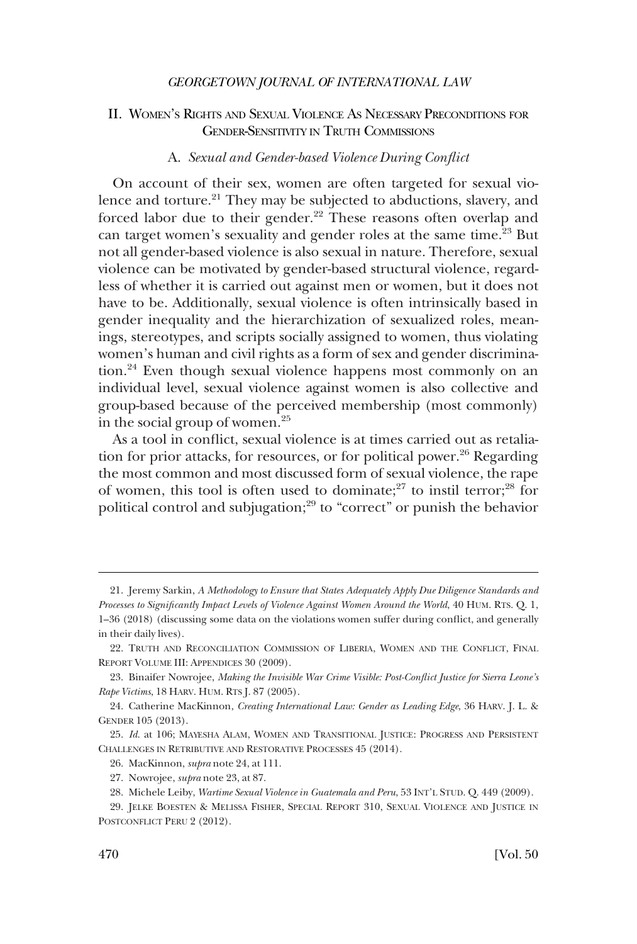# <span id="page-7-0"></span>II. WOMEN'S RIGHTS AND SEXUAL VIOLENCE AS NECESSARY PRECONDITIONS FOR GENDER-SENSITIVITY IN TRUTH COMMISSIONS

## A. *Sexual and Gender-based Violence During Conflict*

On account of their sex, women are often targeted for sexual violence and torture.<sup>21</sup> They may be subjected to abductions, slavery, and forced labor due to their gender.<sup>22</sup> These reasons often overlap and can target women's sexuality and gender roles at the same time.<sup>23</sup> But not all gender-based violence is also sexual in nature. Therefore, sexual violence can be motivated by gender-based structural violence, regardless of whether it is carried out against men or women, but it does not have to be. Additionally, sexual violence is often intrinsically based in gender inequality and the hierarchization of sexualized roles, meanings, stereotypes, and scripts socially assigned to women, thus violating women's human and civil rights as a form of sex and gender discrimination.<sup>24</sup> Even though sexual violence happens most commonly on an individual level, sexual violence against women is also collective and group-based because of the perceived membership (most commonly) in the social group of women.<sup>25</sup>

As a tool in conflict, sexual violence is at times carried out as retaliation for prior attacks, for resources, or for political power.<sup>26</sup> Regarding the most common and most discussed form of sexual violence, the rape of women, this tool is often used to dominate;<sup>27</sup> to instil terror;<sup>28</sup> for political control and subjugation;<sup>29</sup> to "correct" or punish the behavior

27. Nowrojee, *supra* note 23, at 87.

<sup>21.</sup> Jeremy Sarkin, *A Methodology to Ensure that States Adequately Apply Due Diligence Standards and Processes to Significantly Impact Levels of Violence Against Women Around the World*, 40 HUM. RTS. Q. 1, 1–36 (2018) (discussing some data on the violations women suffer during conflict, and generally in their daily lives).

<sup>22.</sup> TRUTH AND RECONCILIATION COMMISSION OF LIBERIA, WOMEN AND THE CONFLICT, FINAL REPORT VOLUME III: APPENDICES 30 (2009).

<sup>23.</sup> Binaifer Nowrojee, *Making the Invisible War Crime Visible: Post-Conflict Justice for Sierra Leone's Rape Victims*, 18 HARV. HUM. RTS J. 87 (2005).

<sup>24.</sup> Catherine MacKinnon, *Creating International Law: Gender as Leading Edge*, 36 HARV. J. L. & GENDER 105 (2013).

<sup>25.</sup> *Id*. at 106; MAYESHA ALAM, WOMEN AND TRANSITIONAL JUSTICE: PROGRESS AND PERSISTENT CHALLENGES IN RETRIBUTIVE AND RESTORATIVE PROCESSES 45 (2014).

<sup>26.</sup> MacKinnon, *supra* note 24, at 111.

<sup>28.</sup> Michele Leiby, *Wartime Sexual Violence in Guatemala and Peru*, 53 INT'L STUD. Q. 449 (2009).

<sup>29.</sup> JELKE BOESTEN & MELISSA FISHER, SPECIAL REPORT 310, SEXUAL VIOLENCE AND JUSTICE IN POSTCONFLICT PERU 2 (2012).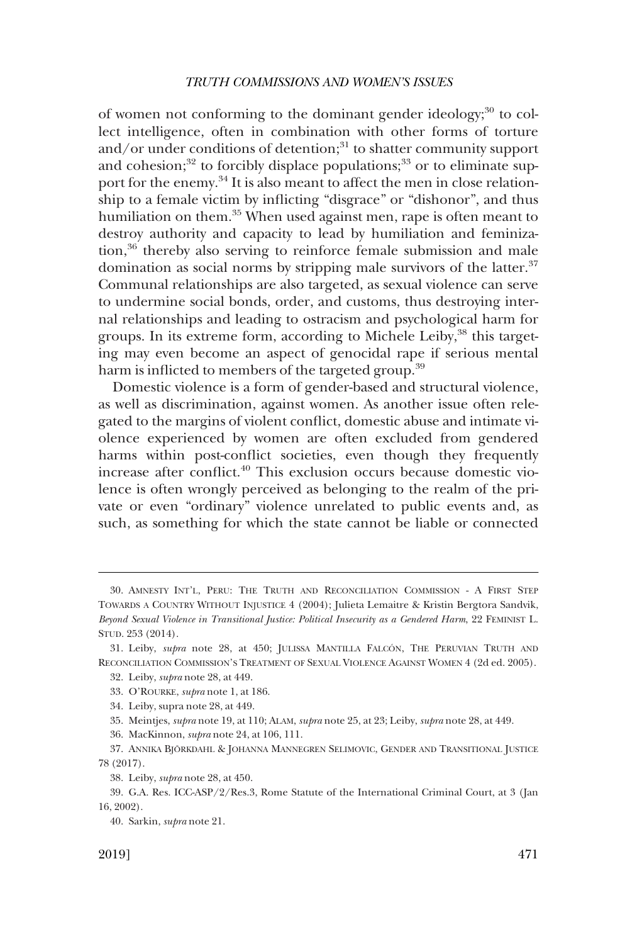of women not conforming to the dominant gender ideology;<sup>30</sup> to collect intelligence, often in combination with other forms of torture and/or under conditions of detention;<sup>31</sup> to shatter community support and cohesion; $32$  to forcibly displace populations; $33$  or to eliminate support for the enemy.<sup>34</sup> It is also meant to affect the men in close relationship to a female victim by inflicting "disgrace" or "dishonor", and thus humiliation on them.<sup>35</sup> When used against men, rape is often meant to destroy authority and capacity to lead by humiliation and feminization,<sup>36</sup> thereby also serving to reinforce female submission and male domination as social norms by stripping male survivors of the latter. $37$ Communal relationships are also targeted, as sexual violence can serve to undermine social bonds, order, and customs, thus destroying internal relationships and leading to ostracism and psychological harm for groups. In its extreme form, according to Michele Leiby,<sup>38</sup> this targeting may even become an aspect of genocidal rape if serious mental harm is inflicted to members of the targeted group.<sup>39</sup>

Domestic violence is a form of gender-based and structural violence, as well as discrimination, against women. As another issue often relegated to the margins of violent conflict, domestic abuse and intimate violence experienced by women are often excluded from gendered harms within post-conflict societies, even though they frequently increase after conflict.<sup>40</sup> This exclusion occurs because domestic violence is often wrongly perceived as belonging to the realm of the private or even "ordinary" violence unrelated to public events and, as such, as something for which the state cannot be liable or connected

<sup>30.</sup> AMNESTY INT'L, PERU: THE TRUTH AND RECONCILIATION COMMISSION - A FIRST STEP TOWARDS A COUNTRY WITHOUT INJUSTICE 4 (2004); Julieta Lemaitre & Kristin Bergtora Sandvik, *Beyond Sexual Violence in Transitional Justice: Political Insecurity as a Gendered Harm*, 22 FEMINIST L. STUD. 253 (2014).

<sup>31.</sup> Leiby, *supra* note 28, at 450; JULISSA MANTILLA FALCÓN, THE PERUVIAN TRUTH AND RECONCILIATION COMMISSION'S TREATMENT OF SEXUAL VIOLENCE AGAINST WOMEN 4 (2d ed. 2005).

<sup>32.</sup> Leiby, *supra* note 28, at 449.

<sup>33.</sup> O'ROURKE, *supra* note 1, at 186.

<sup>34.</sup> Leiby, supra note 28, at 449.

<sup>35.</sup> Meintjes, *supra* note 19, at 110; ALAM, *supra* note 25, at 23; Leiby, *supra* note 28, at 449.

<sup>36.</sup> MacKinnon, *supra* note 24, at 106, 111.

<sup>37.</sup> ANNIKA BJÖRKDAHL & JOHANNA MANNEGREN SELIMOVIC, GENDER AND TRANSITIONAL JUSTICE 78 (2017).

<sup>38.</sup> Leiby, *supra* note 28, at 450.

<sup>39.</sup> G.A. Res. ICC-ASP/2/Res.3, Rome Statute of the International Criminal Court, at 3 (Jan 16, 2002).

<sup>40.</sup> Sarkin, *supra* note 21.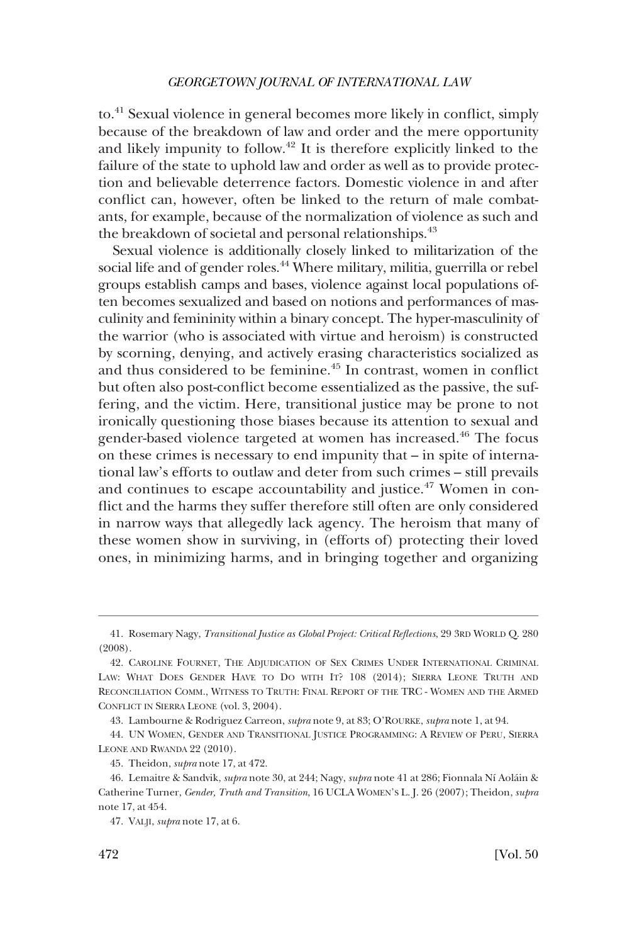to.41 Sexual violence in general becomes more likely in conflict, simply because of the breakdown of law and order and the mere opportunity and likely impunity to follow.<sup>42</sup> It is therefore explicitly linked to the failure of the state to uphold law and order as well as to provide protection and believable deterrence factors. Domestic violence in and after conflict can, however, often be linked to the return of male combatants, for example, because of the normalization of violence as such and the breakdown of societal and personal relationships.<sup>43</sup>

Sexual violence is additionally closely linked to militarization of the social life and of gender roles.<sup>44</sup> Where military, militia, guerrilla or rebel groups establish camps and bases, violence against local populations often becomes sexualized and based on notions and performances of masculinity and femininity within a binary concept. The hyper-masculinity of the warrior (who is associated with virtue and heroism) is constructed by scorning, denying, and actively erasing characteristics socialized as and thus considered to be feminine.<sup>45</sup> In contrast, women in conflict but often also post-conflict become essentialized as the passive, the suffering, and the victim. Here, transitional justice may be prone to not ironically questioning those biases because its attention to sexual and gender-based violence targeted at women has increased.46 The focus on these crimes is necessary to end impunity that – in spite of international law's efforts to outlaw and deter from such crimes – still prevails and continues to escape accountability and justice.<sup>47</sup> Women in conflict and the harms they suffer therefore still often are only considered in narrow ways that allegedly lack agency. The heroism that many of these women show in surviving, in (efforts of) protecting their loved ones, in minimizing harms, and in bringing together and organizing

43. Lambourne & Rodriguez Carreon, *supra* note 9, at 83; O'ROURKE, *supra* note 1, at 94.

<sup>41.</sup> Rosemary Nagy, *Transitional Justice as Global Project: Critical Reflections*, 29 3RD WORLD Q. 280 (2008).

<sup>42.</sup> CAROLINE FOURNET, THE ADJUDICATION OF SEX CRIMES UNDER INTERNATIONAL CRIMINAL LAW: WHAT DOES GENDER HAVE TO DO WITH IT? 108 (2014); SIERRA LEONE TRUTH AND RECONCILIATION COMM., WITNESS TO TRUTH: FINAL REPORT OF THE TRC - WOMEN AND THE ARMED CONFLICT IN SIERRA LEONE (vol. 3, 2004).

<sup>44.</sup> UN WOMEN, GENDER AND TRANSITIONAL JUSTICE PROGRAMMING: A REVIEW OF PERU, SIERRA LEONE AND RWANDA 22 (2010).

<sup>45.</sup> Theidon, *supra* note 17, at 472.

<sup>46.</sup> Lemaitre & Sandvik, *supra* note 30, at 244; Nagy, *supra* note 41 at 286; Fionnala Nı´ Aola´in & Catherine Turner, *Gender, Truth and Transition*, 16 UCLA WOMEN'S L. J. 26 (2007); Theidon, *supra*  note 17, at 454.

<sup>47.</sup> VALJI, *supra* note 17, at 6.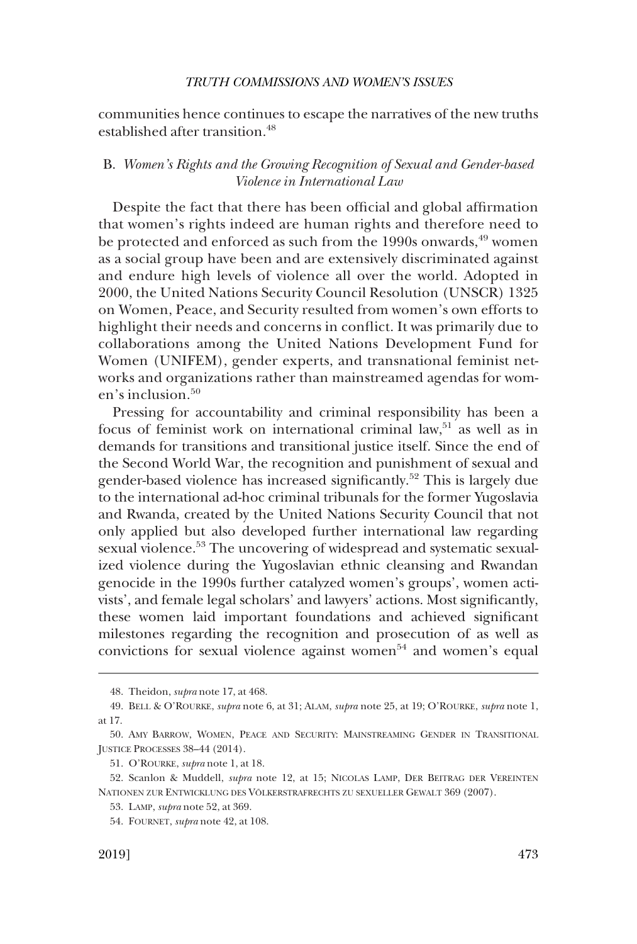<span id="page-10-0"></span>communities hence continues to escape the narratives of the new truths established after transition.<sup>48</sup>

# B. *Women's Rights and the Growing Recognition of Sexual and Gender-based Violence in International Law*

Despite the fact that there has been official and global affirmation that women's rights indeed are human rights and therefore need to be protected and enforced as such from the 1990s onwards,<sup>49</sup> women as a social group have been and are extensively discriminated against and endure high levels of violence all over the world. Adopted in 2000, the United Nations Security Council Resolution (UNSCR) 1325 on Women, Peace, and Security resulted from women's own efforts to highlight their needs and concerns in conflict. It was primarily due to collaborations among the United Nations Development Fund for Women (UNIFEM), gender experts, and transnational feminist networks and organizations rather than mainstreamed agendas for women's inclusion.<sup>50</sup>

Pressing for accountability and criminal responsibility has been a focus of feminist work on international criminal law,<sup>51</sup> as well as in demands for transitions and transitional justice itself. Since the end of the Second World War, the recognition and punishment of sexual and gender-based violence has increased significantly.52 This is largely due to the international ad-hoc criminal tribunals for the former Yugoslavia and Rwanda, created by the United Nations Security Council that not only applied but also developed further international law regarding sexual violence.<sup>53</sup> The uncovering of widespread and systematic sexualized violence during the Yugoslavian ethnic cleansing and Rwandan genocide in the 1990s further catalyzed women's groups', women activists', and female legal scholars' and lawyers' actions. Most significantly, these women laid important foundations and achieved significant milestones regarding the recognition and prosecution of as well as convictions for sexual violence against women<sup>54</sup> and women's equal

<sup>48.</sup> Theidon, *supra* note 17, at 468.

<sup>49.</sup> BELL & O'ROURKE, *supra* note 6, at 31; ALAM, *supra* note 25, at 19; O'ROURKE, *supra* note 1, at 17.

<sup>50.</sup> AMY BARROW, WOMEN, PEACE AND SECURITY: MAINSTREAMING GENDER IN TRANSITIONAL JUSTICE PROCESSES 38–44 (2014).

<sup>51.</sup> O'ROURKE, *supra* note 1, at 18.

<sup>52.</sup> Scanlon & Muddell, *supra* note 12, at 15; NICOLAS LAMP, DER BEITRAG DER VEREINTEN NATIONEN ZUR ENTWICKLUNG DES VÖLKERSTRAFRECHTS ZU SEXUELLER GEWALT 369 (2007).

<sup>53.</sup> LAMP, *supra* note 52, at 369.

<sup>54.</sup> FOURNET, *supra* note 42, at 108.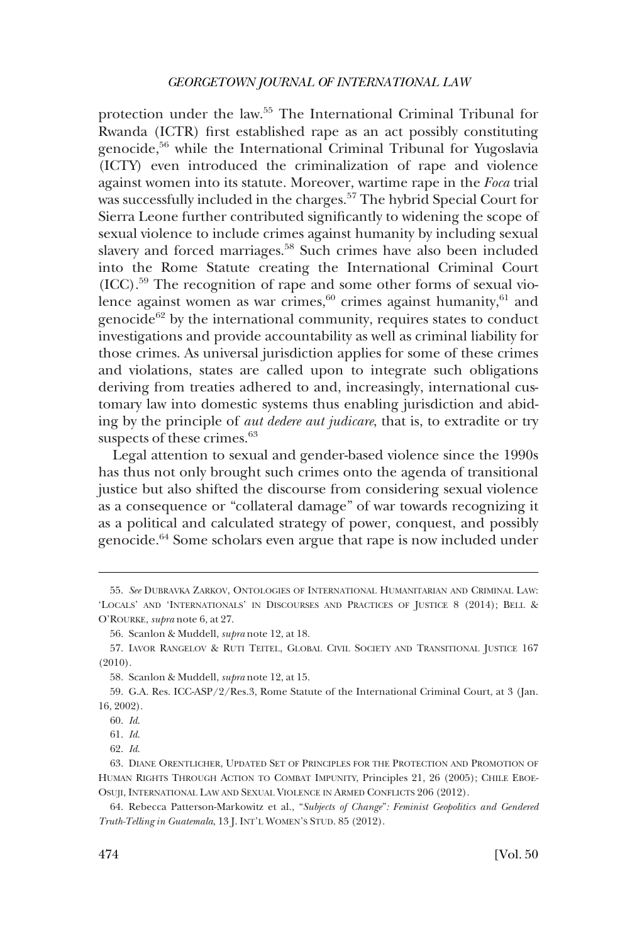protection under the law.<sup>55</sup> The International Criminal Tribunal for Rwanda (ICTR) first established rape as an act possibly constituting genocide,<sup>56</sup> while the International Criminal Tribunal for Yugoslavia (ICTY) even introduced the criminalization of rape and violence against women into its statute. Moreover, wartime rape in the *Foca* trial was successfully included in the charges.<sup>57</sup> The hybrid Special Court for Sierra Leone further contributed significantly to widening the scope of sexual violence to include crimes against humanity by including sexual slavery and forced marriages.<sup>58</sup> Such crimes have also been included into the Rome Statute creating the International Criminal Court (ICC).59 The recognition of rape and some other forms of sexual violence against women as war crimes,<sup>60</sup> crimes against humanity,<sup>61</sup> and genocide $62$  by the international community, requires states to conduct investigations and provide accountability as well as criminal liability for those crimes. As universal jurisdiction applies for some of these crimes and violations, states are called upon to integrate such obligations deriving from treaties adhered to and, increasingly, international customary law into domestic systems thus enabling jurisdiction and abiding by the principle of *aut dedere aut judicare*, that is, to extradite or try suspects of these crimes. $63$ 

Legal attention to sexual and gender-based violence since the 1990s has thus not only brought such crimes onto the agenda of transitional justice but also shifted the discourse from considering sexual violence as a consequence or "collateral damage" of war towards recognizing it as a political and calculated strategy of power, conquest, and possibly genocide.64 Some scholars even argue that rape is now included under

<sup>55.</sup> *See* DUBRAVKA ZARKOV, ONTOLOGIES OF INTERNATIONAL HUMANITARIAN AND CRIMINAL LAW: 'LOCALS' AND 'INTERNATIONALS' IN DISCOURSES AND PRACTICES OF JUSTICE 8 (2014); BELL & O'ROURKE, *supra* note 6, at 27.

<sup>56.</sup> Scanlon & Muddell, *supra* note 12, at 18.

<sup>57.</sup> IAVOR RANGELOV & RUTI TEITEL, GLOBAL CIVIL SOCIETY AND TRANSITIONAL JUSTICE 167 (2010).

<sup>58.</sup> Scanlon & Muddell, *supra* note 12, at 15.

<sup>59.</sup> G.A. Res. ICC-ASP/2/Res.3, Rome Statute of the International Criminal Court, at 3 (Jan. 16, 2002).

<sup>60.</sup> *Id*.

<sup>61.</sup> *Id*.

<sup>62.</sup> *Id*.

<sup>63.</sup> DIANE ORENTLICHER, UPDATED SET OF PRINCIPLES FOR THE PROTECTION AND PROMOTION OF HUMAN RIGHTS THROUGH ACTION TO COMBAT IMPUNITY, Principles 21, 26 (2005); CHILE EBOE-OSUJI, INTERNATIONAL LAW AND SEXUAL VIOLENCE IN ARMED CONFLICTS 206 (2012).

<sup>64.</sup> Rebecca Patterson-Markowitz et al., "*Subjects of Change*"*: Feminist Geopolitics and Gendered Truth-Telling in Guatemala*, 13 J. INT'L WOMEN'S STUD. 85 (2012).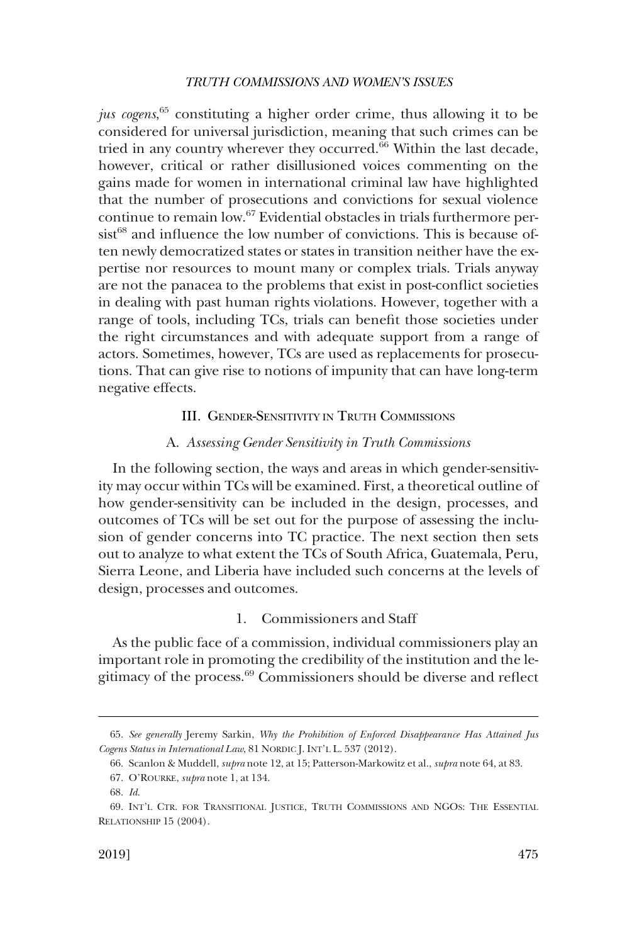<span id="page-12-0"></span>*jus cogens*, 65 constituting a higher order crime, thus allowing it to be considered for universal jurisdiction, meaning that such crimes can be tried in any country wherever they occurred.<sup>66</sup> Within the last decade, however, critical or rather disillusioned voices commenting on the gains made for women in international criminal law have highlighted that the number of prosecutions and convictions for sexual violence continue to remain low.67 Evidential obstacles in trials furthermore per $sist^{68}$  and influence the low number of convictions. This is because often newly democratized states or states in transition neither have the expertise nor resources to mount many or complex trials. Trials anyway are not the panacea to the problems that exist in post-conflict societies in dealing with past human rights violations. However, together with a range of tools, including TCs, trials can benefit those societies under the right circumstances and with adequate support from a range of actors. Sometimes, however, TCs are used as replacements for prosecutions. That can give rise to notions of impunity that can have long-term negative effects.

## III. GENDER-SENSITIVITY IN TRUTH COMMISSIONS

## A. *Assessing Gender Sensitivity in Truth Commissions*

In the following section, the ways and areas in which gender-sensitivity may occur within TCs will be examined. First, a theoretical outline of how gender-sensitivity can be included in the design, processes, and outcomes of TCs will be set out for the purpose of assessing the inclusion of gender concerns into TC practice. The next section then sets out to analyze to what extent the TCs of South Africa, Guatemala, Peru, Sierra Leone, and Liberia have included such concerns at the levels of design, processes and outcomes.

## 1. Commissioners and Staff

As the public face of a commission, individual commissioners play an important role in promoting the credibility of the institution and the legitimacy of the process.69 Commissioners should be diverse and reflect

<sup>65.</sup> *See generally* Jeremy Sarkin, *Why the Prohibition of Enforced Disappearance Has Attained Jus Cogens Status in International Law*, 81 NORDIC J. INT'L L. 537 (2012).

<sup>66.</sup> Scanlon & Muddell, *supra* note 12, at 15; Patterson-Markowitz et al., *supra* note 64, at 83.

<sup>67.</sup> O'ROURKE, *supra* note 1, at 134.

<sup>68.</sup> *Id*.

<sup>69.</sup> INT'L CTR. FOR TRANSITIONAL JUSTICE, TRUTH COMMISSIONS AND NGOS: THE ESSENTIAL RELATIONSHIP 15 (2004).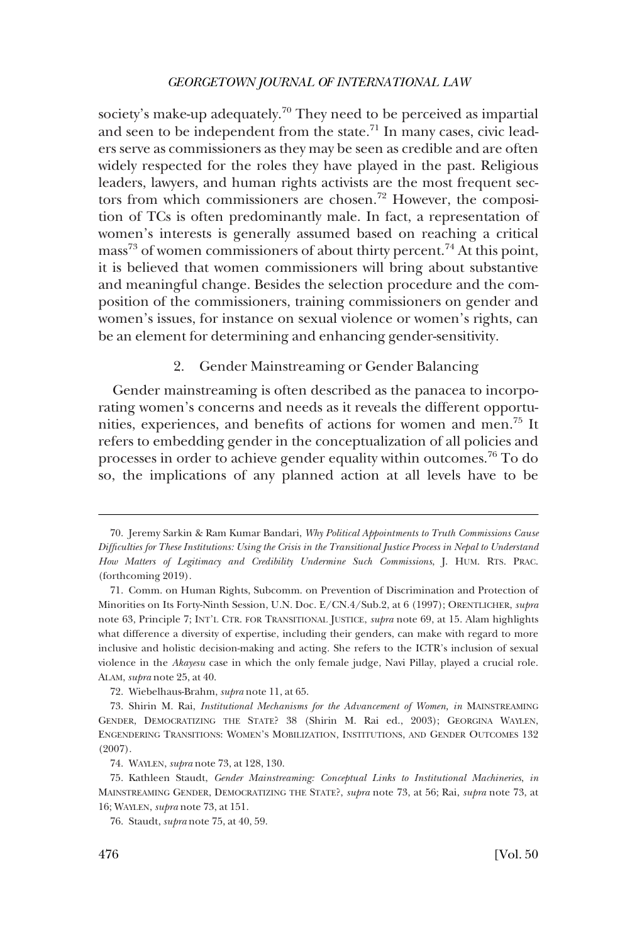<span id="page-13-0"></span>society's make-up adequately.<sup>70</sup> They need to be perceived as impartial and seen to be independent from the state.<sup>71</sup> In many cases, civic leaders serve as commissioners as they may be seen as credible and are often widely respected for the roles they have played in the past. Religious leaders, lawyers, and human rights activists are the most frequent sectors from which commissioners are chosen.72 However, the composition of TCs is often predominantly male. In fact, a representation of women's interests is generally assumed based on reaching a critical mass<sup>73</sup> of women commissioners of about thirty percent.<sup>74</sup> At this point, it is believed that women commissioners will bring about substantive and meaningful change. Besides the selection procedure and the composition of the commissioners, training commissioners on gender and women's issues, for instance on sexual violence or women's rights, can be an element for determining and enhancing gender-sensitivity.

# 2. Gender Mainstreaming or Gender Balancing

Gender mainstreaming is often described as the panacea to incorporating women's concerns and needs as it reveals the different opportunities, experiences, and benefits of actions for women and men.75 It refers to embedding gender in the conceptualization of all policies and processes in order to achieve gender equality within outcomes.76 To do so, the implications of any planned action at all levels have to be

<sup>70.</sup> Jeremy Sarkin & Ram Kumar Bandari, *Why Political Appointments to Truth Commissions Cause Difficulties for These Institutions: Using the Crisis in the Transitional Justice Process in Nepal to Understand How Matters of Legitimacy and Credibility Undermine Such Commissions*, J. HUM. RTS. PRAC. (forthcoming 2019).

<sup>71.</sup> Comm. on Human Rights, Subcomm. on Prevention of Discrimination and Protection of Minorities on Its Forty-Ninth Session, U.N. Doc. E/CN.4/Sub.2, at 6 (1997); ORENTLICHER, *supra*  note 63, Principle 7; INT'L CTR. FOR TRANSITIONAL JUSTICE, *supra* note 69, at 15. Alam highlights what difference a diversity of expertise, including their genders, can make with regard to more inclusive and holistic decision-making and acting. She refers to the ICTR's inclusion of sexual violence in the *Akayesu* case in which the only female judge, Navi Pillay, played a crucial role. ALAM, *supra* note 25, at 40.

<sup>72.</sup> Wiebelhaus-Brahm, *supra* note 11, at 65.

<sup>73.</sup> Shirin M. Rai, *Institutional Mechanisms for the Advancement of Women, in* MAINSTREAMING GENDER, DEMOCRATIZING THE STATE? 38 (Shirin M. Rai ed., 2003); GEORGINA WAYLEN, ENGENDERING TRANSITIONS: WOMEN'S MOBILIZATION, INSTITUTIONS, AND GENDER OUTCOMES 132 (2007).

<sup>74.</sup> WAYLEN, *supra* note 73, at 128, 130.

<sup>75.</sup> Kathleen Staudt, *Gender Mainstreaming: Conceptual Links to Institutional Machineries*, *in*  MAINSTREAMING GENDER, DEMOCRATIZING THE STATE?, *supra* note 73, at 56; Rai, *supra* note 73, at 16; WAYLEN, *supra* note 73, at 151.

<sup>76.</sup> Staudt, *supra* note 75, at 40, 59.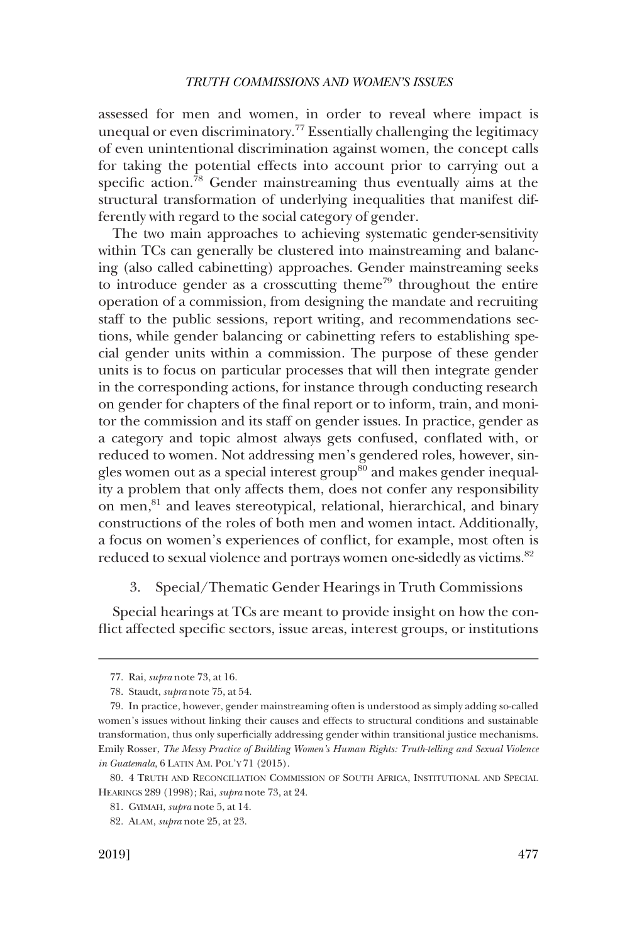<span id="page-14-0"></span>assessed for men and women, in order to reveal where impact is unequal or even discriminatory.<sup>77</sup> Essentially challenging the legitimacy of even unintentional discrimination against women, the concept calls for taking the potential effects into account prior to carrying out a specific action. $\bar{7}8$  Gender mainstreaming thus eventually aims at the structural transformation of underlying inequalities that manifest differently with regard to the social category of gender.

The two main approaches to achieving systematic gender-sensitivity within TCs can generally be clustered into mainstreaming and balancing (also called cabinetting) approaches. Gender mainstreaming seeks to introduce gender as a crosscutting theme<sup>79</sup> throughout the entire operation of a commission, from designing the mandate and recruiting staff to the public sessions, report writing, and recommendations sections, while gender balancing or cabinetting refers to establishing special gender units within a commission. The purpose of these gender units is to focus on particular processes that will then integrate gender in the corresponding actions, for instance through conducting research on gender for chapters of the final report or to inform, train, and monitor the commission and its staff on gender issues. In practice, gender as a category and topic almost always gets confused, conflated with, or reduced to women. Not addressing men's gendered roles, however, singles women out as a special interest group $\delta^0$  and makes gender inequality a problem that only affects them, does not confer any responsibility on men,<sup>81</sup> and leaves stereotypical, relational, hierarchical, and binary constructions of the roles of both men and women intact. Additionally, a focus on women's experiences of conflict, for example, most often is reduced to sexual violence and portrays women one-sidedly as victims.<sup>82</sup>

# 3. Special/Thematic Gender Hearings in Truth Commissions

Special hearings at TCs are meant to provide insight on how the conflict affected specific sectors, issue areas, interest groups, or institutions

<sup>77.</sup> Rai, *supra* note 73, at 16.

<sup>78.</sup> Staudt, *supra* note 75, at 54.

<sup>79.</sup> In practice, however, gender mainstreaming often is understood as simply adding so-called women's issues without linking their causes and effects to structural conditions and sustainable transformation, thus only superficially addressing gender within transitional justice mechanisms. Emily Rosser, *The Messy Practice of Building Women's Human Rights: Truth-telling and Sexual Violence in Guatemala*, 6 LATIN AM. POL'Y 71 (2015).

<sup>80. 4</sup> TRUTH AND RECONCILIATION COMMISSION OF SOUTH AFRICA, INSTITUTIONAL AND SPECIAL HEARINGS 289 (1998); Rai, *supra* note 73, at 24.

<sup>81.</sup> GYIMAH, *supra* note 5, at 14.

<sup>82.</sup> ALAM, *supra* note 25, at 23.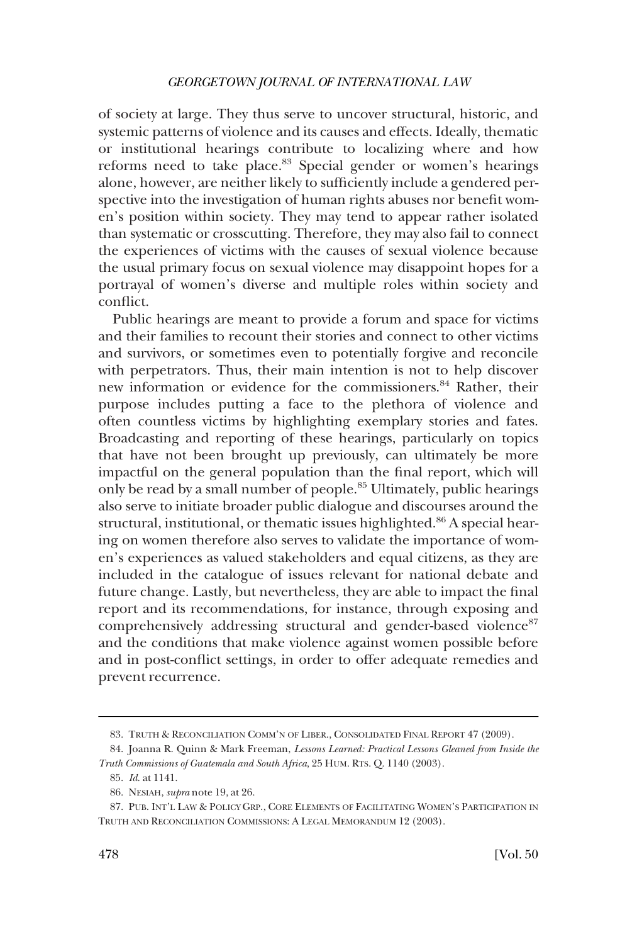of society at large. They thus serve to uncover structural, historic, and systemic patterns of violence and its causes and effects. Ideally, thematic or institutional hearings contribute to localizing where and how reforms need to take place.<sup>83</sup> Special gender or women's hearings alone, however, are neither likely to sufficiently include a gendered perspective into the investigation of human rights abuses nor benefit women's position within society. They may tend to appear rather isolated than systematic or crosscutting. Therefore, they may also fail to connect the experiences of victims with the causes of sexual violence because the usual primary focus on sexual violence may disappoint hopes for a portrayal of women's diverse and multiple roles within society and conflict.

Public hearings are meant to provide a forum and space for victims and their families to recount their stories and connect to other victims and survivors, or sometimes even to potentially forgive and reconcile with perpetrators. Thus, their main intention is not to help discover new information or evidence for the commissioners.<sup>84</sup> Rather, their purpose includes putting a face to the plethora of violence and often countless victims by highlighting exemplary stories and fates. Broadcasting and reporting of these hearings, particularly on topics that have not been brought up previously, can ultimately be more impactful on the general population than the final report, which will only be read by a small number of people.<sup>85</sup> Ultimately, public hearings also serve to initiate broader public dialogue and discourses around the structural, institutional, or thematic issues highlighted.<sup>86</sup> A special hearing on women therefore also serves to validate the importance of women's experiences as valued stakeholders and equal citizens, as they are included in the catalogue of issues relevant for national debate and future change. Lastly, but nevertheless, they are able to impact the final report and its recommendations, for instance, through exposing and comprehensively addressing structural and gender-based violence<sup>87</sup> and the conditions that make violence against women possible before and in post-conflict settings, in order to offer adequate remedies and prevent recurrence.

<sup>83.</sup> TRUTH & RECONCILIATION COMM'N OF LIBER., CONSOLIDATED FINAL REPORT 47 (2009).

<sup>84.</sup> Joanna R. Quinn & Mark Freeman, *Lessons Learned: Practical Lessons Gleaned from Inside the Truth Commissions of Guatemala and South Africa*, 25 HUM. RTS. Q. 1140 (2003).

<sup>85.</sup> *Id*. at 1141.

<sup>86.</sup> NESIAH, *supra* note 19, at 26.

<sup>87.</sup> PUB. INT'L LAW & POLICY GRP., CORE ELEMENTS OF FACILITATING WOMEN'S PARTICIPATION IN TRUTH AND RECONCILIATION COMMISSIONS: A LEGAL MEMORANDUM 12 (2003).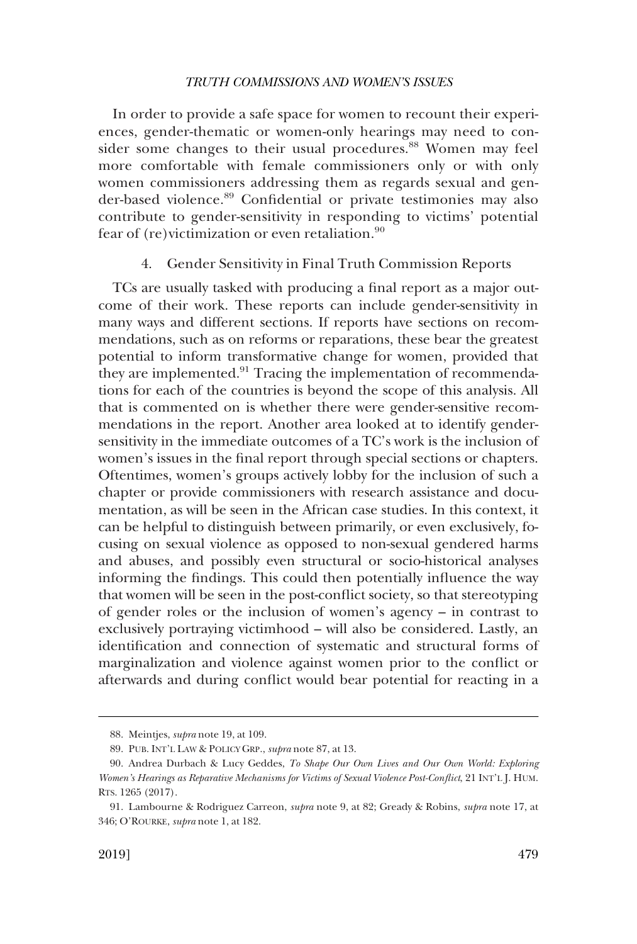<span id="page-16-0"></span>In order to provide a safe space for women to recount their experiences, gender-thematic or women-only hearings may need to consider some changes to their usual procedures.<sup>88</sup> Women may feel more comfortable with female commissioners only or with only women commissioners addressing them as regards sexual and gender-based violence.<sup>89</sup> Confidential or private testimonies may also contribute to gender-sensitivity in responding to victims' potential fear of (re)victimization or even retaliation. $90$ 

# 4. Gender Sensitivity in Final Truth Commission Reports

TCs are usually tasked with producing a final report as a major outcome of their work. These reports can include gender-sensitivity in many ways and different sections. If reports have sections on recommendations, such as on reforms or reparations, these bear the greatest potential to inform transformative change for women, provided that they are implemented.<sup>91</sup> Tracing the implementation of recommendations for each of the countries is beyond the scope of this analysis. All that is commented on is whether there were gender-sensitive recommendations in the report. Another area looked at to identify gendersensitivity in the immediate outcomes of a TC's work is the inclusion of women's issues in the final report through special sections or chapters. Oftentimes, women's groups actively lobby for the inclusion of such a chapter or provide commissioners with research assistance and documentation, as will be seen in the African case studies. In this context, it can be helpful to distinguish between primarily, or even exclusively, focusing on sexual violence as opposed to non-sexual gendered harms and abuses, and possibly even structural or socio-historical analyses informing the findings. This could then potentially influence the way that women will be seen in the post-conflict society, so that stereotyping of gender roles or the inclusion of women's agency – in contrast to exclusively portraying victimhood – will also be considered. Lastly, an identification and connection of systematic and structural forms of marginalization and violence against women prior to the conflict or afterwards and during conflict would bear potential for reacting in a

<sup>88.</sup> Meintjes, *supra* note 19, at 109.

<sup>89.</sup> PUB. INT'L LAW & POLICY GRP., *supra* note 87, at 13.

<sup>90.</sup> Andrea Durbach & Lucy Geddes, *To Shape Our Own Lives and Our Own World: Exploring Women's Hearings as Reparative Mechanisms for Victims of Sexual Violence Post-Conflict*, 21 INT'L J. HUM. RTS. 1265 (2017).

<sup>91.</sup> Lambourne & Rodriguez Carreon, *supra* note 9, at 82; Gready & Robins, *supra* note 17, at 346; O'ROURKE, *supra* note 1, at 182.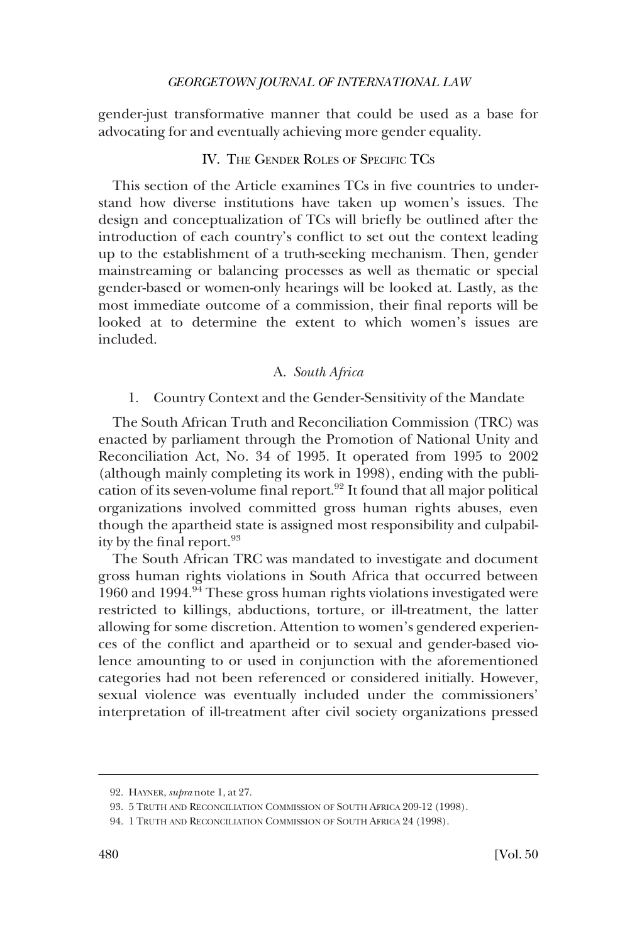<span id="page-17-0"></span>gender-just transformative manner that could be used as a base for advocating for and eventually achieving more gender equality.

# IV. THE GENDER ROLES OF SPECIFIC TCS

This section of the Article examines TCs in five countries to understand how diverse institutions have taken up women's issues. The design and conceptualization of TCs will briefly be outlined after the introduction of each country's conflict to set out the context leading up to the establishment of a truth-seeking mechanism. Then, gender mainstreaming or balancing processes as well as thematic or special gender-based or women-only hearings will be looked at. Lastly, as the most immediate outcome of a commission, their final reports will be looked at to determine the extent to which women's issues are included.

# A. *South Africa*

## 1. Country Context and the Gender-Sensitivity of the Mandate

The South African Truth and Reconciliation Commission (TRC) was enacted by parliament through the Promotion of National Unity and Reconciliation Act, No. 34 of 1995. It operated from 1995 to 2002 (although mainly completing its work in 1998), ending with the publication of its seven-volume final report.<sup>92</sup> It found that all major political organizations involved committed gross human rights abuses, even though the apartheid state is assigned most responsibility and culpability by the final report.<sup>93</sup>

The South African TRC was mandated to investigate and document gross human rights violations in South Africa that occurred between 1960 and 1994.<sup>94</sup> These gross human rights violations investigated were restricted to killings, abductions, torture, or ill-treatment, the latter allowing for some discretion. Attention to women's gendered experiences of the conflict and apartheid or to sexual and gender-based violence amounting to or used in conjunction with the aforementioned categories had not been referenced or considered initially. However, sexual violence was eventually included under the commissioners' interpretation of ill-treatment after civil society organizations pressed

<sup>92.</sup> HAYNER, *supra* note 1, at 27.

<sup>93. 5</sup> TRUTH AND RECONCILIATION COMMISSION OF SOUTH AFRICA 209-12 (1998).

<sup>94. 1</sup> TRUTH AND RECONCILIATION COMMISSION OF SOUTH AFRICA 24 (1998).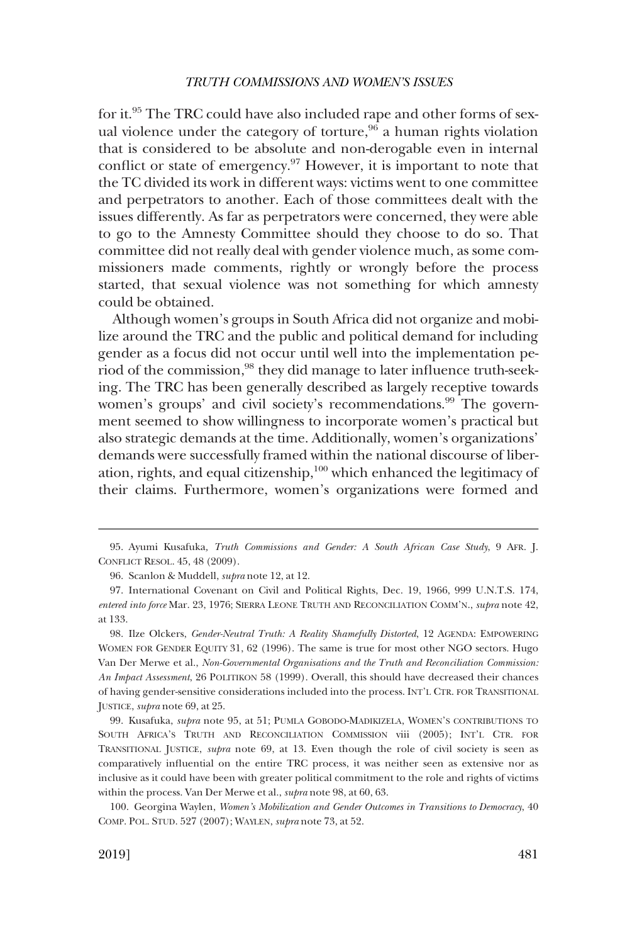for it.95 The TRC could have also included rape and other forms of sexual violence under the category of torture,  $96$  a human rights violation that is considered to be absolute and non-derogable even in internal conflict or state of emergency. $97$  However, it is important to note that the TC divided its work in different ways: victims went to one committee and perpetrators to another. Each of those committees dealt with the issues differently. As far as perpetrators were concerned, they were able to go to the Amnesty Committee should they choose to do so. That committee did not really deal with gender violence much, as some commissioners made comments, rightly or wrongly before the process started, that sexual violence was not something for which amnesty could be obtained.

Although women's groups in South Africa did not organize and mobilize around the TRC and the public and political demand for including gender as a focus did not occur until well into the implementation period of the commission,<sup>98</sup> they did manage to later influence truth-seeking. The TRC has been generally described as largely receptive towards women's groups' and civil society's recommendations.<sup>99</sup> The government seemed to show willingness to incorporate women's practical but also strategic demands at the time. Additionally, women's organizations' demands were successfully framed within the national discourse of liberation, rights, and equal citizenship,100 which enhanced the legitimacy of their claims. Furthermore, women's organizations were formed and

98. Ilze Olckers, *Gender-Neutral Truth: A Reality Shamefully Distorted*, 12 AGENDA: EMPOWERING WOMEN FOR GENDER EQUITY 31, 62 (1996). The same is true for most other NGO sectors. Hugo Van Der Merwe et al., *Non-Governmental Organisations and the Truth and Reconciliation Commission: An Impact Assessment*, 26 POLITIKON 58 (1999). Overall, this should have decreased their chances of having gender-sensitive considerations included into the process. INT'L CTR. FOR TRANSITIONAL JUSTICE, *supra* note 69, at 25.

99. Kusafuka, *supra* note 95, at 51; PUMLA GOBODO-MADIKIZELA, WOMEN'S CONTRIBUTIONS TO SOUTH AFRICA'S TRUTH AND RECONCILIATION COMMISSION viii (2005); INT'L CTR. FOR TRANSITIONAL JUSTICE, *supra* note 69, at 13. Even though the role of civil society is seen as comparatively influential on the entire TRC process, it was neither seen as extensive nor as inclusive as it could have been with greater political commitment to the role and rights of victims within the process. Van Der Merwe et al., *supra* note 98, at 60, 63.

100. Georgina Waylen, *Women's Mobilization and Gender Outcomes in Transitions to Democracy*, 40 COMP. POL. STUD. 527 (2007); WAYLEN, *supra* note 73, at 52.

<sup>95.</sup> Ayumi Kusafuka*, Truth Commissions and Gender: A South African Case Study*, 9 AFR. J. CONFLICT RESOL. 45, 48 (2009).

<sup>96.</sup> Scanlon & Muddell, *supra* note 12, at 12.

<sup>97.</sup> International Covenant on Civil and Political Rights, Dec. 19, 1966, 999 U.N.T.S. 174, *entered into force* Mar. 23, 1976; SIERRA LEONE TRUTH AND RECONCILIATION COMM'N., *supra* note 42, at 133.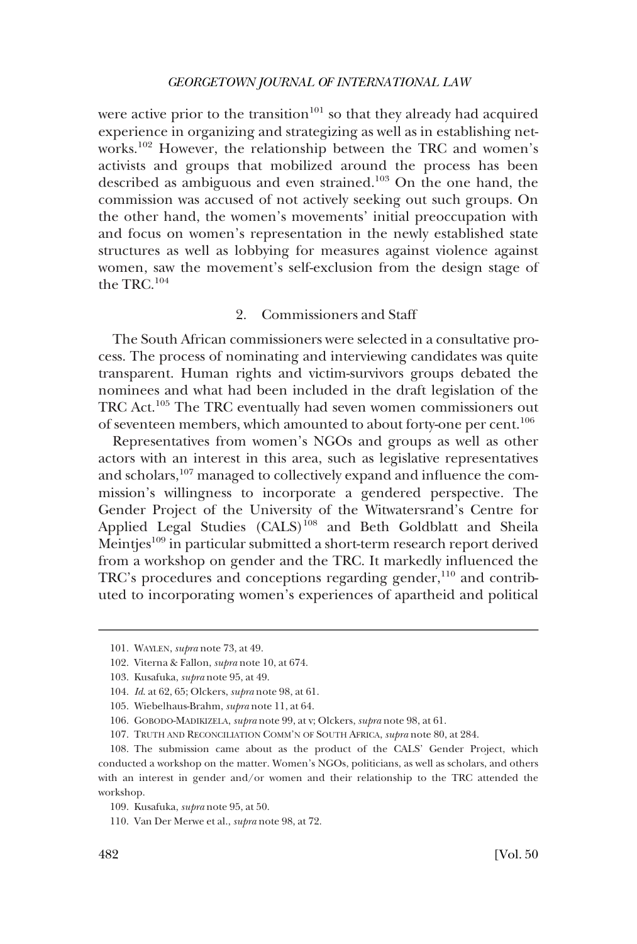<span id="page-19-0"></span>were active prior to the transition $101$  so that they already had acquired experience in organizing and strategizing as well as in establishing networks.102 However, the relationship between the TRC and women's activists and groups that mobilized around the process has been described as ambiguous and even strained.<sup>103</sup> On the one hand, the commission was accused of not actively seeking out such groups. On the other hand, the women's movements' initial preoccupation with and focus on women's representation in the newly established state structures as well as lobbying for measures against violence against women, saw the movement's self-exclusion from the design stage of the TRC.<sup>104</sup>

## 2. Commissioners and Staff

The South African commissioners were selected in a consultative process. The process of nominating and interviewing candidates was quite transparent. Human rights and victim-survivors groups debated the nominees and what had been included in the draft legislation of the TRC Act.105 The TRC eventually had seven women commissioners out of seventeen members, which amounted to about forty-one per cent.106

Representatives from women's NGOs and groups as well as other actors with an interest in this area, such as legislative representatives and scholars,<sup>107</sup> managed to collectively expand and influence the commission's willingness to incorporate a gendered perspective. The Gender Project of the University of the Witwatersrand's Centre for Applied Legal Studies (CALS)<sup>108</sup> and Beth Goldblatt and Sheila Meintjes<sup>109</sup> in particular submitted a short-term research report derived from a workshop on gender and the TRC. It markedly influenced the TRC's procedures and conceptions regarding gender,<sup>110</sup> and contributed to incorporating women's experiences of apartheid and political

<sup>101.</sup> WAYLEN, *supra* note 73, at 49.

<sup>102.</sup> Viterna & Fallon, *supra* note 10, at 674.

<sup>103.</sup> Kusafuka, *supra* note 95, at 49.

<sup>104.</sup> *Id*. at 62, 65; Olckers, *supra* note 98, at 61.

<sup>105.</sup> Wiebelhaus-Brahm, *supra* note 11, at 64.

<sup>106.</sup> GOBODO-MADIKIZELA, *supra* note 99, at v; Olckers, *supra* note 98, at 61.

<sup>107.</sup> TRUTH AND RECONCILIATION COMM'N OF SOUTH AFRICA, *supra* note 80, at 284.

<sup>108.</sup> The submission came about as the product of the CALS' Gender Project, which conducted a workshop on the matter. Women's NGOs, politicians, as well as scholars, and others with an interest in gender and/or women and their relationship to the TRC attended the workshop.

<sup>109.</sup> Kusafuka, *supra* note 95, at 50.

<sup>110.</sup> Van Der Merwe et al., *supra* note 98, at 72.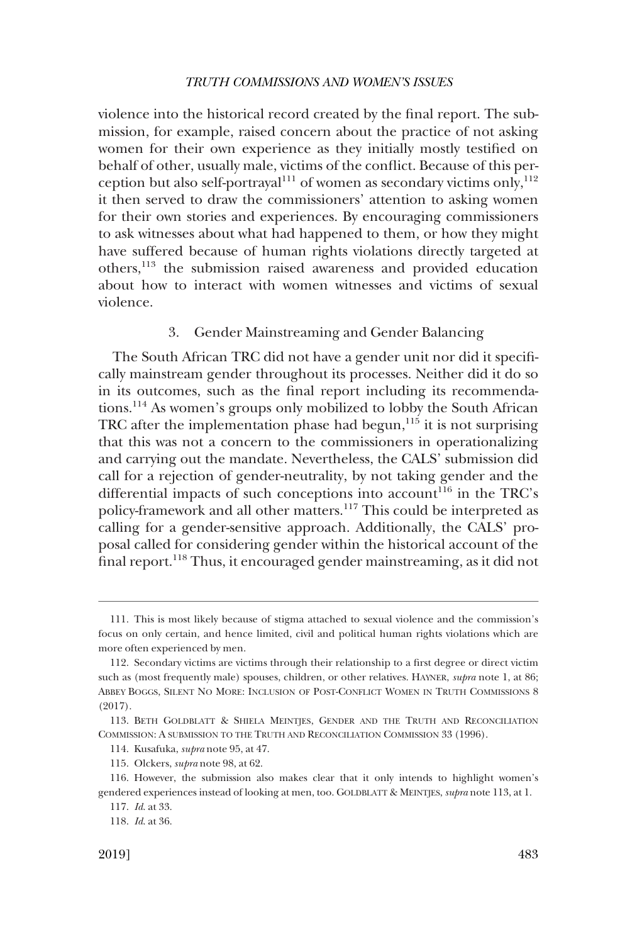<span id="page-20-0"></span>violence into the historical record created by the final report. The submission, for example, raised concern about the practice of not asking women for their own experience as they initially mostly testified on behalf of other, usually male, victims of the conflict. Because of this perception but also self-portrayal<sup>111</sup> of women as secondary victims only,  $112$ it then served to draw the commissioners' attention to asking women for their own stories and experiences. By encouraging commissioners to ask witnesses about what had happened to them, or how they might have suffered because of human rights violations directly targeted at others,113 the submission raised awareness and provided education about how to interact with women witnesses and victims of sexual violence.

# 3. Gender Mainstreaming and Gender Balancing

The South African TRC did not have a gender unit nor did it specifically mainstream gender throughout its processes. Neither did it do so in its outcomes, such as the final report including its recommendations.114 As women's groups only mobilized to lobby the South African TRC after the implementation phase had begun, $115$  it is not surprising that this was not a concern to the commissioners in operationalizing and carrying out the mandate. Nevertheless, the CALS' submission did call for a rejection of gender-neutrality, by not taking gender and the differential impacts of such conceptions into account<sup>116</sup> in the TRC's policy-framework and all other matters.117 This could be interpreted as calling for a gender-sensitive approach. Additionally, the CALS' proposal called for considering gender within the historical account of the final report.118 Thus, it encouraged gender mainstreaming, as it did not

<sup>111.</sup> This is most likely because of stigma attached to sexual violence and the commission's focus on only certain, and hence limited, civil and political human rights violations which are more often experienced by men.

<sup>112.</sup> Secondary victims are victims through their relationship to a first degree or direct victim such as (most frequently male) spouses, children, or other relatives. HAYNER, *supra* note 1, at 86; ABBEY BOGGS, SILENT NO MORE: INCLUSION OF POST-CONFLICT WOMEN IN TRUTH COMMISSIONS 8 (2017).

<sup>113.</sup> BETH GOLDBLATT & SHIELA MEINTJES, GENDER AND THE TRUTH AND RECONCILIATION COMMISSION: A SUBMISSION TO THE TRUTH AND RECONCILIATION COMMISSION 33 (1996).

<sup>114.</sup> Kusafuka, *supra* note 95, at 47.

<sup>115.</sup> Olckers, *supra* note 98, at 62.

<sup>116.</sup> However, the submission also makes clear that it only intends to highlight women's gendered experiences instead of looking at men, too. GOLDBLATT & MEINTJES, *supra* note 113, at 1.

<sup>117.</sup> *Id*. at 33.

<sup>118.</sup> *Id*. at 36.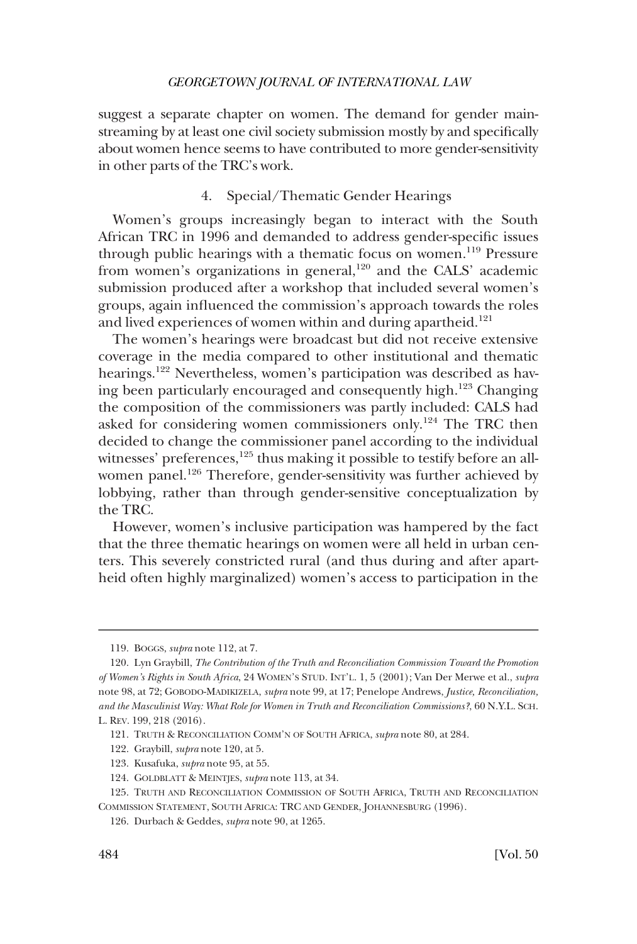<span id="page-21-0"></span>suggest a separate chapter on women. The demand for gender mainstreaming by at least one civil society submission mostly by and specifically about women hence seems to have contributed to more gender-sensitivity in other parts of the TRC's work.

# 4. Special/Thematic Gender Hearings

Women's groups increasingly began to interact with the South African TRC in 1996 and demanded to address gender-specific issues through public hearings with a thematic focus on women.<sup>119</sup> Pressure from women's organizations in general,<sup>120</sup> and the CALS' academic submission produced after a workshop that included several women's groups, again influenced the commission's approach towards the roles and lived experiences of women within and during apartheid.<sup>121</sup>

The women's hearings were broadcast but did not receive extensive coverage in the media compared to other institutional and thematic hearings.<sup>122</sup> Nevertheless, women's participation was described as having been particularly encouraged and consequently high.123 Changing the composition of the commissioners was partly included: CALS had asked for considering women commissioners only.<sup>124</sup> The TRC then decided to change the commissioner panel according to the individual witnesses' preferences,<sup>125</sup> thus making it possible to testify before an allwomen panel.<sup>126</sup> Therefore, gender-sensitivity was further achieved by lobbying, rather than through gender-sensitive conceptualization by the TRC.

However, women's inclusive participation was hampered by the fact that the three thematic hearings on women were all held in urban centers. This severely constricted rural (and thus during and after apartheid often highly marginalized) women's access to participation in the

<sup>119.</sup> BOGGS, *supra* note 112, at 7.

<sup>120.</sup> Lyn Graybill, *The Contribution of the Truth and Reconciliation Commission Toward the Promotion of Women's Rights in South Africa*, 24 WOMEN'S STUD. INT'L. 1, 5 (2001); Van Der Merwe et al., *supra*  note 98, at 72; GOBODO-MADIKIZELA, *supra* note 99, at 17; Penelope Andrews, *Justice, Reconciliation, and the Masculinist Way: What Role for Women in Truth and Reconciliation Commissions?*, 60 N.Y.L. SCH. L. REV. 199, 218 (2016).

<sup>121.</sup> TRUTH & RECONCILIATION COMM'N OF SOUTH AFRICA, *supra* note 80, at 284.

<sup>122.</sup> Graybill, *supra* note 120, at 5.

<sup>123.</sup> Kusafuka, *supra* note 95, at 55.

<sup>124.</sup> GOLDBLATT & MEINTJES, *supra* note 113, at 34.

<sup>125.</sup> TRUTH AND RECONCILIATION COMMISSION OF SOUTH AFRICA, TRUTH AND RECONCILIATION COMMISSION STATEMENT, SOUTH AFRICA: TRC AND GENDER, JOHANNESBURG (1996).

<sup>126.</sup> Durbach & Geddes, *supra* note 90, at 1265.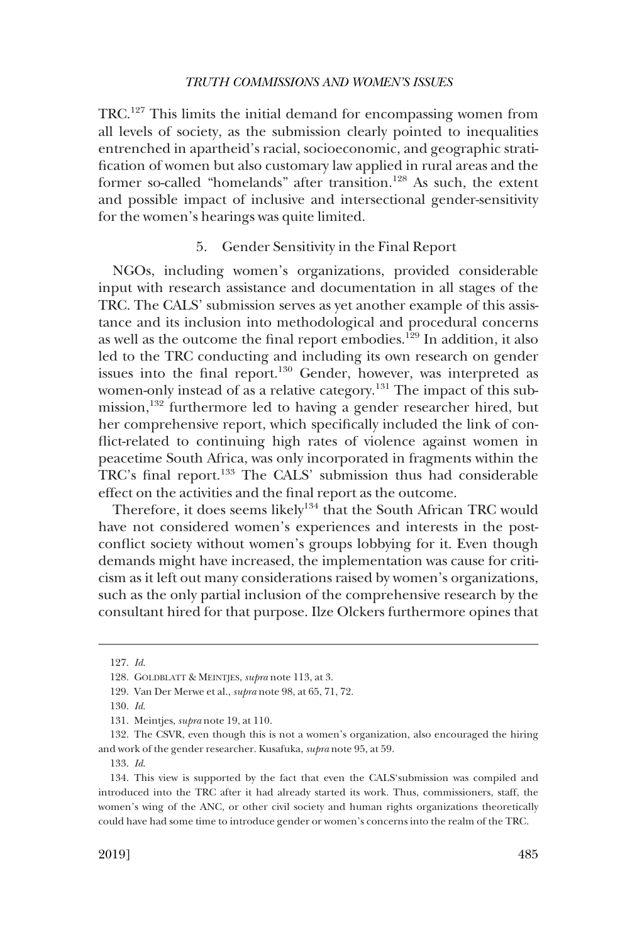<span id="page-22-0"></span>TRC.127 This limits the initial demand for encompassing women from all levels of society, as the submission clearly pointed to inequalities entrenched in apartheid's racial, socioeconomic, and geographic stratification of women but also customary law applied in rural areas and the former so-called "homelands" after transition.<sup>128</sup> As such, the extent and possible impact of inclusive and intersectional gender-sensitivity for the women's hearings was quite limited.

# 5. Gender Sensitivity in the Final Report

NGOs, including women's organizations, provided considerable input with research assistance and documentation in all stages of the TRC. The CALS' submission serves as yet another example of this assistance and its inclusion into methodological and procedural concerns as well as the outcome the final report embodies.<sup>129</sup> In addition, it also led to the TRC conducting and including its own research on gender issues into the final report.<sup>130</sup> Gender, however, was interpreted as women-only instead of as a relative category.<sup>131</sup> The impact of this submission,<sup>132</sup> furthermore led to having a gender researcher hired, but her comprehensive report, which specifically included the link of conflict-related to continuing high rates of violence against women in peacetime South Africa, was only incorporated in fragments within the TRC's final report.133 The CALS' submission thus had considerable effect on the activities and the final report as the outcome.

Therefore, it does seems likely<sup>134</sup> that the South African TRC would have not considered women's experiences and interests in the postconflict society without women's groups lobbying for it. Even though demands might have increased, the implementation was cause for criticism as it left out many considerations raised by women's organizations, such as the only partial inclusion of the comprehensive research by the consultant hired for that purpose. Ilze Olckers furthermore opines that

133. *Id*.

<sup>127.</sup> *Id*.

<sup>128.</sup> GOLDBLATT & MEINTJES, *supra* note 113, at 3.

<sup>129.</sup> Van Der Merwe et al., *supra* note 98, at 65, 71, 72.

<sup>130.</sup> *Id*.

<sup>131.</sup> Meintjes, *supra* note 19, at 110.

<sup>132.</sup> The CSVR, even though this is not a women's organization, also encouraged the hiring and work of the gender researcher. Kusafuka, *supra* note 95, at 59.

<sup>134.</sup> This view is supported by the fact that even the CALS'submission was compiled and introduced into the TRC after it had already started its work. Thus, commissioners, staff, the women's wing of the ANC, or other civil society and human rights organizations theoretically could have had some time to introduce gender or women's concerns into the realm of the TRC.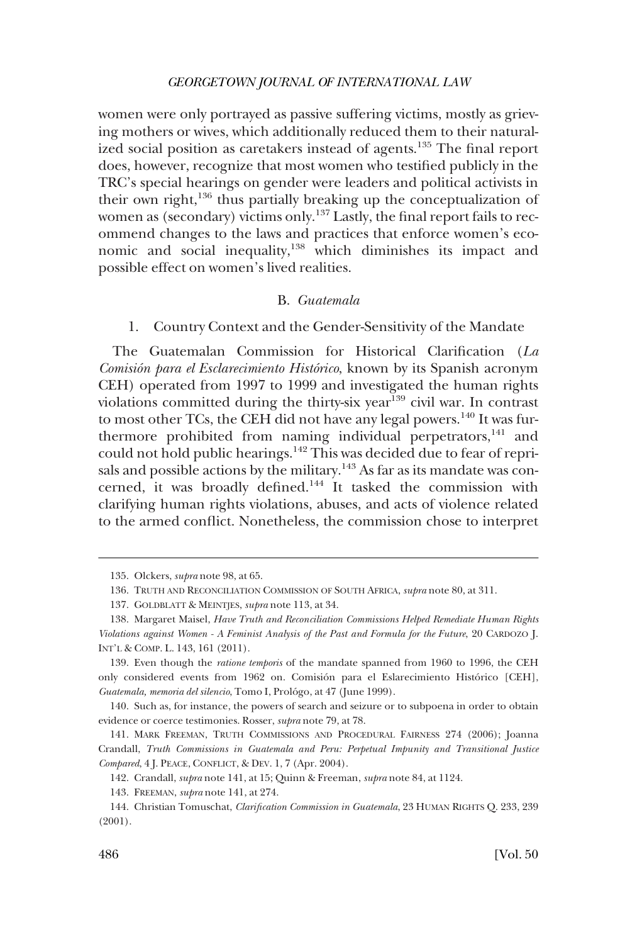<span id="page-23-0"></span>women were only portrayed as passive suffering victims, mostly as grieving mothers or wives, which additionally reduced them to their naturalized social position as caretakers instead of agents.<sup>135</sup> The final report does, however, recognize that most women who testified publicly in the TRC's special hearings on gender were leaders and political activists in their own right, $136$  thus partially breaking up the conceptualization of women as (secondary) victims only.<sup>137</sup> Lastly, the final report fails to recommend changes to the laws and practices that enforce women's economic and social inequality,138 which diminishes its impact and possible effect on women's lived realities.

#### B. *Guatemala*

1. Country Context and the Gender-Sensitivity of the Mandate

The Guatemalan Commission for Historical Clarification (*La Comisio´n para el Esclarecimiento Histo´rico*, known by its Spanish acronym CEH) operated from 1997 to 1999 and investigated the human rights violations committed during the thirty-six year<sup>139</sup> civil war. In contrast to most other TCs, the CEH did not have any legal powers.<sup>140</sup> It was furthermore prohibited from naming individual perpetrators, $141$  and could not hold public hearings.<sup>142</sup> This was decided due to fear of reprisals and possible actions by the military.<sup>143</sup> As far as its mandate was concerned, it was broadly defined.<sup>144</sup> It tasked the commission with clarifying human rights violations, abuses, and acts of violence related to the armed conflict. Nonetheless, the commission chose to interpret

<sup>135.</sup> Olckers, *supra* note 98, at 65.

<sup>136.</sup> TRUTH AND RECONCILIATION COMMISSION OF SOUTH AFRICA, *supra* note 80, at 311.

<sup>137.</sup> GOLDBLATT & MEINTJES, *supra* note 113, at 34.

<sup>138.</sup> Margaret Maisel, *Have Truth and Reconciliation Commissions Helped Remediate Human Rights Violations against Women - A Feminist Analysis of the Past and Formula for the Future*, 20 CARDOZO J. INT'L & COMP. L. 143, 161 (2011).

<sup>139.</sup> Even though the *ratione temporis* of the mandate spanned from 1960 to 1996, the CEH only considered events from 1962 on. Comisión para el Eslarecimiento Histórico [CEH], *Guatemala, memoria del silencio*, Tomo I, Prolo´go, at 47 (June 1999).

<sup>140.</sup> Such as, for instance, the powers of search and seizure or to subpoena in order to obtain evidence or coerce testimonies. Rosser, *supra* note 79, at 78.

<sup>141.</sup> MARK FREEMAN, TRUTH COMMISSIONS AND PROCEDURAL FAIRNESS 274 (2006); Joanna Crandall, *Truth Commissions in Guatemala and Peru: Perpetual Impunity and Transitional Justice Compared*, 4 J. PEACE, CONFLICT, & DEV. 1, 7 (Apr. 2004).

<sup>142.</sup> Crandall, *supra* note 141, at 15; Quinn & Freeman, *supra* note 84, at 1124.

<sup>143.</sup> FREEMAN, *supra* note 141, at 274.

<sup>144.</sup> Christian Tomuschat, *Clarification Commission in Guatemala*, 23 HUMAN RIGHTS Q. 233, 239 (2001).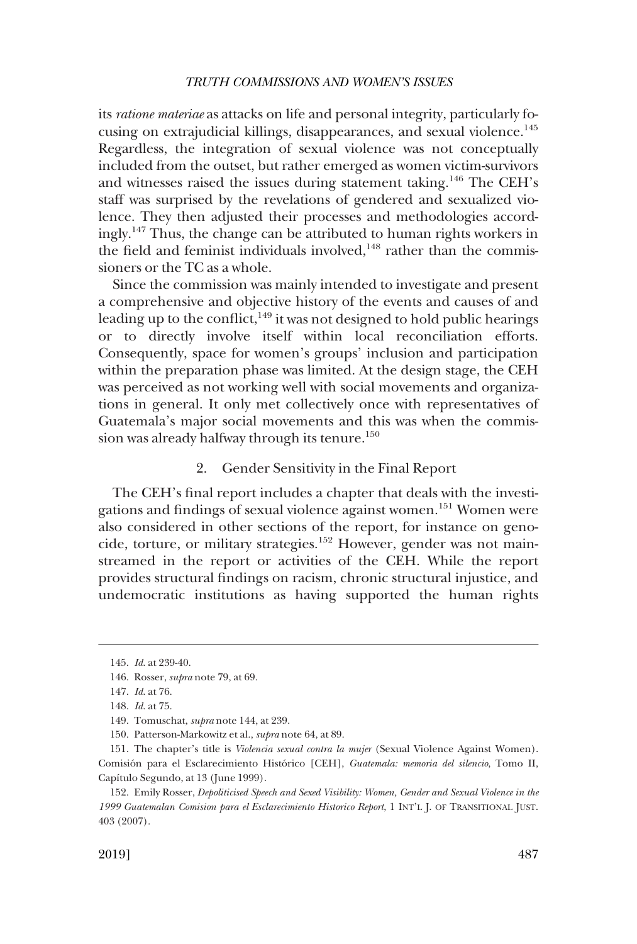<span id="page-24-0"></span>its *ratione materiae* as attacks on life and personal integrity, particularly focusing on extrajudicial killings, disappearances, and sexual violence.<sup>145</sup> Regardless, the integration of sexual violence was not conceptually included from the outset, but rather emerged as women victim-survivors and witnesses raised the issues during statement taking.<sup>146</sup> The CEH's staff was surprised by the revelations of gendered and sexualized violence. They then adjusted their processes and methodologies accordingly.147 Thus, the change can be attributed to human rights workers in the field and feminist individuals involved, $148$  rather than the commissioners or the TC as a whole.

Since the commission was mainly intended to investigate and present a comprehensive and objective history of the events and causes of and leading up to the conflict,<sup>149</sup> it was not designed to hold public hearings or to directly involve itself within local reconciliation efforts. Consequently, space for women's groups' inclusion and participation within the preparation phase was limited. At the design stage, the CEH was perceived as not working well with social movements and organizations in general. It only met collectively once with representatives of Guatemala's major social movements and this was when the commission was already halfway through its tenure.<sup>150</sup>

## 2. Gender Sensitivity in the Final Report

The CEH's final report includes a chapter that deals with the investigations and findings of sexual violence against women.151 Women were also considered in other sections of the report, for instance on genocide, torture, or military strategies.152 However, gender was not mainstreamed in the report or activities of the CEH. While the report provides structural findings on racism, chronic structural injustice, and undemocratic institutions as having supported the human rights

<sup>145.</sup> *Id*. at 239-40.

<sup>146.</sup> Rosser, *supra* note 79, at 69.

<sup>147.</sup> *Id*. at 76.

<sup>148.</sup> *Id*. at 75.

<sup>149.</sup> Tomuschat, *supra* note 144, at 239.

<sup>150.</sup> Patterson-Markowitz et al., *supra* note 64, at 89.

<sup>151.</sup> The chapter's title is *Violencia sexual contra la mujer* (Sexual Violence Against Women). Comisio´n para el Esclarecimiento Histo´rico [CEH], *Guatemala: memoria del silencio*, Tomo II, Capítulo Segundo, at 13 (June 1999).

<sup>152.</sup> Emily Rosser, *Depoliticised Speech and Sexed Visibility: Women, Gender and Sexual Violence in the 1999 Guatemalan Comision para el Esclarecimiento Historico Report*, 1 INT'L J. OF TRANSITIONAL JUST. 403 (2007).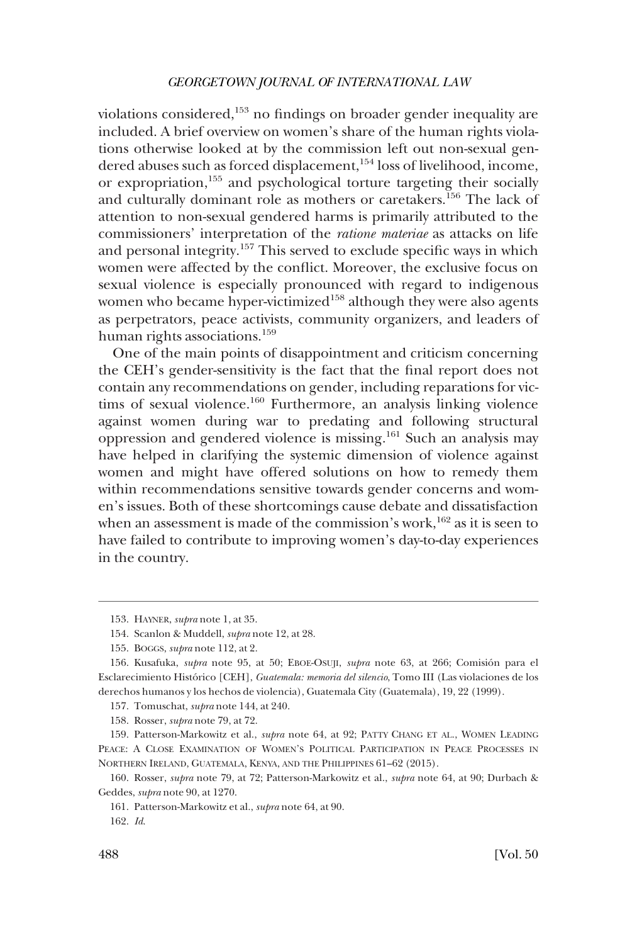violations considered, $153$  no findings on broader gender inequality are included. A brief overview on women's share of the human rights violations otherwise looked at by the commission left out non-sexual gendered abuses such as forced displacement,<sup>154</sup> loss of livelihood, income, or expropriation, $155$  and psychological torture targeting their socially and culturally dominant role as mothers or caretakers.156 The lack of attention to non-sexual gendered harms is primarily attributed to the commissioners' interpretation of the *ratione materiae* as attacks on life and personal integrity.157 This served to exclude specific ways in which women were affected by the conflict. Moreover, the exclusive focus on sexual violence is especially pronounced with regard to indigenous women who became hyper-victimized<sup>158</sup> although they were also agents as perpetrators, peace activists, community organizers, and leaders of human rights associations.<sup>159</sup>

One of the main points of disappointment and criticism concerning the CEH's gender-sensitivity is the fact that the final report does not contain any recommendations on gender, including reparations for victims of sexual violence.<sup>160</sup> Furthermore, an analysis linking violence against women during war to predating and following structural oppression and gendered violence is missing.161 Such an analysis may have helped in clarifying the systemic dimension of violence against women and might have offered solutions on how to remedy them within recommendations sensitive towards gender concerns and women's issues. Both of these shortcomings cause debate and dissatisfaction when an assessment is made of the commission's work,<sup>162</sup> as it is seen to have failed to contribute to improving women's day-to-day experiences in the country.

<sup>153.</sup> HAYNER, *supra* note 1, at 35.

<sup>154.</sup> Scanlon & Muddell, *supra* note 12, at 28.

<sup>155.</sup> BOGGS, *supra* note 112, at 2.

<sup>156.</sup> Kusafuka, *supra* note 95, at 50; EBOE-OSUJI, *supra* note 63, at 266; Comisio´n para el Esclarecimiento Histórico [CEH], *Guatemala: memoria del silencio*, Tomo III (Las violaciones de los derechos humanos y los hechos de violencia), Guatemala City (Guatemala), 19, 22 (1999).

<sup>157.</sup> Tomuschat, *supra* note 144, at 240.

<sup>158.</sup> Rosser, *supra* note 79, at 72.

<sup>159.</sup> Patterson-Markowitz et al., *supra* note 64, at 92; PATTY CHANG ET AL., WOMEN LEADING PEACE: A CLOSE EXAMINATION OF WOMEN'S POLITICAL PARTICIPATION IN PEACE PROCESSES IN NORTHERN IRELAND, GUATEMALA, KENYA, AND THE PHILIPPINES 61–62 (2015).

<sup>160.</sup> Rosser, *supra* note 79, at 72; Patterson-Markowitz et al., *supra* note 64, at 90; Durbach & Geddes, *supra* note 90, at 1270.

<sup>161.</sup> Patterson-Markowitz et al., *supra* note 64, at 90.

<sup>162.</sup> *Id*.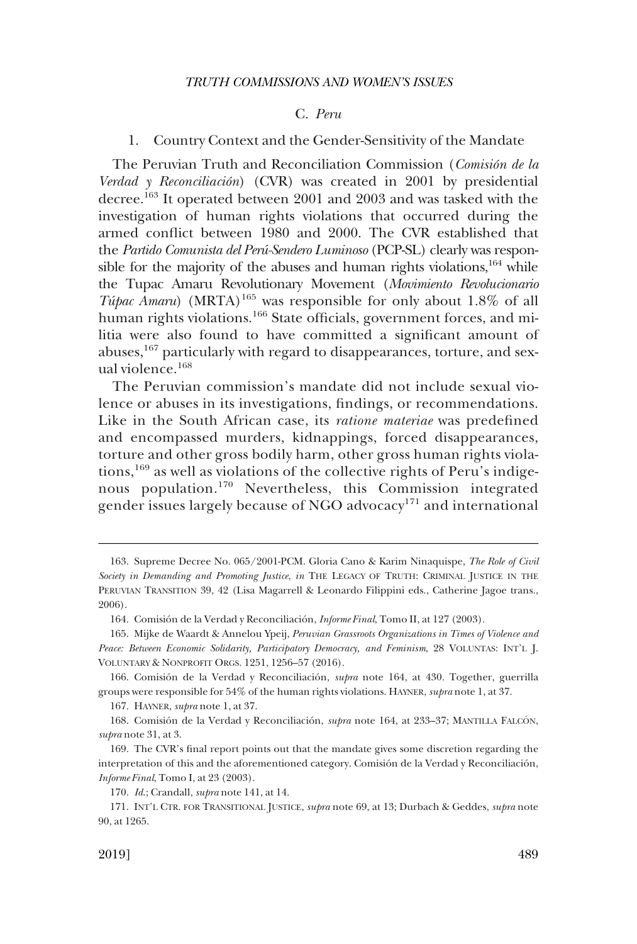## C. *Peru*

## <span id="page-26-0"></span>1. Country Context and the Gender-Sensitivity of the Mandate

The Peruvian Truth and Reconciliation Commission (*Comisión de la Verdad y Reconciliacio´n*) (CVR) was created in 2001 by presidential decree.163 It operated between 2001 and 2003 and was tasked with the investigation of human rights violations that occurred during the armed conflict between 1980 and 2000. The CVR established that the *Partido Comunista del Peru´-Sendero Luminoso* (PCP-SL) clearly was responsible for the majority of the abuses and human rights violations, $164$  while the Tupac Amaru Revolutionary Movement (*Movimiento Revolucionario Túpac Amaru*) (MRTA)<sup>165</sup> was responsible for only about 1.8% of all human rights violations.<sup>166</sup> State officials, government forces, and militia were also found to have committed a significant amount of abuses,167 particularly with regard to disappearances, torture, and sexual violence.<sup>168</sup>

The Peruvian commission's mandate did not include sexual violence or abuses in its investigations, findings, or recommendations. Like in the South African case, its *ratione materiae* was predefined and encompassed murders, kidnappings, forced disappearances, torture and other gross bodily harm, other gross human rights violations,<sup>169</sup> as well as violations of the collective rights of Peru's indigenous population.<sup>170</sup> Nevertheless, this Commission integrated gender issues largely because of NGO advocacy<sup>171</sup> and international

<sup>163.</sup> Supreme Decree No. 065/2001-PCM. Gloria Cano & Karim Ninaquispe, *The Role of Civil Society in Demanding and Promoting Justice*, *in* THE LEGACY OF TRUTH: CRIMINAL JUSTICE IN THE PERUVIAN TRANSITION 39, 42 (Lisa Magarrell & Leonardo Filippini eds., Catherine Jagoe trans., 2006).

<sup>164.</sup> Comisión de la Verdad y Reconciliación, *Informe Final*, Tomo II, at 127 (2003).

<sup>165.</sup> Mijke de Waardt & Annelou Ypeij, *Peruvian Grassroots Organizations in Times of Violence and Peace: Between Economic Solidarity, Participatory Democracy, and Feminism*, 28 VOLUNTAS: INT'L J. VOLUNTARY & NONPROFIT ORGS. 1251, 1256–57 (2016).

<sup>166.</sup> Comisio´n de la Verdad y Reconciliacio´n, *supra* note 164, at 430. Together, guerrilla groups were responsible for 54% of the human rights violations. HAYNER, *supra* note 1, at 37.

<sup>167.</sup> HAYNER, *supra* note 1, at 37.

<sup>168.</sup> Comisión de la Verdad y Reconciliación, *supra* note 164, at 233-37; MANTILLA FALCÓN, *supra* note 31, at 3.

<sup>169.</sup> The CVR's final report points out that the mandate gives some discretion regarding the interpretation of this and the aforementioned category. Comisión de la Verdad y Reconciliación, *Informe Final*, Tomo I, at 23 (2003).

<sup>170.</sup> *Id*.; Crandall, *supra* note 141, at 14.

<sup>171.</sup> INT'L CTR. FOR TRANSITIONAL JUSTICE, *supra* note 69, at 13; Durbach & Geddes, *supra* note 90, at 1265.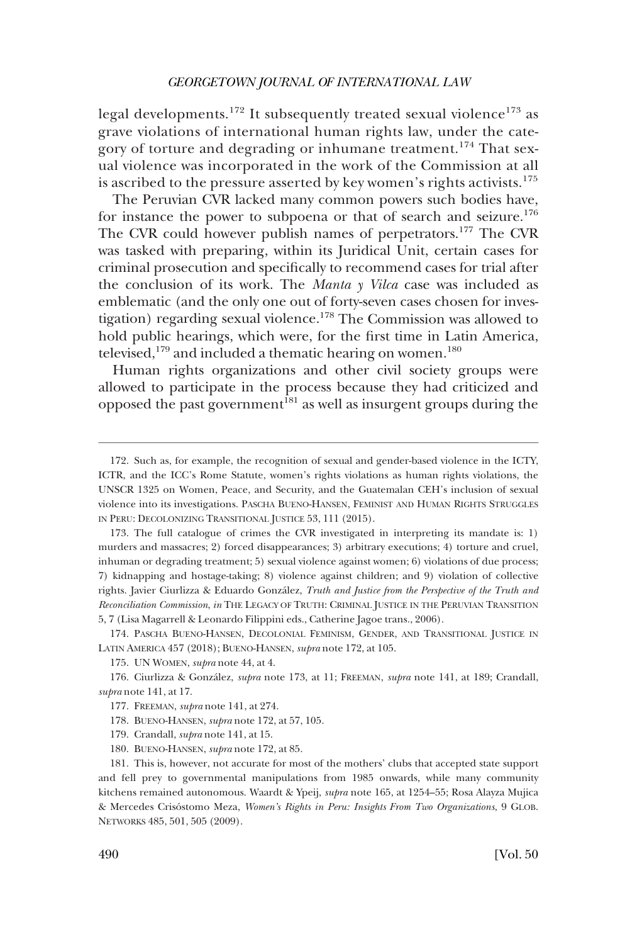legal developments.<sup>172</sup> It subsequently treated sexual violence<sup>173</sup> as grave violations of international human rights law, under the category of torture and degrading or inhumane treatment.<sup>174</sup> That sexual violence was incorporated in the work of the Commission at all is ascribed to the pressure asserted by key women's rights activists.<sup>175</sup>

The Peruvian CVR lacked many common powers such bodies have, for instance the power to subpoena or that of search and seizure.<sup>176</sup> The CVR could however publish names of perpetrators.<sup>177</sup> The CVR was tasked with preparing, within its Juridical Unit, certain cases for criminal prosecution and specifically to recommend cases for trial after the conclusion of its work. The *Manta y Vilca* case was included as emblematic (and the only one out of forty-seven cases chosen for investigation) regarding sexual violence.<sup>178</sup> The Commission was allowed to hold public hearings, which were, for the first time in Latin America, televised, $179$  and included a thematic hearing on women. $180$ 

Human rights organizations and other civil society groups were allowed to participate in the process because they had criticized and opposed the past government<sup>181</sup> as well as insurgent groups during the

<sup>172.</sup> Such as, for example, the recognition of sexual and gender-based violence in the ICTY, ICTR, and the ICC's Rome Statute, women's rights violations as human rights violations, the UNSCR 1325 on Women, Peace, and Security, and the Guatemalan CEH's inclusion of sexual violence into its investigations. PASCHA BUENO-HANSEN, FEMINIST AND HUMAN RIGHTS STRUGGLES IN PERU: DECOLONIZING TRANSITIONAL JUSTICE 53, 111 (2015).

<sup>173.</sup> The full catalogue of crimes the CVR investigated in interpreting its mandate is: 1) murders and massacres; 2) forced disappearances; 3) arbitrary executions; 4) torture and cruel, inhuman or degrading treatment; 5) sexual violence against women; 6) violations of due process; 7) kidnapping and hostage-taking; 8) violence against children; and 9) violation of collective rights. Javier Ciurlizza & Eduardo Gonza´lez, *Truth and Justice from the Perspective of the Truth and Reconciliation Commission*, *in* THE LEGACY OF TRUTH: CRIMINAL JUSTICE IN THE PERUVIAN TRANSITION 5, 7 (Lisa Magarrell & Leonardo Filippini eds., Catherine Jagoe trans., 2006).

<sup>174.</sup> PASCHA BUENO-HANSEN, DECOLONIAL FEMINISM, GENDER, AND TRANSITIONAL JUSTICE IN LATIN AMERICA 457 (2018); BUENO-HANSEN, *supra* note 172, at 105.

<sup>175.</sup> UN WOMEN, *supra* note 44, at 4.

<sup>176.</sup> Ciurlizza & Gonza´lez, *supra* note 173, at 11; FREEMAN, *supra* note 141, at 189; Crandall, *supra* note 141, at 17.

<sup>177.</sup> FREEMAN, *supra* note 141, at 274.

<sup>178.</sup> BUENO-HANSEN, *supra* note 172, at 57, 105.

<sup>179.</sup> Crandall, *supra* note 141, at 15.

<sup>180.</sup> BUENO-HANSEN, *supra* note 172, at 85.

<sup>181.</sup> This is, however, not accurate for most of the mothers' clubs that accepted state support and fell prey to governmental manipulations from 1985 onwards, while many community kitchens remained autonomous. Waardt & Ypeij, *supra* note 165, at 1254–55; Rosa Alayza Mujica & Mercedes Criso´stomo Meza, *Women's Rights in Peru: Insights From Two Organizations*, 9 GLOB. NETWORKS 485, 501, 505 (2009).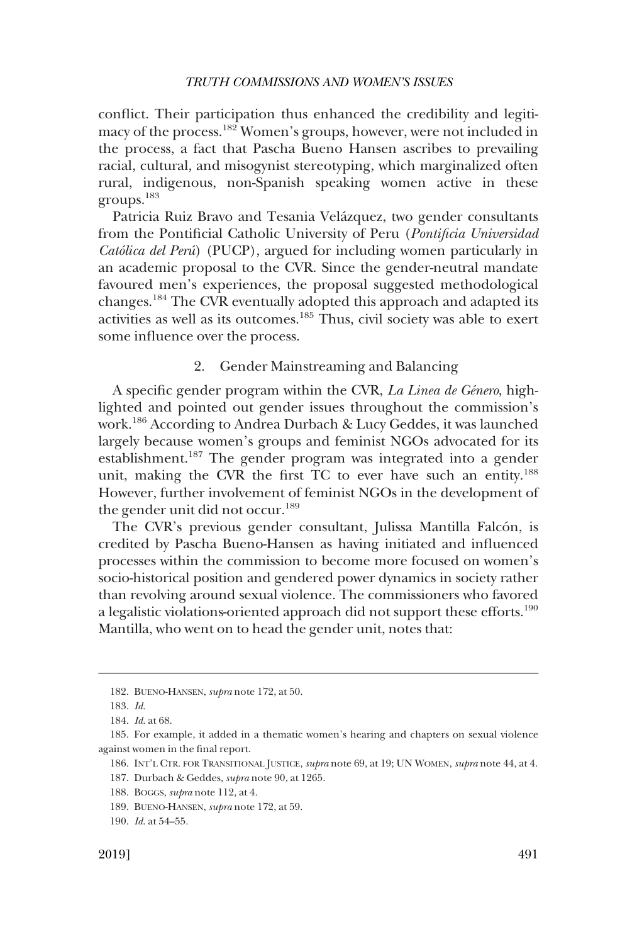<span id="page-28-0"></span>conflict. Their participation thus enhanced the credibility and legitimacy of the process.<sup>182</sup> Women's groups, however, were not included in the process, a fact that Pascha Bueno Hansen ascribes to prevailing racial, cultural, and misogynist stereotyping, which marginalized often rural, indigenous, non-Spanish speaking women active in these groups.183

Patricia Ruiz Bravo and Tesania Velázquez, two gender consultants from the Pontificial Catholic University of Peru (*Pontificia Universidad Cato´lica del Peru´* ) (PUCP), argued for including women particularly in an academic proposal to the CVR. Since the gender-neutral mandate favoured men's experiences, the proposal suggested methodological changes.<sup>184</sup> The CVR eventually adopted this approach and adapted its activities as well as its outcomes.<sup>185</sup> Thus, civil society was able to exert some influence over the process.

## 2. Gender Mainstreaming and Balancing

A specific gender program within the CVR, *La Linea de Género*, highlighted and pointed out gender issues throughout the commission's work.186 According to Andrea Durbach & Lucy Geddes, it was launched largely because women's groups and feminist NGOs advocated for its establishment.187 The gender program was integrated into a gender unit, making the CVR the first TC to ever have such an entity.<sup>188</sup> However, further involvement of feminist NGOs in the development of the gender unit did not occur.<sup>189</sup>

The CVR's previous gender consultant, Julissa Mantilla Falcón, is credited by Pascha Bueno-Hansen as having initiated and influenced processes within the commission to become more focused on women's socio-historical position and gendered power dynamics in society rather than revolving around sexual violence. The commissioners who favored a legalistic violations-oriented approach did not support these efforts.<sup>190</sup> Mantilla, who went on to head the gender unit, notes that:

186. INT'L CTR. FOR TRANSITIONAL JUSTICE, *supra* note 69, at 19; UN WOMEN, *supra* note 44, at 4.

<sup>182.</sup> BUENO-HANSEN, *supra* note 172, at 50.

<sup>183.</sup> *Id*.

<sup>184.</sup> *Id*. at 68.

<sup>185.</sup> For example, it added in a thematic women's hearing and chapters on sexual violence against women in the final report.

<sup>187.</sup> Durbach & Geddes, *supra* note 90, at 1265.

<sup>188.</sup> BOGGS, *supra* note 112, at 4.

<sup>189.</sup> BUENO-HANSEN, *supra* note 172, at 59.

<sup>190.</sup> *Id*. at 54–55.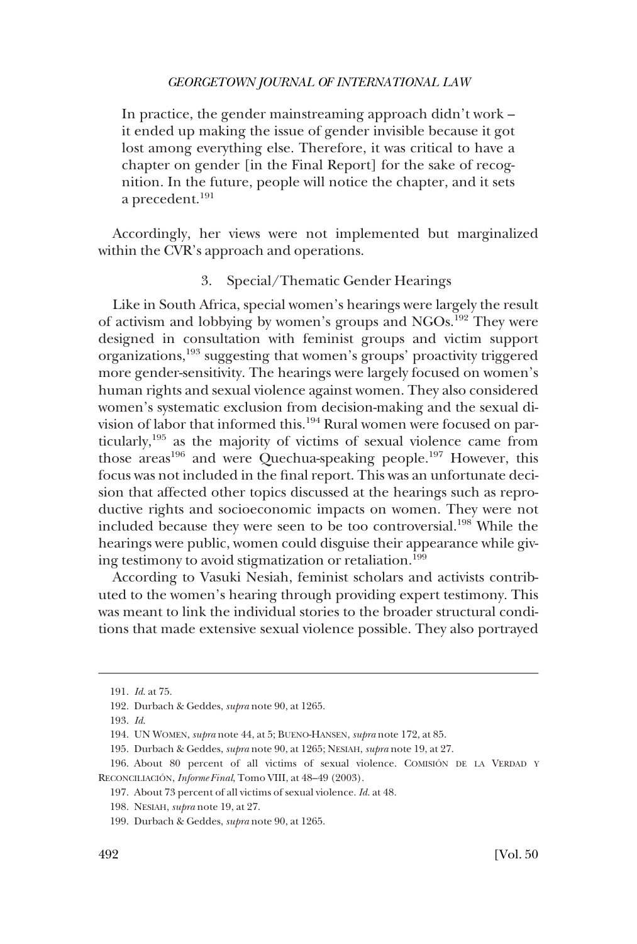<span id="page-29-0"></span>In practice, the gender mainstreaming approach didn't work – it ended up making the issue of gender invisible because it got lost among everything else. Therefore, it was critical to have a chapter on gender [in the Final Report] for the sake of recognition. In the future, people will notice the chapter, and it sets a precedent.<sup>191</sup>

Accordingly, her views were not implemented but marginalized within the CVR's approach and operations.

## 3. Special/Thematic Gender Hearings

Like in South Africa, special women's hearings were largely the result of activism and lobbying by women's groups and NGOs.<sup>192</sup> They were designed in consultation with feminist groups and victim support organizations,<sup>193</sup> suggesting that women's groups' proactivity triggered more gender-sensitivity. The hearings were largely focused on women's human rights and sexual violence against women. They also considered women's systematic exclusion from decision-making and the sexual division of labor that informed this.194 Rural women were focused on particularly,<sup>195</sup> as the majority of victims of sexual violence came from those areas<sup>196</sup> and were Quechua-speaking people.<sup>197</sup> However, this focus was not included in the final report. This was an unfortunate decision that affected other topics discussed at the hearings such as reproductive rights and socioeconomic impacts on women. They were not included because they were seen to be too controversial.<sup>198</sup> While the hearings were public, women could disguise their appearance while giving testimony to avoid stigmatization or retaliation.<sup>199</sup>

According to Vasuki Nesiah, feminist scholars and activists contributed to the women's hearing through providing expert testimony. This was meant to link the individual stories to the broader structural conditions that made extensive sexual violence possible. They also portrayed

<sup>191.</sup> *Id*. at 75.

<sup>192.</sup> Durbach & Geddes, *supra* note 90, at 1265.

<sup>193.</sup> *Id*.

<sup>194.</sup> UN WOMEN, *supra* note 44, at 5; BUENO-HANSEN, *supra* note 172, at 85.

<sup>195.</sup> Durbach & Geddes, *supra* note 90, at 1265; NESIAH, *supra* note 19, at 27.

<sup>196.</sup> About 80 percent of all victims of sexual violence. COMISIÓN DE LA VERDAD Y RECONCILIACIÓN, *Informe Final*, Tomo VIII, at 48-49 (2003).

<sup>197.</sup> About 73 percent of all victims of sexual violence. *Id*. at 48.

<sup>198.</sup> NESIAH, *supra* note 19, at 27.

<sup>199.</sup> Durbach & Geddes, *supra* note 90, at 1265.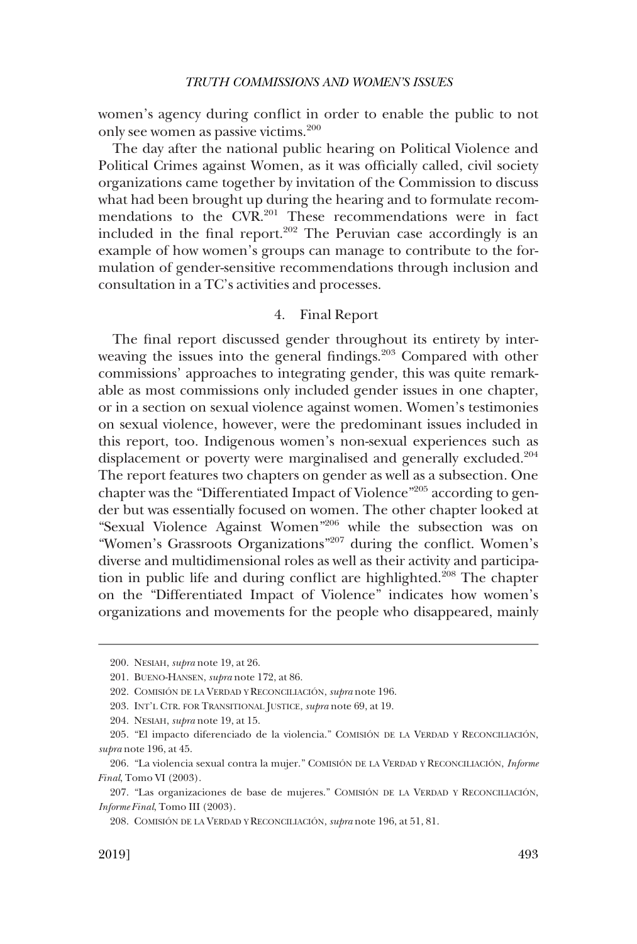<span id="page-30-0"></span>women's agency during conflict in order to enable the public to not only see women as passive victims.<sup>200</sup>

The day after the national public hearing on Political Violence and Political Crimes against Women, as it was officially called, civil society organizations came together by invitation of the Commission to discuss what had been brought up during the hearing and to formulate recommendations to the CVR.<sup>201</sup> These recommendations were in fact included in the final report.<sup>202</sup> The Peruvian case accordingly is an example of how women's groups can manage to contribute to the formulation of gender-sensitive recommendations through inclusion and consultation in a TC's activities and processes.

## 4. Final Report

The final report discussed gender throughout its entirety by interweaving the issues into the general findings.<sup>203</sup> Compared with other commissions' approaches to integrating gender, this was quite remarkable as most commissions only included gender issues in one chapter, or in a section on sexual violence against women. Women's testimonies on sexual violence, however, were the predominant issues included in this report, too. Indigenous women's non-sexual experiences such as displacement or poverty were marginalised and generally excluded.<sup>204</sup> The report features two chapters on gender as well as a subsection. One chapter was the "Differentiated Impact of Violence"205 according to gender but was essentially focused on women. The other chapter looked at "Sexual Violence Against Women"206 while the subsection was on "Women's Grassroots Organizations"207 during the conflict. Women's diverse and multidimensional roles as well as their activity and participation in public life and during conflict are highlighted.<sup>208</sup> The chapter on the "Differentiated Impact of Violence" indicates how women's organizations and movements for the people who disappeared, mainly

<sup>200.</sup> NESIAH, *supra* note 19, at 26.

<sup>201.</sup> BUENO-HANSEN, *supra* note 172, at 86.

<sup>202.</sup> COMISIÓN DE LA VERDAD Y RECONCILIACIÓN, *supra* note 196.

<sup>203.</sup> INT'L CTR. FOR TRANSITIONAL JUSTICE, *supra* note 69, at 19.

<sup>204.</sup> NESIAH, *supra* note 19, at 15.

<sup>205. &</sup>quot;El impacto diferenciado de la violencia." COMISIÓN DE LA VERDAD Y RECONCILIACIÓN, *supra* note 196, at 45.

<sup>206. &</sup>quot;La violencia sexual contra la mujer." COMISIO´ N DE LA VERDAD Y RECONCILIACIO´ N, *Informe Final*, Tomo VI (2003).

<sup>207. &</sup>quot;Las organizaciones de base de mujeres." COMISIÓN DE LA VERDAD Y RECONCILIACIÓN, *Informe Final*, Tomo III (2003).

<sup>208.</sup> COMISIO´ N DE LA VERDAD Y RECONCILIACIO´ N, *supra* note 196, at 51, 81.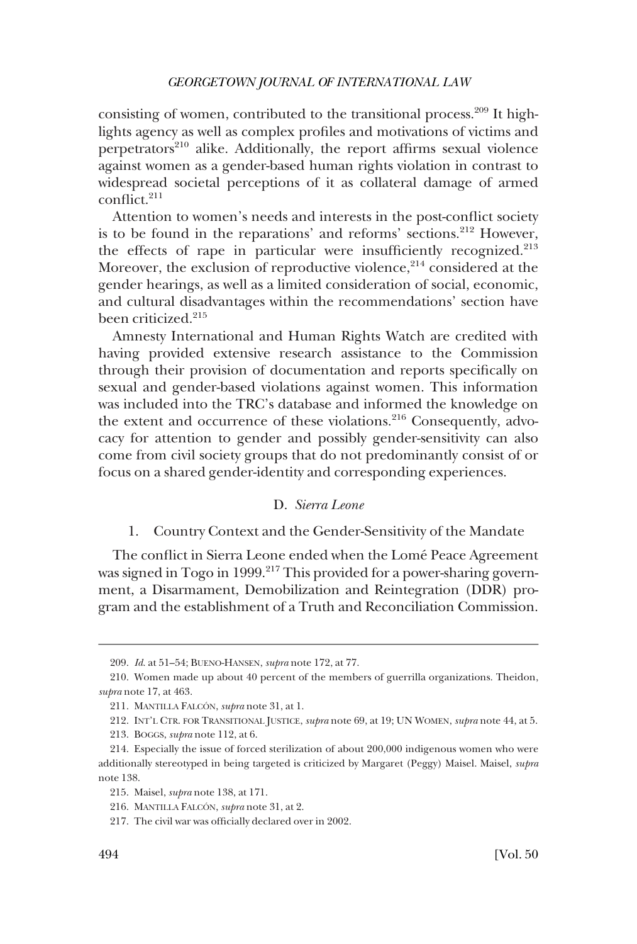<span id="page-31-0"></span>consisting of women, contributed to the transitional process. $209$  It highlights agency as well as complex profiles and motivations of victims and perpetrators $^{210}$  alike. Additionally, the report affirms sexual violence against women as a gender-based human rights violation in contrast to widespread societal perceptions of it as collateral damage of armed conflict.211

Attention to women's needs and interests in the post-conflict society is to be found in the reparations' and reforms' sections.<sup>212</sup> However, the effects of rape in particular were insufficiently recognized.<sup>213</sup> Moreover, the exclusion of reproductive violence, $2^{14}$  considered at the gender hearings, as well as a limited consideration of social, economic, and cultural disadvantages within the recommendations' section have been criticized.<sup>215</sup>

Amnesty International and Human Rights Watch are credited with having provided extensive research assistance to the Commission through their provision of documentation and reports specifically on sexual and gender-based violations against women. This information was included into the TRC's database and informed the knowledge on the extent and occurrence of these violations.<sup>216</sup> Consequently, advocacy for attention to gender and possibly gender-sensitivity can also come from civil society groups that do not predominantly consist of or focus on a shared gender-identity and corresponding experiences.

# D. *Sierra Leone*

1. Country Context and the Gender-Sensitivity of the Mandate

The conflict in Sierra Leone ended when the Lomé Peace Agreement was signed in Togo in 1999.<sup>217</sup> This provided for a power-sharing government, a Disarmament, Demobilization and Reintegration (DDR) program and the establishment of a Truth and Reconciliation Commission.

<sup>209.</sup> *Id*. at 51–54; BUENO-HANSEN, *supra* note 172, at 77.

<sup>210.</sup> Women made up about 40 percent of the members of guerrilla organizations. Theidon, *supra* note 17, at 463.

<sup>211.</sup> MANTILLA FALCÓN, *supra* note 31, at 1.

<sup>212.</sup> INT'L CTR. FOR TRANSITIONAL JUSTICE, *supra* note 69, at 19; UN WOMEN, *supra* note 44, at 5.

<sup>213.</sup> BOGGS, *supra* note 112, at 6.

<sup>214.</sup> Especially the issue of forced sterilization of about 200,000 indigenous women who were additionally stereotyped in being targeted is criticized by Margaret (Peggy) Maisel. Maisel, *supra*  note 138.

<sup>215.</sup> Maisel, *supra* note 138, at 171.

<sup>216.</sup> MANTILLA FALCÓN, *supra* note 31, at 2.

<sup>217.</sup> The civil war was officially declared over in 2002.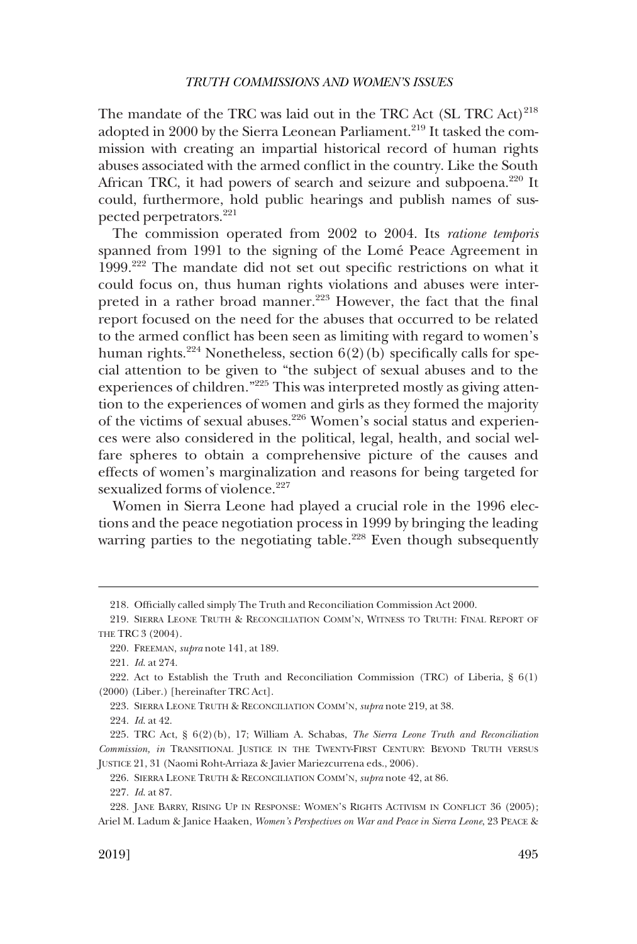The mandate of the TRC was laid out in the TRC Act (SL TRC Act)<sup>218</sup> adopted in 2000 by the Sierra Leonean Parliament.<sup>219</sup> It tasked the commission with creating an impartial historical record of human rights abuses associated with the armed conflict in the country. Like the South African TRC, it had powers of search and seizure and subpoena.<sup>220</sup> It could, furthermore, hold public hearings and publish names of suspected perpetrators.<sup>221</sup>

The commission operated from 2002 to 2004. Its *ratione temporis*  spanned from 1991 to the signing of the Lomé Peace Agreement in 1999.222 The mandate did not set out specific restrictions on what it could focus on, thus human rights violations and abuses were interpreted in a rather broad manner.<sup>223</sup> However, the fact that the final report focused on the need for the abuses that occurred to be related to the armed conflict has been seen as limiting with regard to women's human rights.<sup>224</sup> Nonetheless, section  $6(2)(b)$  specifically calls for special attention to be given to "the subject of sexual abuses and to the experiences of children."<sup>225</sup> This was interpreted mostly as giving attention to the experiences of women and girls as they formed the majority of the victims of sexual abuses.226 Women's social status and experiences were also considered in the political, legal, health, and social welfare spheres to obtain a comprehensive picture of the causes and effects of women's marginalization and reasons for being targeted for sexualized forms of violence.<sup>227</sup>

Women in Sierra Leone had played a crucial role in the 1996 elections and the peace negotiation process in 1999 by bringing the leading warring parties to the negotiating table.<sup>228</sup> Even though subsequently

221. *Id*. at 274.

223. SIERRA LEONE TRUTH & RECONCILIATION COMM'N, *supra* note 219, at 38.

224. *Id*. at 42.

226. SIERRA LEONE TRUTH & RECONCILIATION COMM'N, *supra* note 42, at 86.

<sup>218.</sup> Officially called simply The Truth and Reconciliation Commission Act 2000.

<sup>219.</sup> SIERRA LEONE TRUTH & RECONCILIATION COMM'N, WITNESS TO TRUTH: FINAL REPORT OF THE TRC 3 (2004).

<sup>220.</sup> FREEMAN, *supra* note 141, at 189.

<sup>222.</sup> Act to Establish the Truth and Reconciliation Commission (TRC) of Liberia, § 6(1) (2000) (Liber.) [hereinafter TRC Act].

<sup>225.</sup> TRC Act, § 6(2)(b), 17; William A. Schabas, *The Sierra Leone Truth and Reconciliation Commission, in* TRANSITIONAL JUSTICE IN THE TWENTY-FIRST CENTURY: BEYOND TRUTH VERSUS JUSTICE 21, 31 (Naomi Roht-Arriaza & Javier Mariezcurrena eds., 2006).

<sup>227.</sup> *Id*. at 87.

<sup>228.</sup> JANE BARRY, RISING UP IN RESPONSE: WOMEN'S RIGHTS ACTIVISM IN CONFLICT 36 (2005); Ariel M. Ladum & Janice Haaken, *Women's Perspectives on War and Peace in Sierra Leone*, 23 PEACE &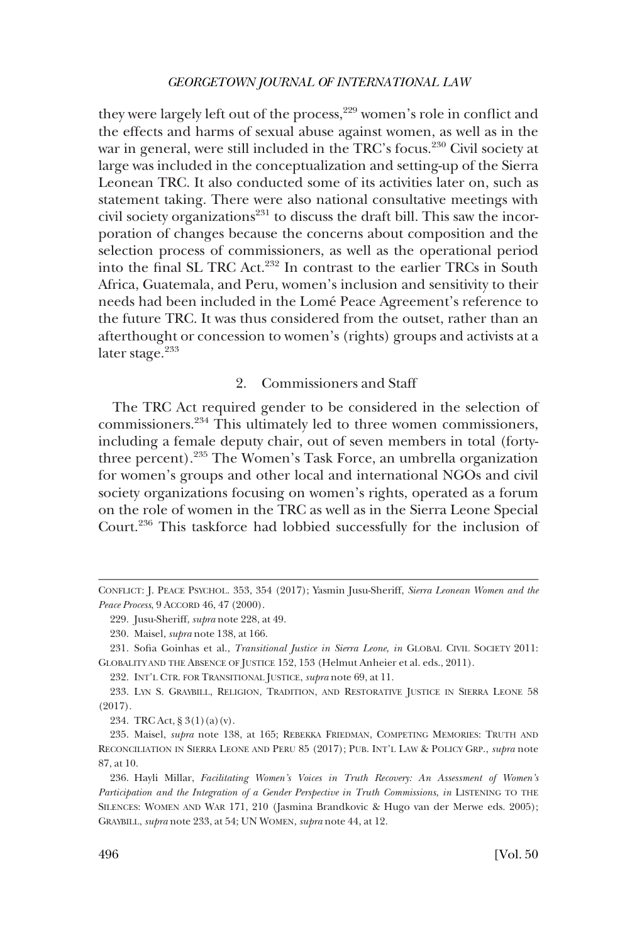<span id="page-33-0"></span>they were largely left out of the process,<sup>229</sup> women's role in conflict and the effects and harms of sexual abuse against women, as well as in the war in general, were still included in the TRC's focus.<sup>230</sup> Civil society at large was included in the conceptualization and setting-up of the Sierra Leonean TRC. It also conducted some of its activities later on, such as statement taking. There were also national consultative meetings with civil society organizations<sup>231</sup> to discuss the draft bill. This saw the incorporation of changes because the concerns about composition and the selection process of commissioners, as well as the operational period into the final SL TRC Act.232 In contrast to the earlier TRCs in South Africa, Guatemala, and Peru, women's inclusion and sensitivity to their needs had been included in the Lomé Peace Agreement's reference to the future TRC. It was thus considered from the outset, rather than an afterthought or concession to women's (rights) groups and activists at a later stage.<sup>233</sup>

## 2. Commissioners and Staff

The TRC Act required gender to be considered in the selection of commissioners.234 This ultimately led to three women commissioners, including a female deputy chair, out of seven members in total (fortythree percent).235 The Women's Task Force, an umbrella organization for women's groups and other local and international NGOs and civil society organizations focusing on women's rights, operated as a forum on the role of women in the TRC as well as in the Sierra Leone Special Court.236 This taskforce had lobbied successfully for the inclusion of

234. TRC Act, § 3(1)(a)(v).

CONFLICT: J. PEACE PSYCHOL. 353, 354 (2017); Yasmin Jusu-Sheriff, *Sierra Leonean Women and the Peace Process*, 9 ACCORD 46, 47 (2000).

<sup>229.</sup> Jusu-Sheriff, *supra* note 228, at 49.

<sup>230.</sup> Maisel, *supra* note 138, at 166.

<sup>231.</sup> Sofia Goinhas et al., *Transitional Justice in Sierra Leone*, *in* GLOBAL CIVIL SOCIETY 2011: GLOBALITY AND THE ABSENCE OF JUSTICE 152, 153 (Helmut Anheier et al. eds., 2011).

<sup>232.</sup> INT'L CTR. FOR TRANSITIONAL JUSTICE, *supra* note 69, at 11.

<sup>233.</sup> LYN S. GRAYBILL, RELIGION, TRADITION, AND RESTORATIVE JUSTICE IN SIERRA LEONE 58 (2017).

<sup>235.</sup> Maisel, *supra* note 138, at 165; REBEKKA FRIEDMAN, COMPETING MEMORIES: TRUTH AND RECONCILIATION IN SIERRA LEONE AND PERU 85 (2017); PUB. INT'L LAW & POLICY GRP., *supra* note 87, at 10.

<sup>236.</sup> Hayli Millar, *Facilitating Women's Voices in Truth Recovery: An Assessment of Women's Participation and the Integration of a Gender Perspective in Truth Commissions*, *in* LISTENING TO THE SILENCES: WOMEN AND WAR 171, 210 (Jasmina Brandkovic & Hugo van der Merwe eds. 2005); GRAYBILL, *supra* note 233, at 54; UN WOMEN, *supra* note 44, at 12.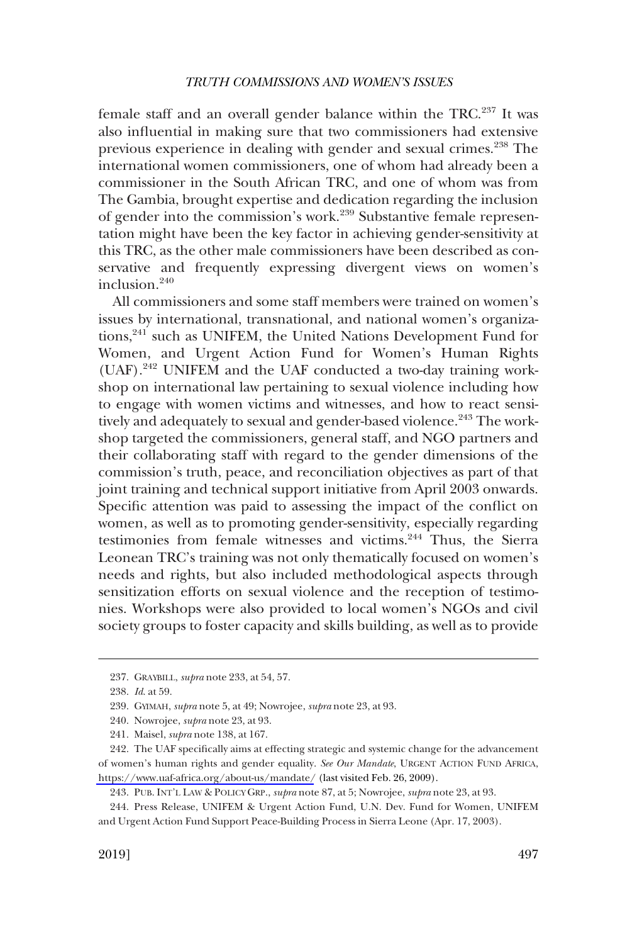female staff and an overall gender balance within the TRC.<sup>237</sup> It was also influential in making sure that two commissioners had extensive previous experience in dealing with gender and sexual crimes.238 The international women commissioners, one of whom had already been a commissioner in the South African TRC, and one of whom was from The Gambia, brought expertise and dedication regarding the inclusion of gender into the commission's work.<sup>239</sup> Substantive female representation might have been the key factor in achieving gender-sensitivity at this TRC, as the other male commissioners have been described as conservative and frequently expressing divergent views on women's inclusion $240$ 

All commissioners and some staff members were trained on women's issues by international, transnational, and national women's organizations,<sup>241</sup> such as UNIFEM, the United Nations Development Fund for Women, and Urgent Action Fund for Women's Human Rights (UAF).242 UNIFEM and the UAF conducted a two-day training workshop on international law pertaining to sexual violence including how to engage with women victims and witnesses, and how to react sensitively and adequately to sexual and gender-based violence.<sup>243</sup> The workshop targeted the commissioners, general staff, and NGO partners and their collaborating staff with regard to the gender dimensions of the commission's truth, peace, and reconciliation objectives as part of that joint training and technical support initiative from April 2003 onwards. Specific attention was paid to assessing the impact of the conflict on women, as well as to promoting gender-sensitivity, especially regarding testimonies from female witnesses and victims.<sup>244</sup> Thus, the Sierra Leonean TRC's training was not only thematically focused on women's needs and rights, but also included methodological aspects through sensitization efforts on sexual violence and the reception of testimonies. Workshops were also provided to local women's NGOs and civil society groups to foster capacity and skills building, as well as to provide

<sup>237.</sup> GRAYBILL, *supra* note 233, at 54, 57.

<sup>238.</sup> *Id*. at 59.

<sup>239.</sup> GYIMAH, *supra* note 5, at 49; Nowrojee, *supra* note 23, at 93.

<sup>240.</sup> Nowrojee, *supra* note 23, at 93.

<sup>241.</sup> Maisel, *supra* note 138, at 167.

<sup>242.</sup> The UAF specifically aims at effecting strategic and systemic change for the advancement of women's human rights and gender equality. *See Our Mandate*, URGENT ACTION FUND AFRICA, <https://www.uaf-africa.org/about-us/mandate/> (last visited Feb. 26, 2009).

<sup>243.</sup> PUB. INT'L LAW & POLICY GRP., *supra* note 87, at 5; Nowrojee, *supra* note 23, at 93.

<sup>244.</sup> Press Release, UNIFEM & Urgent Action Fund, U.N. Dev. Fund for Women, UNIFEM and Urgent Action Fund Support Peace-Building Process in Sierra Leone (Apr. 17, 2003).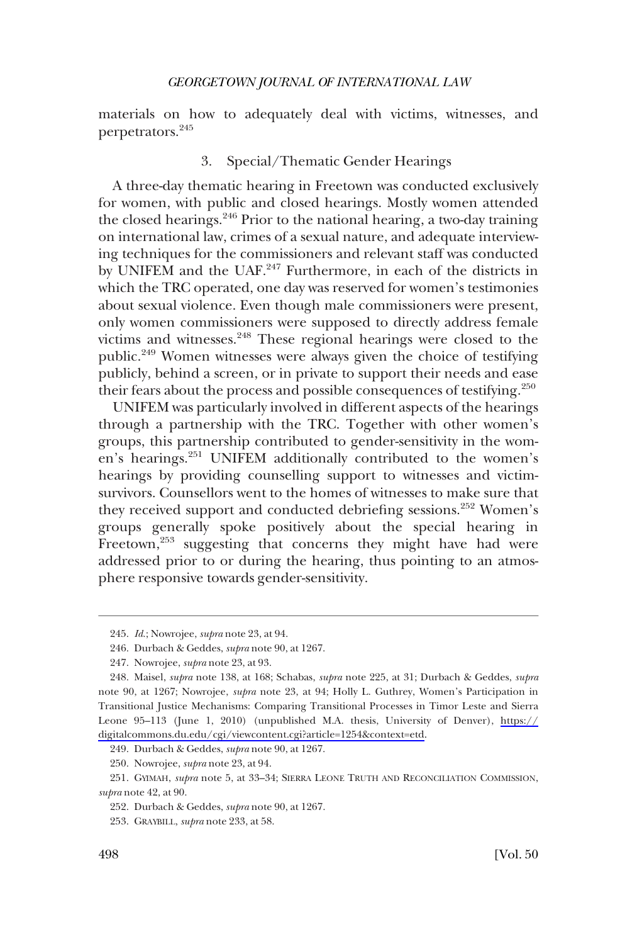<span id="page-35-0"></span>materials on how to adequately deal with victims, witnesses, and perpetrators.<sup>245</sup>

# 3. Special/Thematic Gender Hearings

A three-day thematic hearing in Freetown was conducted exclusively for women, with public and closed hearings. Mostly women attended the closed hearings. $246$  Prior to the national hearing, a two-day training on international law, crimes of a sexual nature, and adequate interviewing techniques for the commissioners and relevant staff was conducted by UNIFEM and the UAF.<sup>247</sup> Furthermore, in each of the districts in which the TRC operated, one day was reserved for women's testimonies about sexual violence. Even though male commissioners were present, only women commissioners were supposed to directly address female victims and witnesses.<sup>248</sup> These regional hearings were closed to the public.249 Women witnesses were always given the choice of testifying publicly, behind a screen, or in private to support their needs and ease their fears about the process and possible consequences of testifying.<sup>250</sup>

UNIFEM was particularly involved in different aspects of the hearings through a partnership with the TRC. Together with other women's groups, this partnership contributed to gender-sensitivity in the women's hearings.251 UNIFEM additionally contributed to the women's hearings by providing counselling support to witnesses and victimsurvivors. Counsellors went to the homes of witnesses to make sure that they received support and conducted debriefing sessions.<sup>252</sup> Women's groups generally spoke positively about the special hearing in Freetown,<sup>253</sup> suggesting that concerns they might have had were addressed prior to or during the hearing, thus pointing to an atmosphere responsive towards gender-sensitivity.

<sup>245.</sup> *Id*.; Nowrojee, *supra* note 23, at 94.

<sup>246.</sup> Durbach & Geddes, *supra* note 90, at 1267.

<sup>247.</sup> Nowrojee, *supra* note 23, at 93.

Maisel, *supra* note 138, at 168; Schabas, *supra* note 225, at 31; Durbach & Geddes, *supra*  248. note 90, at 1267; Nowrojee, *supra* note 23, at 94; Holly L. Guthrey, Women's Participation in Transitional Justice Mechanisms: Comparing Transitional Processes in Timor Leste and Sierra Leone 95–113 (June 1, 2010) (unpublished M.A. thesis, University of Denver), [https://](https://digitalcommons.du.edu/cgi/viewcontent.cgi?article=1254&context=etd) [digitalcommons.du.edu/cgi/viewcontent.cgi?article=1254&context=etd.](https://digitalcommons.du.edu/cgi/viewcontent.cgi?article=1254&context=etd)

<sup>249.</sup> Durbach & Geddes, *supra* note 90, at 1267.

<sup>250.</sup> Nowrojee, *supra* note 23, at 94.

<sup>251.</sup> GYIMAH, *supra* note 5, at 33–34; SIERRA LEONE TRUTH AND RECONCILIATION COMMISSION, *supra* note 42, at 90.

<sup>252.</sup> Durbach & Geddes, *supra* note 90, at 1267.

<sup>253.</sup> GRAYBILL, *supra* note 233, at 58.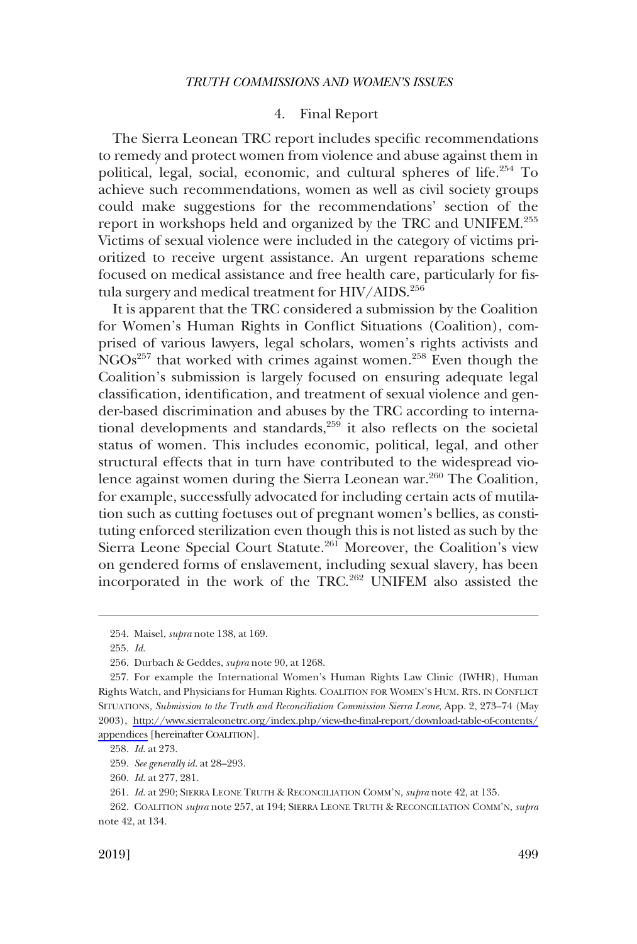## 4. Final Report

<span id="page-36-0"></span>The Sierra Leonean TRC report includes specific recommendations to remedy and protect women from violence and abuse against them in political, legal, social, economic, and cultural spheres of life.254 To achieve such recommendations, women as well as civil society groups could make suggestions for the recommendations' section of the report in workshops held and organized by the TRC and UNIFEM.<sup>255</sup> Victims of sexual violence were included in the category of victims prioritized to receive urgent assistance. An urgent reparations scheme focused on medical assistance and free health care, particularly for fistula surgery and medical treatment for  $H IV/ AIDS$ .<sup>256</sup>

It is apparent that the TRC considered a submission by the Coalition for Women's Human Rights in Conflict Situations (Coalition), comprised of various lawyers, legal scholars, women's rights activists and  $NGOs<sup>257</sup>$  that worked with crimes against women.<sup>258</sup> Even though the Coalition's submission is largely focused on ensuring adequate legal classification, identification, and treatment of sexual violence and gender-based discrimination and abuses by the TRC according to international developments and standards, $259$  it also reflects on the societal status of women. This includes economic, political, legal, and other structural effects that in turn have contributed to the widespread violence against women during the Sierra Leonean war.<sup>260</sup> The Coalition, for example, successfully advocated for including certain acts of mutilation such as cutting foetuses out of pregnant women's bellies, as constituting enforced sterilization even though this is not listed as such by the Sierra Leone Special Court Statute.<sup>261</sup> Moreover, the Coalition's view on gendered forms of enslavement, including sexual slavery, has been incorporated in the work of the TRC.<sup>262</sup> UNIFEM also assisted the

<sup>254.</sup> Maisel, *supra* note 138, at 169.

<sup>255.</sup> *Id*.

<sup>256.</sup> Durbach & Geddes, *supra* note 90, at 1268.

<sup>257.</sup> For example the International Women's Human Rights Law Clinic (IWHR), Human Rights Watch, and Physicians for Human Rights. COALITION FOR WOMEN'S HUM. RTS. IN CONFLICT SITUATIONS*, Submission to the Truth and Reconciliation Commission Sierra Leone*, App. 2, 273–74 (May 2003), [http://www.sierraleonetrc.org/index.php/view-the-final-report/download-table-of-contents/](http://www.sierraleonetrc.org/index.php/view-the-final-report/download-table-of-contents/appendices)  [appendices](http://www.sierraleonetrc.org/index.php/view-the-final-report/download-table-of-contents/appendices) [hereinafter COALITION].

<sup>258.</sup> *Id*. at 273.

<sup>259.</sup> *See generally id*. at 28–293.

<sup>260.</sup> *Id*. at 277, 281.

<sup>261.</sup> *Id*. at 290; SIERRA LEONE TRUTH & RECONCILIATION COMM'N, *supra* note 42, at 135.

<sup>262.</sup> COALITION *supra* note 257, at 194; SIERRA LEONE TRUTH & RECONCILIATION COMM'N, *supra*  note 42, at 134.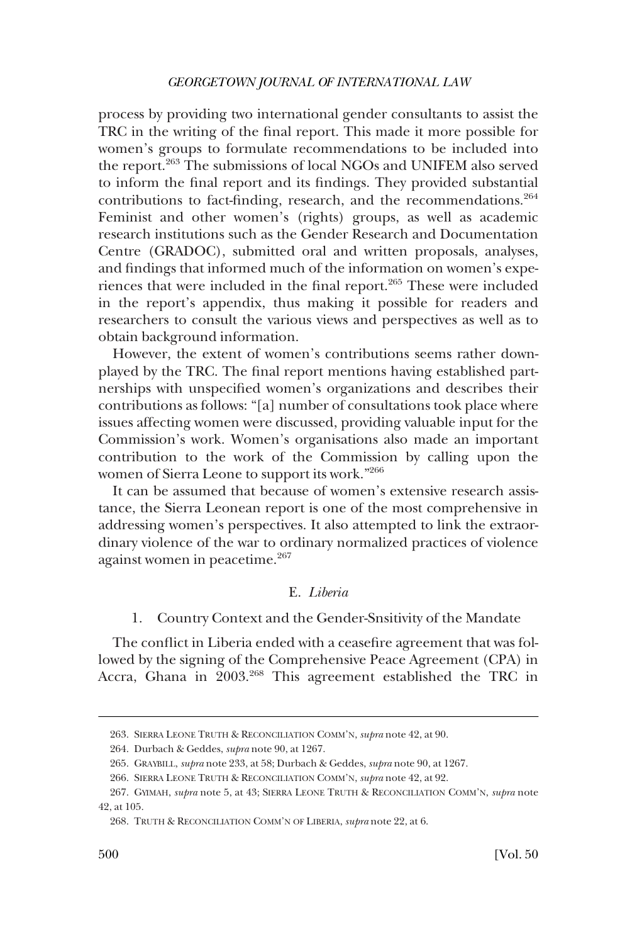<span id="page-37-0"></span>process by providing two international gender consultants to assist the TRC in the writing of the final report. This made it more possible for women's groups to formulate recommendations to be included into the report.263 The submissions of local NGOs and UNIFEM also served to inform the final report and its findings. They provided substantial contributions to fact-finding, research, and the recommendations.<sup>264</sup> Feminist and other women's (rights) groups, as well as academic research institutions such as the Gender Research and Documentation Centre (GRADOC), submitted oral and written proposals, analyses, and findings that informed much of the information on women's experiences that were included in the final report.265 These were included in the report's appendix, thus making it possible for readers and researchers to consult the various views and perspectives as well as to obtain background information.

However, the extent of women's contributions seems rather downplayed by the TRC. The final report mentions having established partnerships with unspecified women's organizations and describes their contributions as follows: "[a] number of consultations took place where issues affecting women were discussed, providing valuable input for the Commission's work. Women's organisations also made an important contribution to the work of the Commission by calling upon the women of Sierra Leone to support its work."266

It can be assumed that because of women's extensive research assistance, the Sierra Leonean report is one of the most comprehensive in addressing women's perspectives. It also attempted to link the extraordinary violence of the war to ordinary normalized practices of violence against women in peacetime.<sup>267</sup>

# E. *Liberia*

## 1. Country Context and the Gender-Snsitivity of the Mandate

The conflict in Liberia ended with a ceasefire agreement that was followed by the signing of the Comprehensive Peace Agreement (CPA) in Accra, Ghana in 2003.268 This agreement established the TRC in

<sup>263.</sup> SIERRA LEONE TRUTH & RECONCILIATION COMM'N, *supra* note 42, at 90.

<sup>264.</sup> Durbach & Geddes, *supra* note 90, at 1267.

<sup>265.</sup> GRAYBILL, *supra* note 233, at 58; Durbach & Geddes, *supra* note 90, at 1267.

<sup>266.</sup> SIERRA LEONE TRUTH & RECONCILIATION COMM'N, *supra* note 42, at 92.

<sup>267.</sup> GYIMAH, *supra* note 5, at 43; SIERRA LEONE TRUTH & RECONCILIATION COMM'N, *supra* note 42, at 105.

<sup>268.</sup> TRUTH & RECONCILIATION COMM'N OF LIBERIA, *supra* note 22, at 6.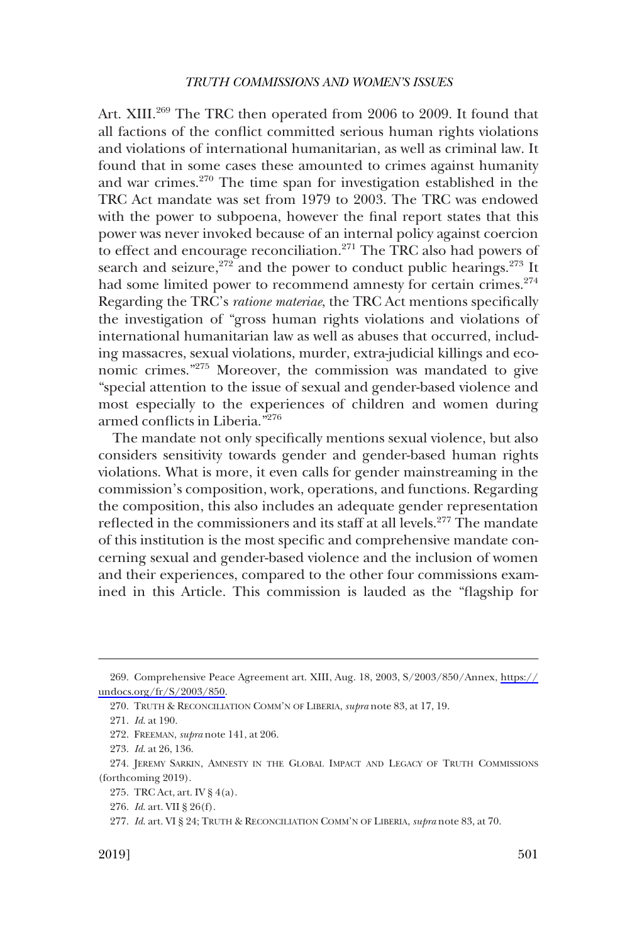Art. XIII.<sup>269</sup> The TRC then operated from 2006 to 2009. It found that all factions of the conflict committed serious human rights violations and violations of international humanitarian, as well as criminal law. It found that in some cases these amounted to crimes against humanity and war crimes.270 The time span for investigation established in the TRC Act mandate was set from 1979 to 2003. The TRC was endowed with the power to subpoena, however the final report states that this power was never invoked because of an internal policy against coercion to effect and encourage reconciliation.271 The TRC also had powers of search and seizure,  $272$  and the power to conduct public hearings.  $273$  It had some limited power to recommend amnesty for certain crimes.<sup>274</sup> Regarding the TRC's *ratione materiae*, the TRC Act mentions specifically the investigation of "gross human rights violations and violations of international humanitarian law as well as abuses that occurred, including massacres, sexual violations, murder, extra-judicial killings and economic crimes."275 Moreover, the commission was mandated to give "special attention to the issue of sexual and gender-based violence and most especially to the experiences of children and women during armed conflicts in Liberia."276

The mandate not only specifically mentions sexual violence, but also considers sensitivity towards gender and gender-based human rights violations. What is more, it even calls for gender mainstreaming in the commission's composition, work, operations, and functions. Regarding the composition, this also includes an adequate gender representation reflected in the commissioners and its staff at all levels.<sup>277</sup> The mandate of this institution is the most specific and comprehensive mandate concerning sexual and gender-based violence and the inclusion of women and their experiences, compared to the other four commissions examined in this Article. This commission is lauded as the "flagship for

<sup>269.</sup> Comprehensive Peace Agreement art. XIII, Aug. 18, 2003, S/2003/850/Annex, https:// [undocs.org/fr/S/2003/850.](https://undocs.org/fr/S/2003/850)

<sup>270.</sup> TRUTH & RECONCILIATION COMM'N OF LIBERIA, *supra* note 83, at 17, 19.

<sup>271.</sup> *Id*. at 190.

<sup>272.</sup> FREEMAN, *supra* note 141, at 206.

<sup>273.</sup> *Id*. at 26, 136.

<sup>274.</sup> JEREMY SARKIN, AMNESTY IN THE GLOBAL IMPACT AND LEGACY OF TRUTH COMMISSIONS (forthcoming 2019).

<sup>275.</sup> TRC Act, art. IV § 4(a).

<sup>276.</sup> *Id*. art. VII § 26(f).

<sup>277.</sup> *Id*. art. VI § 24; TRUTH & RECONCILIATION COMM'N OF LIBERIA, *supra* note 83, at 70.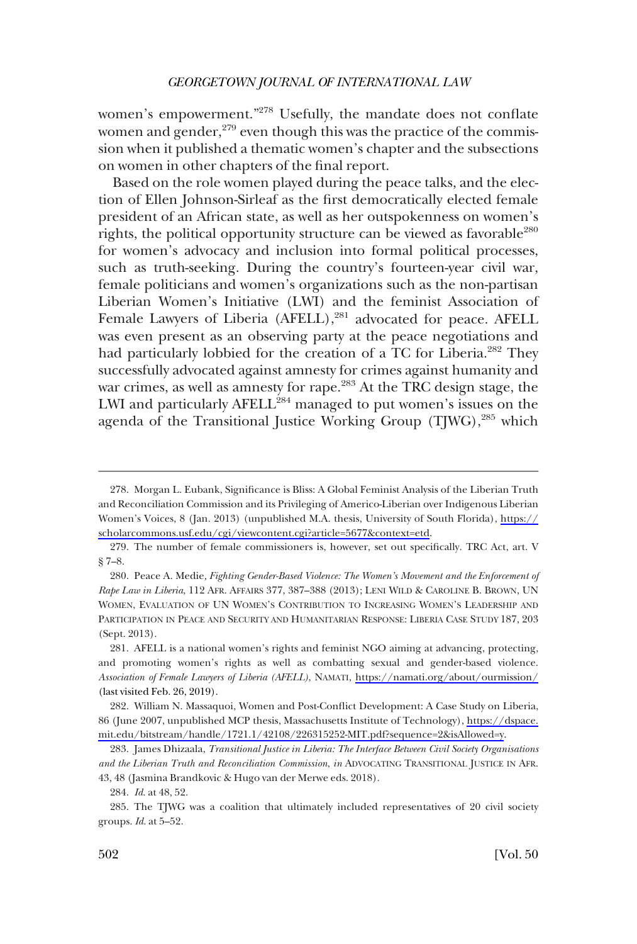women's empowerment."<sup>278</sup> Usefully, the mandate does not conflate women and gender, $279$  even though this was the practice of the commission when it published a thematic women's chapter and the subsections on women in other chapters of the final report.

Based on the role women played during the peace talks, and the election of Ellen Johnson-Sirleaf as the first democratically elected female president of an African state, as well as her outspokenness on women's rights, the political opportunity structure can be viewed as favorable<sup>280</sup> for women's advocacy and inclusion into formal political processes, such as truth-seeking. During the country's fourteen-year civil war, female politicians and women's organizations such as the non-partisan Liberian Women's Initiative (LWI) and the feminist Association of Female Lawyers of Liberia (AFELL),<sup>281</sup> advocated for peace. AFELL was even present as an observing party at the peace negotiations and had particularly lobbied for the creation of a TC for Liberia.<sup>282</sup> They successfully advocated against amnesty for crimes against humanity and war crimes, as well as amnesty for rape.<sup>283</sup> At the TRC design stage, the LWI and particularly AFELL<sup>284</sup> managed to put women's issues on the agenda of the Transitional Justice Working Group (TJWG),<sup>285</sup> which

<sup>278.</sup> Morgan L. Eubank, Significance is Bliss: A Global Feminist Analysis of the Liberian Truth and Reconciliation Commission and its Privileging of Americo-Liberian over Indigenous Liberian Women's Voices, 8 (Jan. 2013) (unpublished M.A. thesis, University of South Florida), [https://](https://scholarcommons.usf.edu/cgi/viewcontent.cgi?article=5677&context=etd) [scholarcommons.usf.edu/cgi/viewcontent.cgi?article=5677&context=etd.](https://scholarcommons.usf.edu/cgi/viewcontent.cgi?article=5677&context=etd)

<sup>279.</sup> The number of female commissioners is, however, set out specifically. TRC Act, art. V § 7–8.

<sup>280.</sup> Peace A. Medie*, Fighting Gender-Based Violence: The Women's Movement and the Enforcement of Rape Law in Liberia*, 112 AFR. AFFAIRS 377, 387–388 (2013); LENI WILD & CAROLINE B. BROWN, UN WOMEN, EVALUATION OF UN WOMEN'S CONTRIBUTION TO INCREASING WOMEN'S LEADERSHIP AND PARTICIPATION IN PEACE AND SECURITY AND HUMANITARIAN RESPONSE: LIBERIA CASE STUDY 187, 203 (Sept. 2013).

AFELL is a national women's rights and feminist NGO aiming at advancing, protecting, 281. and promoting women's rights as well as combatting sexual and gender-based violence. *Association of Female Lawyers of Liberia (AFELL)*, NAMATI, <https://namati.org/about/ourmission/> (last visited Feb. 26, 2019).

<sup>282.</sup> William N. Massaquoi, Women and Post-Conflict Development: A Case Study on Liberia, 86 (June 2007, unpublished MCP thesis, Massachusetts Institute of Technology), [https://dspace.](https://dspace.mit.edu/bitstream/handle/1721.1/42108/226315252-MIT.pdf?sequence=2&isAllowed=y) [mit.edu/bitstream/handle/1721.1/42108/226315252-MIT.pdf?sequence=2&isAllowed=y.](https://dspace.mit.edu/bitstream/handle/1721.1/42108/226315252-MIT.pdf?sequence=2&isAllowed=y)

<sup>283.</sup> James Dhizaala, *Transitional Justice in Liberia: The Interface Between Civil Society Organisations and the Liberian Truth and Reconciliation Commission*, *in* ADVOCATING TRANSITIONAL JUSTICE IN AFR. 43, 48 (Jasmina Brandkovic & Hugo van der Merwe eds. 2018).

<sup>284.</sup> *Id*. at 48, 52.

<sup>285.</sup> The TJWG was a coalition that ultimately included representatives of 20 civil society groups. *Id*. at 5–52.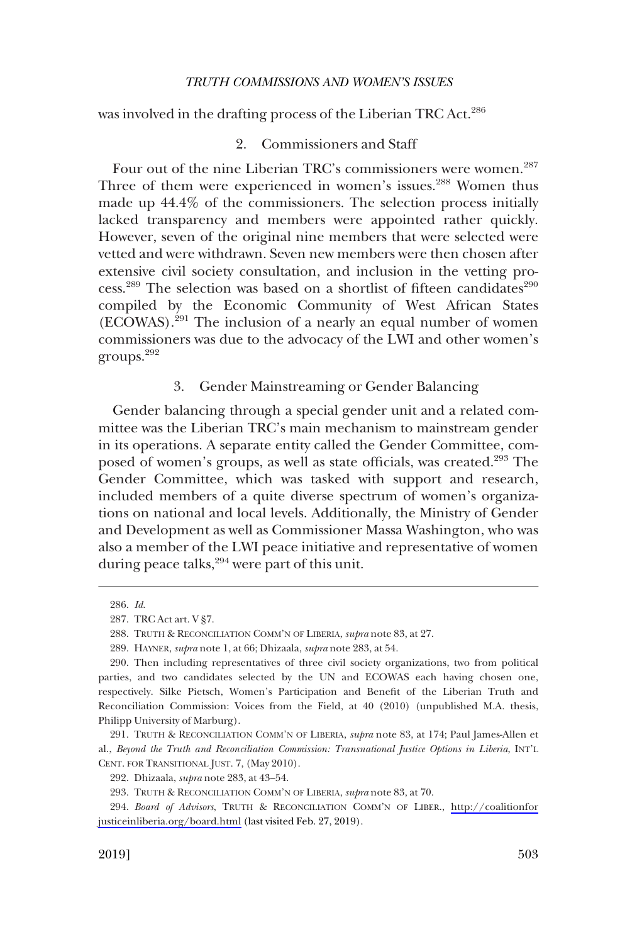<span id="page-40-0"></span>was involved in the drafting process of the Liberian TRC Act.<sup>286</sup>

# 2. Commissioners and Staff

Four out of the nine Liberian TRC's commissioners were women.<sup>287</sup> Three of them were experienced in women's issues.<sup>288</sup> Women thus made up 44.4% of the commissioners. The selection process initially lacked transparency and members were appointed rather quickly. However, seven of the original nine members that were selected were vetted and were withdrawn. Seven new members were then chosen after extensive civil society consultation, and inclusion in the vetting process.<sup>289</sup> The selection was based on a shortlist of fifteen candidates<sup>290</sup> compiled by the Economic Community of West African States (ECOWAS).291 The inclusion of a nearly an equal number of women commissioners was due to the advocacy of the LWI and other women's groups.292

## 3. Gender Mainstreaming or Gender Balancing

Gender balancing through a special gender unit and a related committee was the Liberian TRC's main mechanism to mainstream gender in its operations. A separate entity called the Gender Committee, composed of women's groups, as well as state officials, was created.<sup>293</sup> The Gender Committee, which was tasked with support and research, included members of a quite diverse spectrum of women's organizations on national and local levels. Additionally, the Ministry of Gender and Development as well as Commissioner Massa Washington, who was also a member of the LWI peace initiative and representative of women during peace talks, <sup>294</sup> were part of this unit.

<sup>286.</sup> *Id*.

<sup>287.</sup> TRC Act art. V §7.

<sup>288.</sup> TRUTH & RECONCILIATION COMM'N OF LIBERIA, *supra* note 83, at 27.

<sup>289.</sup> HAYNER, *supra* note 1, at 66; Dhizaala, *supra* note 283, at 54.

<sup>290.</sup> Then including representatives of three civil society organizations, two from political parties, and two candidates selected by the UN and ECOWAS each having chosen one, respectively. Silke Pietsch, Women's Participation and Benefit of the Liberian Truth and Reconciliation Commission: Voices from the Field, at 40 (2010) (unpublished M.A. thesis, Philipp University of Marburg).

<sup>291.</sup> TRUTH & RECONCILIATION COMM'N OF LIBERIA, *supra* note 83, at 174; Paul James-Allen et al., *Beyond the Truth and Reconciliation Commission: Transnational Justice Options in Liberia*, INT'L CENT. FOR TRANSITIONAL JUST. 7, (May 2010).

<sup>292.</sup> Dhizaala, *supra* note 283, at 43–54.

<sup>293.</sup> TRUTH & RECONCILIATION COMM'N OF LIBERIA, *supra* note 83, at 70.

<sup>294.</sup> Board of Advisors, TRUTH & RECONCILIATION COMM'N OF LIBER., [http://coalitionfor](http://coalitionforjusticeinliberia.org/board.html) [justiceinliberia.org/board.html](http://coalitionforjusticeinliberia.org/board.html) (last visited Feb. 27, 2019).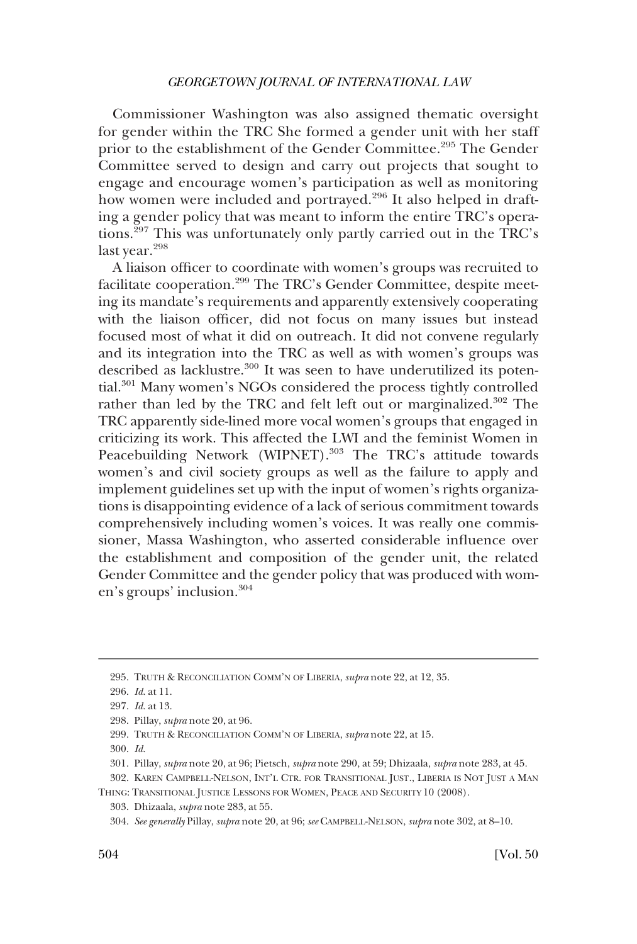Commissioner Washington was also assigned thematic oversight for gender within the TRC She formed a gender unit with her staff prior to the establishment of the Gender Committee.<sup>295</sup> The Gender Committee served to design and carry out projects that sought to engage and encourage women's participation as well as monitoring how women were included and portrayed.<sup>296</sup> It also helped in drafting a gender policy that was meant to inform the entire TRC's operations. <sup>297</sup> This was unfortunately only partly carried out in the TRC's last year.<sup>298</sup>

A liaison officer to coordinate with women's groups was recruited to facilitate cooperation.299 The TRC's Gender Committee, despite meeting its mandate's requirements and apparently extensively cooperating with the liaison officer, did not focus on many issues but instead focused most of what it did on outreach. It did not convene regularly and its integration into the TRC as well as with women's groups was described as lacklustre.<sup>300</sup> It was seen to have underutilized its potential. <sup>301</sup> Many women's NGOs considered the process tightly controlled rather than led by the TRC and felt left out or marginalized.<sup>302</sup> The TRC apparently side-lined more vocal women's groups that engaged in criticizing its work. This affected the LWI and the feminist Women in Peacebuilding Network (WIPNET).<sup>303</sup> The TRC's attitude towards women's and civil society groups as well as the failure to apply and implement guidelines set up with the input of women's rights organizations is disappointing evidence of a lack of serious commitment towards comprehensively including women's voices. It was really one commissioner, Massa Washington, who asserted considerable influence over the establishment and composition of the gender unit, the related Gender Committee and the gender policy that was produced with women's groups' inclusion.304

<sup>295.</sup> TRUTH & RECONCILIATION COMM'N OF LIBERIA, *supra* note 22, at 12, 35.

<sup>296.</sup> *Id*. at 11.

<sup>297.</sup> *Id*. at 13.

<sup>298.</sup> Pillay, *supra* note 20, at 96.

<sup>299.</sup> TRUTH & RECONCILIATION COMM'N OF LIBERIA, *supra* note 22, at 15.

<sup>300.</sup> *Id*.

<sup>301.</sup> Pillay, *supra* note 20, at 96; Pietsch, *supra* note 290, at 59; Dhizaala, *supra* note 283, at 45.

<sup>302.</sup> KAREN CAMPBELL-NELSON, INT'L CTR. FOR TRANSITIONAL JUST., LIBERIA IS NOT JUST A MAN

THING: TRANSITIONAL JUSTICE LESSONS FOR WOMEN, PEACE AND SECURITY 10 (2008).

<sup>303.</sup> Dhizaala, *supra* note 283, at 55.

<sup>304.</sup> *See generally* Pillay, *supra* note 20, at 96; *see* CAMPBELL-NELSON, *supra* note 302, at 8–10.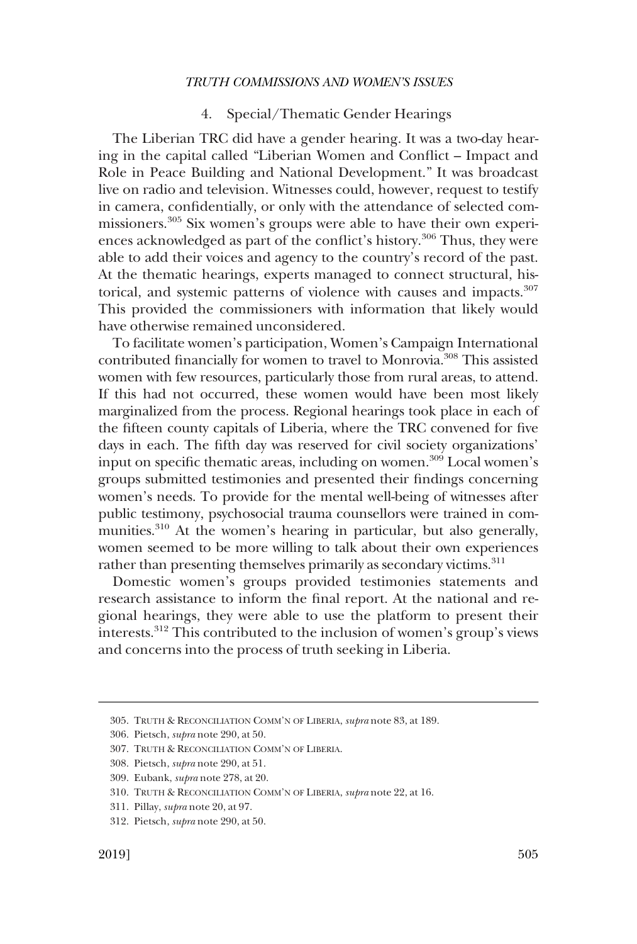# 4. Special/Thematic Gender Hearings

<span id="page-42-0"></span>The Liberian TRC did have a gender hearing. It was a two-day hearing in the capital called "Liberian Women and Conflict – Impact and Role in Peace Building and National Development." It was broadcast live on radio and television. Witnesses could, however, request to testify in camera, confidentially, or only with the attendance of selected commissioners. <sup>305</sup> Six women's groups were able to have their own experiences acknowledged as part of the conflict's history.<sup>306</sup> Thus, they were able to add their voices and agency to the country's record of the past. At the thematic hearings, experts managed to connect structural, historical, and systemic patterns of violence with causes and impacts.<sup>307</sup> This provided the commissioners with information that likely would have otherwise remained unconsidered.

To facilitate women's participation, Women's Campaign International contributed financially for women to travel to Monrovia.<sup>308</sup> This assisted women with few resources, particularly those from rural areas, to attend. If this had not occurred, these women would have been most likely marginalized from the process. Regional hearings took place in each of the fifteen county capitals of Liberia, where the TRC convened for five days in each. The fifth day was reserved for civil society organizations' input on specific thematic areas, including on women.<sup>309</sup> Local women's groups submitted testimonies and presented their findings concerning women's needs. To provide for the mental well-being of witnesses after public testimony, psychosocial trauma counsellors were trained in communities.<sup>310</sup> At the women's hearing in particular, but also generally, women seemed to be more willing to talk about their own experiences rather than presenting themselves primarily as secondary victims.<sup>311</sup>

Domestic women's groups provided testimonies statements and research assistance to inform the final report. At the national and regional hearings, they were able to use the platform to present their interests.312 This contributed to the inclusion of women's group's views and concerns into the process of truth seeking in Liberia.

<sup>305.</sup> TRUTH & RECONCILIATION COMM'N OF LIBERIA, *supra* note 83, at 189.

<sup>306.</sup> Pietsch, *supra* note 290, at 50.

<sup>307.</sup> TRUTH & RECONCILIATION COMM'N OF LIBERIA.

<sup>308.</sup> Pietsch, *supra* note 290, at 51.

<sup>309.</sup> Eubank, *supra* note 278, at 20.

<sup>310.</sup> TRUTH & RECONCILIATION COMM'N OF LIBERIA, *supra* note 22, at 16.

<sup>311.</sup> Pillay, *supra* note 20, at 97.

<sup>312.</sup> Pietsch, *supra* note 290, at 50.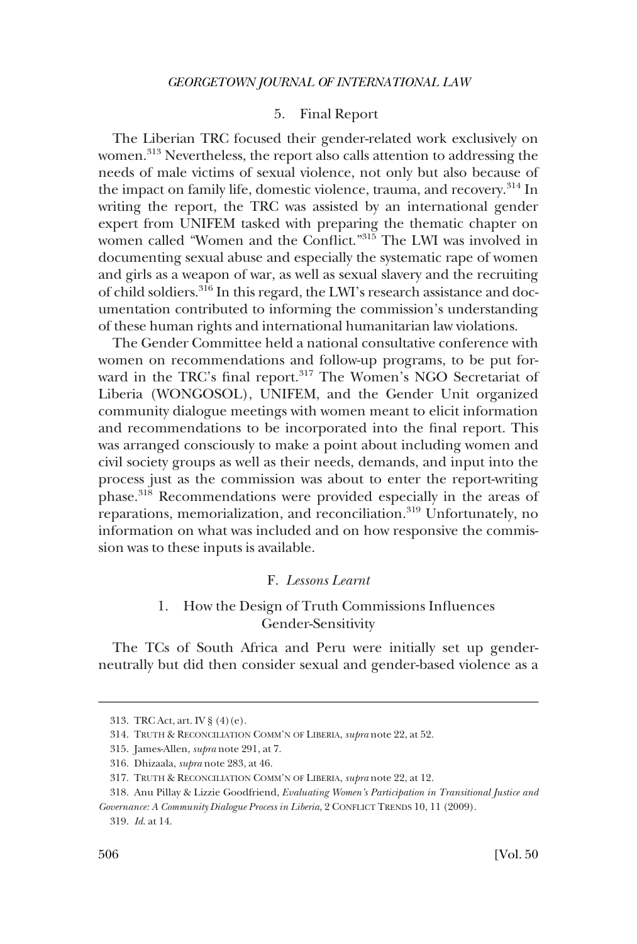## 5. Final Report

<span id="page-43-0"></span>The Liberian TRC focused their gender-related work exclusively on women.<sup>313</sup> Nevertheless, the report also calls attention to addressing the needs of male victims of sexual violence, not only but also because of the impact on family life, domestic violence, trauma, and recovery.<sup>314</sup> In writing the report, the TRC was assisted by an international gender expert from UNIFEM tasked with preparing the thematic chapter on women called "Women and the Conflict."315 The LWI was involved in documenting sexual abuse and especially the systematic rape of women and girls as a weapon of war, as well as sexual slavery and the recruiting of child soldiers.<sup>316</sup> In this regard, the LWI's research assistance and documentation contributed to informing the commission's understanding of these human rights and international humanitarian law violations.

The Gender Committee held a national consultative conference with women on recommendations and follow-up programs, to be put forward in the TRC's final report.<sup>317</sup> The Women's NGO Secretariat of Liberia (WONGOSOL), UNIFEM, and the Gender Unit organized community dialogue meetings with women meant to elicit information and recommendations to be incorporated into the final report. This was arranged consciously to make a point about including women and civil society groups as well as their needs, demands, and input into the process just as the commission was about to enter the report-writing phase.318 Recommendations were provided especially in the areas of reparations, memorialization, and reconciliation.<sup>319</sup> Unfortunately, no information on what was included and on how responsive the commission was to these inputs is available.

# F. *Lessons Learnt*

# 1. How the Design of Truth Commissions Influences Gender-Sensitivity

The TCs of South Africa and Peru were initially set up genderneutrally but did then consider sexual and gender-based violence as a

<sup>313.</sup> TRC Act, art. IV § (4)(e).

<sup>314.</sup> TRUTH & RECONCILIATION COMM'N OF LIBERIA, *supra* note 22, at 52.

<sup>315.</sup> James-Allen, *supra* note 291, at 7.

<sup>316.</sup> Dhizaala, *supra* note 283, at 46.

<sup>317.</sup> TRUTH & RECONCILIATION COMM'N OF LIBERIA, *supra* note 22, at 12.

<sup>318.</sup> Anu Pillay & Lizzie Goodfriend, *Evaluating Women's Participation in Transitional Justice and Governance: A Community Dialogue Process in Liberia*, 2 CONFLICT TRENDS 10, 11 (2009).

<sup>319.</sup> *Id*. at 14.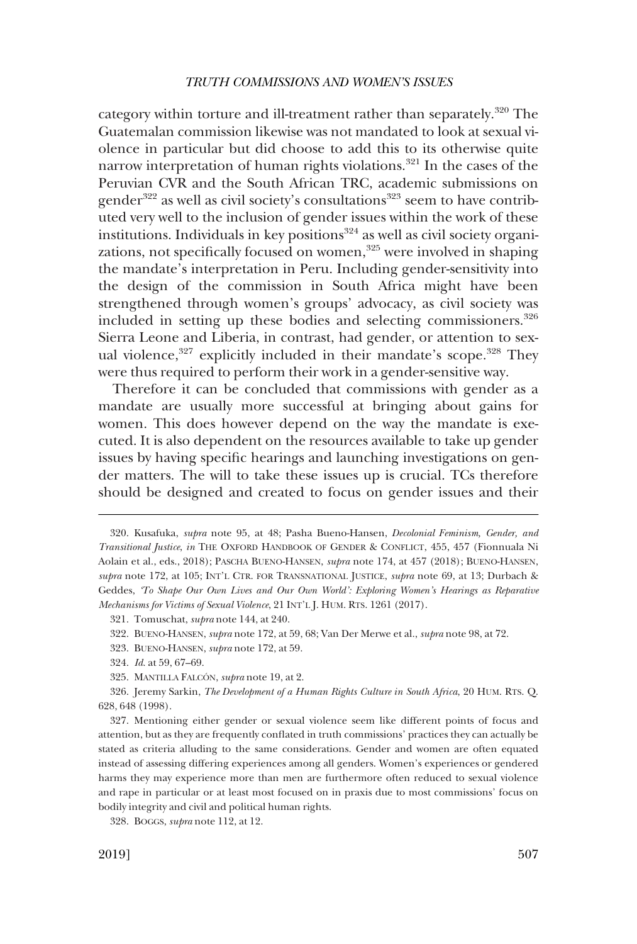category within torture and ill-treatment rather than separately.<sup>320</sup> The Guatemalan commission likewise was not mandated to look at sexual violence in particular but did choose to add this to its otherwise quite narrow interpretation of human rights violations.<sup>321</sup> In the cases of the Peruvian CVR and the South African TRC, academic submissions on gender<sup>322</sup> as well as civil society's consultations<sup>323</sup> seem to have contributed very well to the inclusion of gender issues within the work of these institutions. Individuals in key positions<sup>324</sup> as well as civil society organizations, not specifically focused on women,<sup>325</sup> were involved in shaping the mandate's interpretation in Peru. Including gender-sensitivity into the design of the commission in South Africa might have been strengthened through women's groups' advocacy, as civil society was included in setting up these bodies and selecting commissioners.<sup>326</sup> Sierra Leone and Liberia, in contrast, had gender, or attention to sexual violence,<sup>327</sup> explicitly included in their mandate's scope.<sup>328</sup> They were thus required to perform their work in a gender-sensitive way.

Therefore it can be concluded that commissions with gender as a mandate are usually more successful at bringing about gains for women. This does however depend on the way the mandate is executed. It is also dependent on the resources available to take up gender issues by having specific hearings and launching investigations on gender matters. The will to take these issues up is crucial. TCs therefore should be designed and created to focus on gender issues and their

323. BUENO-HANSEN, *supra* note 172, at 59.

<sup>320.</sup> Kusafuka, *supra* note 95, at 48; Pasha Bueno-Hansen, *Decolonial Feminism, Gender, and Transitional Justice*, *in* THE OXFORD HANDBOOK OF GENDER & CONFLICT, 455, 457 (Fionnuala Ni Aolain et al., eds., 2018); PASCHA BUENO-HANSEN, *supra* note 174, at 457 (2018); BUENO-HANSEN, *supra* note 172, at 105; INT'L CTR. FOR TRANSNATIONAL JUSTICE, *supra* note 69, at 13; Durbach & Geddes, *'To Shape Our Own Lives and Our Own World': Exploring Women's Hearings as Reparative Mechanisms for Victims of Sexual Violence*, 21 INT'L J. HUM. RTS. 1261 (2017).

<sup>321.</sup> Tomuschat, *supra* note 144, at 240.

<sup>322.</sup> BUENO-HANSEN, *supra* note 172, at 59, 68; Van Der Merwe et al., *supra* note 98, at 72.

<sup>324.</sup> *Id*. at 59, 67–69.

<sup>325.</sup> MANTILLA FALCÓN, *supra* note 19, at 2.

<sup>326.</sup> Jeremy Sarkin, *The Development of a Human Rights Culture in South Africa*, 20 HUM. RTS. Q. 628, 648 (1998).

<sup>327.</sup> Mentioning either gender or sexual violence seem like different points of focus and attention, but as they are frequently conflated in truth commissions' practices they can actually be stated as criteria alluding to the same considerations. Gender and women are often equated instead of assessing differing experiences among all genders. Women's experiences or gendered harms they may experience more than men are furthermore often reduced to sexual violence and rape in particular or at least most focused on in praxis due to most commissions' focus on bodily integrity and civil and political human rights.

<sup>328.</sup> BOGGS, *supra* note 112, at 12.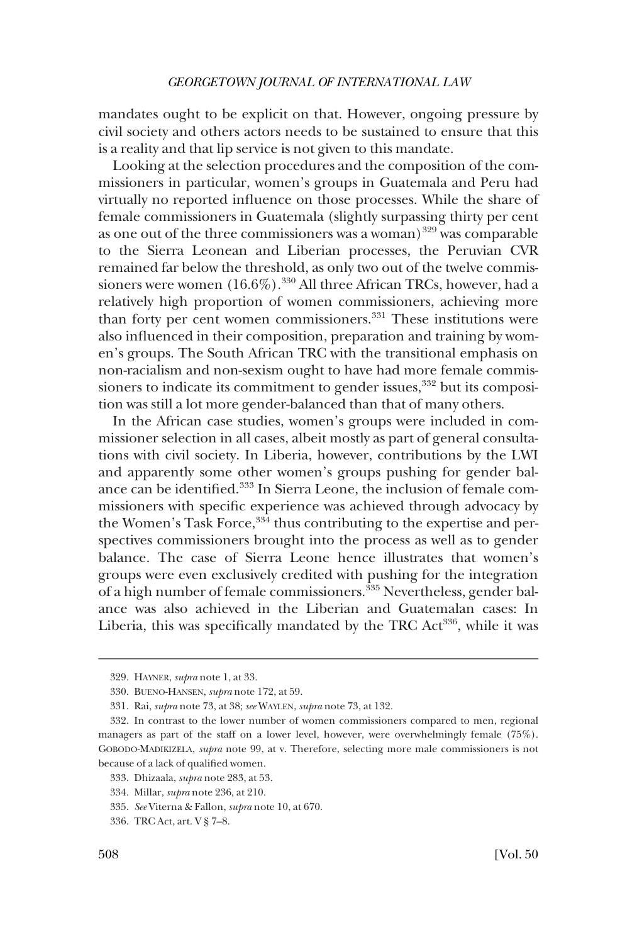mandates ought to be explicit on that. However, ongoing pressure by civil society and others actors needs to be sustained to ensure that this is a reality and that lip service is not given to this mandate.

Looking at the selection procedures and the composition of the commissioners in particular, women's groups in Guatemala and Peru had virtually no reported influence on those processes. While the share of female commissioners in Guatemala (slightly surpassing thirty per cent as one out of the three commissioners was a woman)<sup>329</sup> was comparable to the Sierra Leonean and Liberian processes, the Peruvian CVR remained far below the threshold, as only two out of the twelve commissioners were women  $(16.6\%)$ .<sup>330</sup> All three African TRCs, however, had a relatively high proportion of women commissioners, achieving more than forty per cent women commissioners.<sup>331</sup> These institutions were also influenced in their composition, preparation and training by women's groups. The South African TRC with the transitional emphasis on non-racialism and non-sexism ought to have had more female commissioners to indicate its commitment to gender issues, $332$  but its composition was still a lot more gender-balanced than that of many others.

In the African case studies, women's groups were included in commissioner selection in all cases, albeit mostly as part of general consultations with civil society. In Liberia, however, contributions by the LWI and apparently some other women's groups pushing for gender balance can be identified.<sup>333</sup> In Sierra Leone, the inclusion of female commissioners with specific experience was achieved through advocacy by the Women's Task Force,  $334$  thus contributing to the expertise and perspectives commissioners brought into the process as well as to gender balance. The case of Sierra Leone hence illustrates that women's groups were even exclusively credited with pushing for the integration of a high number of female commissioners.<sup>335</sup> Nevertheless, gender balance was also achieved in the Liberian and Guatemalan cases: In Liberia, this was specifically mandated by the TRC  $Act^{336}$ , while it was

<sup>329.</sup> HAYNER, *supra* note 1, at 33.

<sup>330.</sup> BUENO-HANSEN, *supra* note 172, at 59.

<sup>331.</sup> Rai, *supra* note 73, at 38; *see* WAYLEN, *supra* note 73, at 132.

<sup>332.</sup> In contrast to the lower number of women commissioners compared to men, regional managers as part of the staff on a lower level, however, were overwhelmingly female (75%). GOBODO-MADIKIZELA, *supra* note 99, at v. Therefore, selecting more male commissioners is not because of a lack of qualified women.

<sup>333.</sup> Dhizaala, *supra* note 283, at 53.

<sup>334.</sup> Millar, *supra* note 236, at 210.

<sup>335.</sup> *See* Viterna & Fallon, *supra* note 10, at 670.

<sup>336.</sup> TRC Act, art. V § 7–8.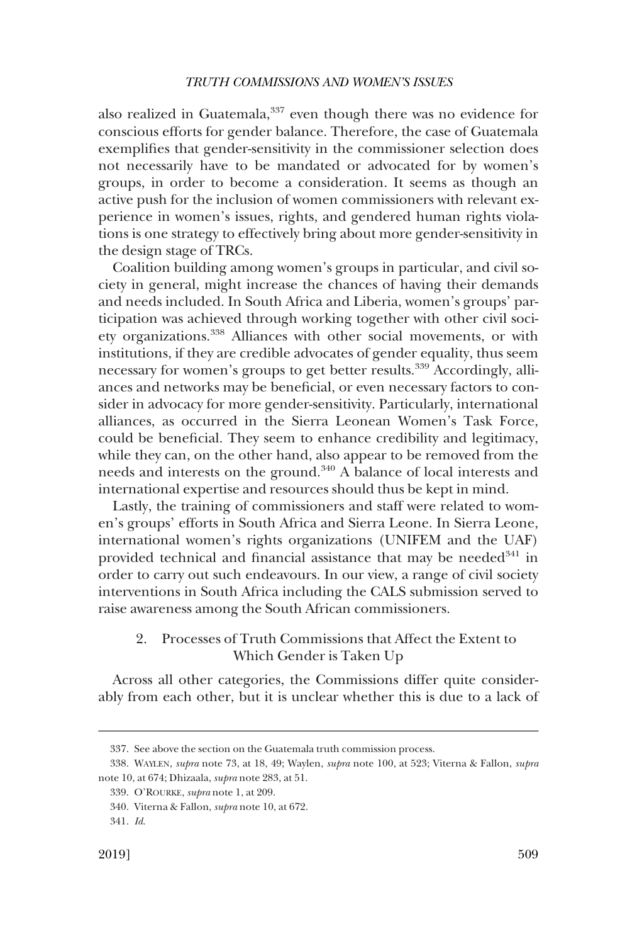<span id="page-46-0"></span>also realized in Guatemala, $337$  even though there was no evidence for conscious efforts for gender balance. Therefore, the case of Guatemala exemplifies that gender-sensitivity in the commissioner selection does not necessarily have to be mandated or advocated for by women's groups, in order to become a consideration. It seems as though an active push for the inclusion of women commissioners with relevant experience in women's issues, rights, and gendered human rights violations is one strategy to effectively bring about more gender-sensitivity in the design stage of TRCs.

Coalition building among women's groups in particular, and civil society in general, might increase the chances of having their demands and needs included. In South Africa and Liberia, women's groups' participation was achieved through working together with other civil society organizations.338 Alliances with other social movements, or with institutions, if they are credible advocates of gender equality, thus seem necessary for women's groups to get better results.339 Accordingly, alliances and networks may be beneficial, or even necessary factors to consider in advocacy for more gender-sensitivity. Particularly, international alliances, as occurred in the Sierra Leonean Women's Task Force, could be beneficial. They seem to enhance credibility and legitimacy, while they can, on the other hand, also appear to be removed from the needs and interests on the ground.<sup>340</sup> A balance of local interests and international expertise and resources should thus be kept in mind.

Lastly, the training of commissioners and staff were related to women's groups' efforts in South Africa and Sierra Leone. In Sierra Leone, international women's rights organizations (UNIFEM and the UAF) provided technical and financial assistance that may be needed $341$  in order to carry out such endeavours. In our view, a range of civil society interventions in South Africa including the CALS submission served to raise awareness among the South African commissioners.

# 2. Processes of Truth Commissions that Affect the Extent to Which Gender is Taken Up

Across all other categories, the Commissions differ quite considerably from each other, but it is unclear whether this is due to a lack of

<sup>337.</sup> See above the section on the Guatemala truth commission process.

<sup>338.</sup> WAYLEN, *supra* note 73, at 18, 49; Waylen, *supra* note 100, at 523; Viterna & Fallon, *supra*  note 10, at 674; Dhizaala, *supra* note 283, at 51.

<sup>339.</sup> O'ROURKE, *supra* note 1, at 209.

<sup>340.</sup> Viterna & Fallon, *supra* note 10, at 672.

<sup>341.</sup> *Id*.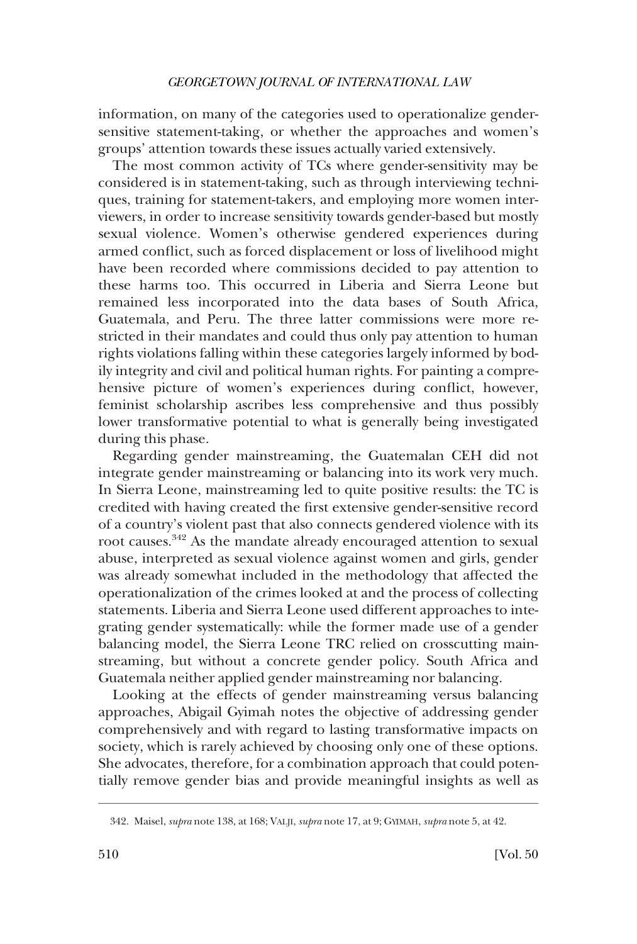information, on many of the categories used to operationalize gendersensitive statement-taking, or whether the approaches and women's groups' attention towards these issues actually varied extensively.

The most common activity of TCs where gender-sensitivity may be considered is in statement-taking, such as through interviewing techniques, training for statement-takers, and employing more women interviewers, in order to increase sensitivity towards gender-based but mostly sexual violence. Women's otherwise gendered experiences during armed conflict, such as forced displacement or loss of livelihood might have been recorded where commissions decided to pay attention to these harms too. This occurred in Liberia and Sierra Leone but remained less incorporated into the data bases of South Africa, Guatemala, and Peru. The three latter commissions were more restricted in their mandates and could thus only pay attention to human rights violations falling within these categories largely informed by bodily integrity and civil and political human rights. For painting a comprehensive picture of women's experiences during conflict, however, feminist scholarship ascribes less comprehensive and thus possibly lower transformative potential to what is generally being investigated during this phase.

Regarding gender mainstreaming, the Guatemalan CEH did not integrate gender mainstreaming or balancing into its work very much. In Sierra Leone, mainstreaming led to quite positive results: the TC is credited with having created the first extensive gender-sensitive record of a country's violent past that also connects gendered violence with its root causes.<sup>342</sup> As the mandate already encouraged attention to sexual abuse, interpreted as sexual violence against women and girls, gender was already somewhat included in the methodology that affected the operationalization of the crimes looked at and the process of collecting statements. Liberia and Sierra Leone used different approaches to integrating gender systematically: while the former made use of a gender balancing model, the Sierra Leone TRC relied on crosscutting mainstreaming, but without a concrete gender policy. South Africa and Guatemala neither applied gender mainstreaming nor balancing.

Looking at the effects of gender mainstreaming versus balancing approaches, Abigail Gyimah notes the objective of addressing gender comprehensively and with regard to lasting transformative impacts on society, which is rarely achieved by choosing only one of these options. She advocates, therefore, for a combination approach that could potentially remove gender bias and provide meaningful insights as well as

<sup>342.</sup> Maisel, *supra* note 138, at 168; VALJI, *supra* note 17, at 9; GYIMAH, *supra* note 5, at 42.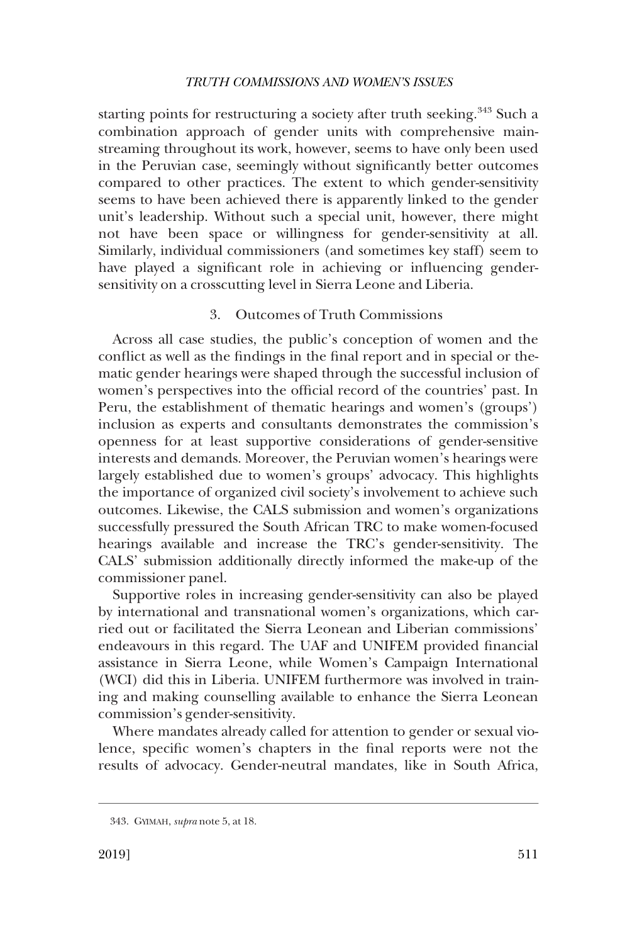<span id="page-48-0"></span>starting points for restructuring a society after truth seeking.<sup>343</sup> Such a combination approach of gender units with comprehensive mainstreaming throughout its work, however, seems to have only been used in the Peruvian case, seemingly without significantly better outcomes compared to other practices. The extent to which gender-sensitivity seems to have been achieved there is apparently linked to the gender unit's leadership. Without such a special unit, however, there might not have been space or willingness for gender-sensitivity at all. Similarly, individual commissioners (and sometimes key staff) seem to have played a significant role in achieving or influencing gendersensitivity on a crosscutting level in Sierra Leone and Liberia.

## 3. Outcomes of Truth Commissions

Across all case studies, the public's conception of women and the conflict as well as the findings in the final report and in special or thematic gender hearings were shaped through the successful inclusion of women's perspectives into the official record of the countries' past. In Peru, the establishment of thematic hearings and women's (groups') inclusion as experts and consultants demonstrates the commission's openness for at least supportive considerations of gender-sensitive interests and demands. Moreover, the Peruvian women's hearings were largely established due to women's groups' advocacy. This highlights the importance of organized civil society's involvement to achieve such outcomes. Likewise, the CALS submission and women's organizations successfully pressured the South African TRC to make women-focused hearings available and increase the TRC's gender-sensitivity. The CALS' submission additionally directly informed the make-up of the commissioner panel.

Supportive roles in increasing gender-sensitivity can also be played by international and transnational women's organizations, which carried out or facilitated the Sierra Leonean and Liberian commissions' endeavours in this regard. The UAF and UNIFEM provided financial assistance in Sierra Leone, while Women's Campaign International (WCI) did this in Liberia. UNIFEM furthermore was involved in training and making counselling available to enhance the Sierra Leonean commission's gender-sensitivity.

Where mandates already called for attention to gender or sexual violence, specific women's chapters in the final reports were not the results of advocacy. Gender-neutral mandates, like in South Africa,

<sup>343.</sup> GYIMAH, *supra* note 5, at 18.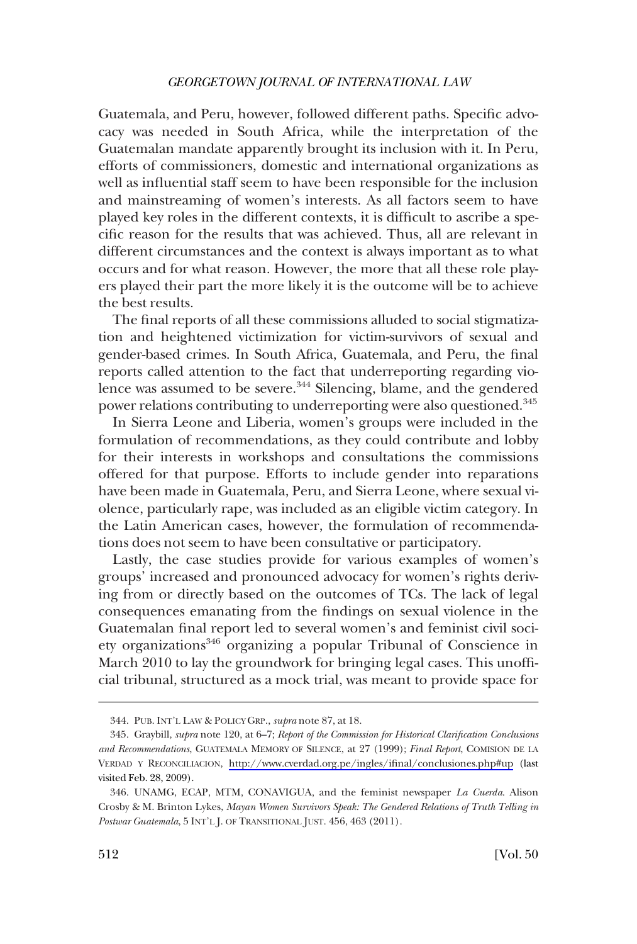Guatemala, and Peru, however, followed different paths. Specific advocacy was needed in South Africa, while the interpretation of the Guatemalan mandate apparently brought its inclusion with it. In Peru, efforts of commissioners, domestic and international organizations as well as influential staff seem to have been responsible for the inclusion and mainstreaming of women's interests. As all factors seem to have played key roles in the different contexts, it is difficult to ascribe a specific reason for the results that was achieved. Thus, all are relevant in different circumstances and the context is always important as to what occurs and for what reason. However, the more that all these role players played their part the more likely it is the outcome will be to achieve the best results.

The final reports of all these commissions alluded to social stigmatization and heightened victimization for victim-survivors of sexual and gender-based crimes. In South Africa, Guatemala, and Peru, the final reports called attention to the fact that underreporting regarding violence was assumed to be severe.<sup>344</sup> Silencing, blame, and the gendered power relations contributing to underreporting were also questioned.<sup>345</sup>

In Sierra Leone and Liberia, women's groups were included in the formulation of recommendations, as they could contribute and lobby for their interests in workshops and consultations the commissions offered for that purpose. Efforts to include gender into reparations have been made in Guatemala, Peru, and Sierra Leone, where sexual violence, particularly rape, was included as an eligible victim category. In the Latin American cases, however, the formulation of recommendations does not seem to have been consultative or participatory.

Lastly, the case studies provide for various examples of women's groups' increased and pronounced advocacy for women's rights deriving from or directly based on the outcomes of TCs. The lack of legal consequences emanating from the findings on sexual violence in the Guatemalan final report led to several women's and feminist civil society organizations346 organizing a popular Tribunal of Conscience in March 2010 to lay the groundwork for bringing legal cases. This unofficial tribunal, structured as a mock trial, was meant to provide space for

<sup>344.</sup> PUB. INT'L LAW & POLICY GRP., *supra* note 87, at 18.

Graybill, *supra* note 120, at 6–7; *Report of the Commission for Historical Clarification Conclusions*  345. *and Recommendations*, GUATEMALA MEMORY OF SILENCE, at 27 (1999); *Final Report*, COMISION DE LA VERDAD Y RECONCILIACION, <http://www.cverdad.org.pe/ingles/ifinal/conclusiones.php#up>(last visited Feb. 28, 2009).

<sup>346.</sup> UNAMG, ECAP, MTM, CONAVIGUA, and the feminist newspaper *La Cuerda*. Alison Crosby & M. Brinton Lykes, *Mayan Women Survivors Speak: The Gendered Relations of Truth Telling in Postwar Guatemala*, 5 INT'L J. OF TRANSITIONAL JUST. 456, 463 (2011).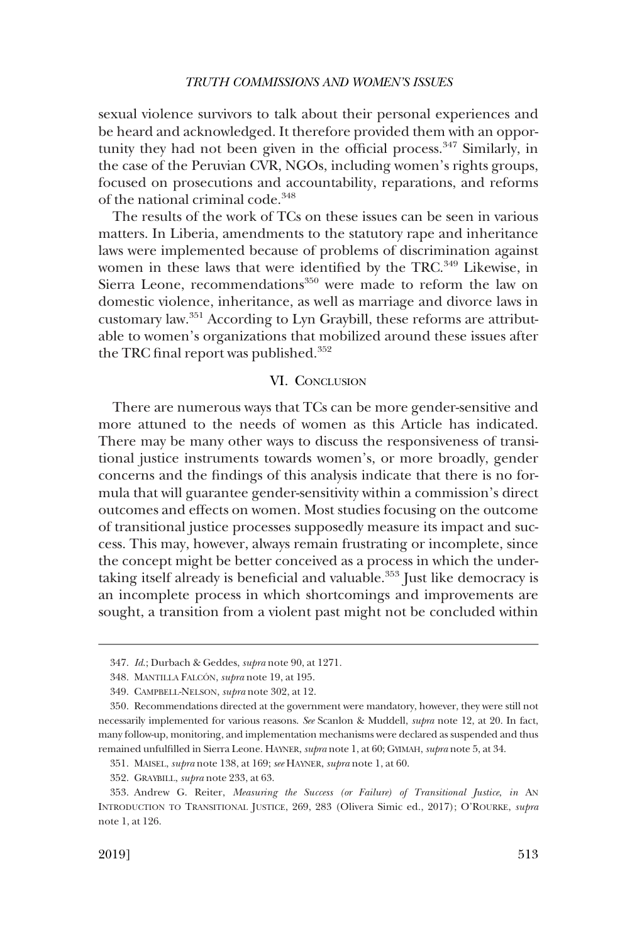<span id="page-50-0"></span>sexual violence survivors to talk about their personal experiences and be heard and acknowledged. It therefore provided them with an opportunity they had not been given in the official process.<sup>347</sup> Similarly, in the case of the Peruvian CVR, NGOs, including women's rights groups, focused on prosecutions and accountability, reparations, and reforms of the national criminal code.<sup>348</sup>

The results of the work of TCs on these issues can be seen in various matters. In Liberia, amendments to the statutory rape and inheritance laws were implemented because of problems of discrimination against women in these laws that were identified by the TRC.<sup>349</sup> Likewise, in Sierra Leone, recommendations $350$  were made to reform the law on domestic violence, inheritance, as well as marriage and divorce laws in customary law.351 According to Lyn Graybill, these reforms are attributable to women's organizations that mobilized around these issues after the TRC final report was published.<sup>352</sup>

## VI. CONCLUSION

There are numerous ways that TCs can be more gender-sensitive and more attuned to the needs of women as this Article has indicated. There may be many other ways to discuss the responsiveness of transitional justice instruments towards women's, or more broadly, gender concerns and the findings of this analysis indicate that there is no formula that will guarantee gender-sensitivity within a commission's direct outcomes and effects on women. Most studies focusing on the outcome of transitional justice processes supposedly measure its impact and success. This may, however, always remain frustrating or incomplete, since the concept might be better conceived as a process in which the undertaking itself already is beneficial and valuable.<sup>353</sup> Just like democracy is an incomplete process in which shortcomings and improvements are sought, a transition from a violent past might not be concluded within

<sup>347.</sup> *Id*.; Durbach & Geddes, *supra* note 90, at 1271.

<sup>348.</sup> MANTILLA FALCÓN, *supra* note 19, at 195.

<sup>349.</sup> CAMPBELL-NELSON, *supra* note 302, at 12.

<sup>350.</sup> Recommendations directed at the government were mandatory, however, they were still not necessarily implemented for various reasons. *See* Scanlon & Muddell, *supra* note 12, at 20. In fact, many follow-up, monitoring, and implementation mechanisms were declared as suspended and thus remained unfulfilled in Sierra Leone. HAYNER, *supra* note 1, at 60; GYIMAH, *supra* note 5, at 34.

<sup>351.</sup> MAISEL, *supra* note 138, at 169; *see* HAYNER, *supra* note 1, at 60.

<sup>352.</sup> GRAYBILL, *supra* note 233, at 63.

<sup>353.</sup> Andrew G. Reiter, *Measuring the Success (or Failure) of Transitional Justice*, *in* AN INTRODUCTION TO TRANSITIONAL JUSTICE, 269, 283 (Olivera Simic ed., 2017); O'ROURKE, *supra*  note 1, at 126.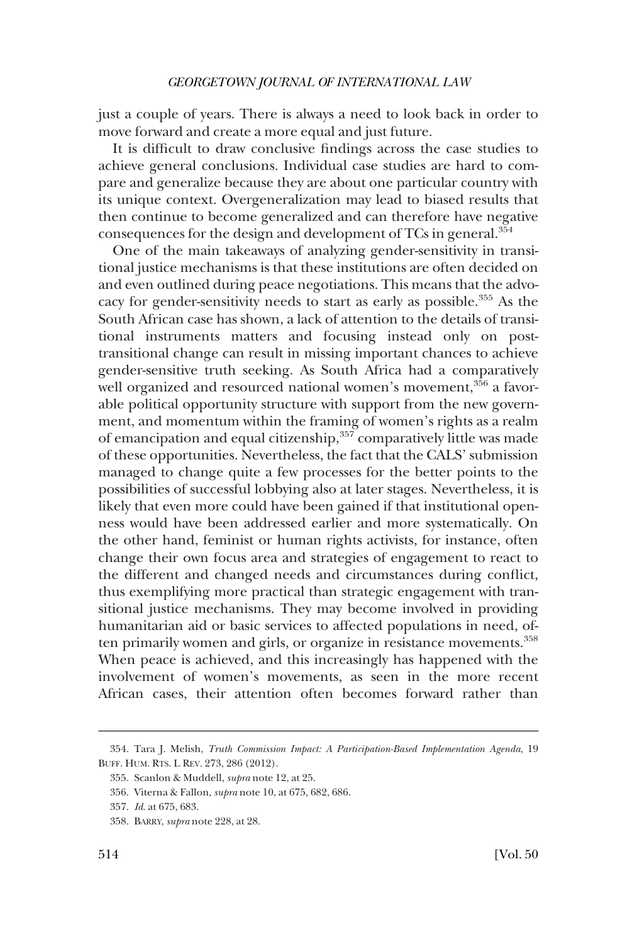just a couple of years. There is always a need to look back in order to move forward and create a more equal and just future.

It is difficult to draw conclusive findings across the case studies to achieve general conclusions. Individual case studies are hard to compare and generalize because they are about one particular country with its unique context. Overgeneralization may lead to biased results that then continue to become generalized and can therefore have negative consequences for the design and development of TCs in general.354

One of the main takeaways of analyzing gender-sensitivity in transitional justice mechanisms is that these institutions are often decided on and even outlined during peace negotiations. This means that the advocacy for gender-sensitivity needs to start as early as possible.<sup>355</sup> As the South African case has shown, a lack of attention to the details of transitional instruments matters and focusing instead only on posttransitional change can result in missing important chances to achieve gender-sensitive truth seeking. As South Africa had a comparatively well organized and resourced national women's movement,<sup>356</sup> a favorable political opportunity structure with support from the new government, and momentum within the framing of women's rights as a realm of emancipation and equal citizenship, $357$  comparatively little was made of these opportunities. Nevertheless, the fact that the CALS' submission managed to change quite a few processes for the better points to the possibilities of successful lobbying also at later stages. Nevertheless, it is likely that even more could have been gained if that institutional openness would have been addressed earlier and more systematically. On the other hand, feminist or human rights activists, for instance, often change their own focus area and strategies of engagement to react to the different and changed needs and circumstances during conflict, thus exemplifying more practical than strategic engagement with transitional justice mechanisms. They may become involved in providing humanitarian aid or basic services to affected populations in need, often primarily women and girls, or organize in resistance movements.<sup>358</sup> When peace is achieved, and this increasingly has happened with the involvement of women's movements, as seen in the more recent African cases, their attention often becomes forward rather than

<sup>354.</sup> Tara J. Melish, *Truth Commission Impact: A Participation-Based Implementation Agenda*, 19 BUFF. HUM. RTS. L REV. 273, 286 (2012).

<sup>355.</sup> Scanlon & Muddell, *supra* note 12, at 25.

<sup>356.</sup> Viterna & Fallon, *supra* note 10, at 675, 682, 686.

<sup>357.</sup> *Id*. at 675, 683.

<sup>358.</sup> BARRY, *supra* note 228, at 28.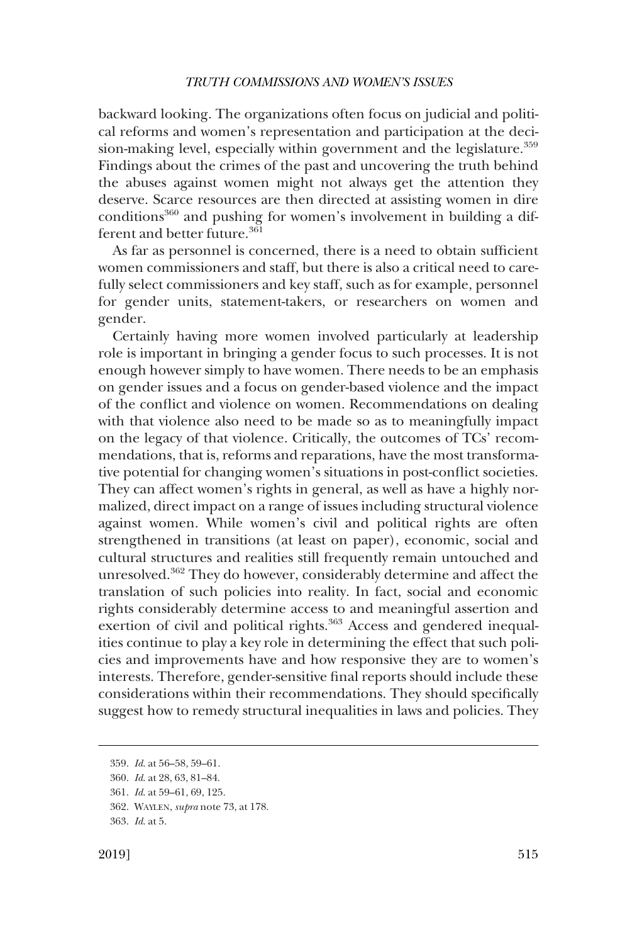backward looking. The organizations often focus on judicial and political reforms and women's representation and participation at the decision-making level, especially within government and the legislature.<sup>359</sup> Findings about the crimes of the past and uncovering the truth behind the abuses against women might not always get the attention they deserve. Scarce resources are then directed at assisting women in dire  $conditions<sup>360</sup>$  and pushing for women's involvement in building a different and better future.<sup>361</sup>

As far as personnel is concerned, there is a need to obtain sufficient women commissioners and staff, but there is also a critical need to carefully select commissioners and key staff, such as for example, personnel for gender units, statement-takers, or researchers on women and gender.

Certainly having more women involved particularly at leadership role is important in bringing a gender focus to such processes. It is not enough however simply to have women. There needs to be an emphasis on gender issues and a focus on gender-based violence and the impact of the conflict and violence on women. Recommendations on dealing with that violence also need to be made so as to meaningfully impact on the legacy of that violence. Critically, the outcomes of TCs' recommendations, that is, reforms and reparations, have the most transformative potential for changing women's situations in post-conflict societies. They can affect women's rights in general, as well as have a highly normalized, direct impact on a range of issues including structural violence against women. While women's civil and political rights are often strengthened in transitions (at least on paper), economic, social and cultural structures and realities still frequently remain untouched and unresolved.362 They do however, considerably determine and affect the translation of such policies into reality. In fact, social and economic rights considerably determine access to and meaningful assertion and exertion of civil and political rights.<sup>363</sup> Access and gendered inequalities continue to play a key role in determining the effect that such policies and improvements have and how responsive they are to women's interests. Therefore, gender-sensitive final reports should include these considerations within their recommendations. They should specifically suggest how to remedy structural inequalities in laws and policies. They

<sup>359.</sup> *Id*. at 56–58, 59–61.

<sup>360.</sup> *Id*. at 28, 63, 81–84.

<sup>361.</sup> *Id*. at 59–61, 69, 125.

<sup>362.</sup> WAYLEN, *supra* note 73, at 178.

<sup>363.</sup> *Id*. at 5.